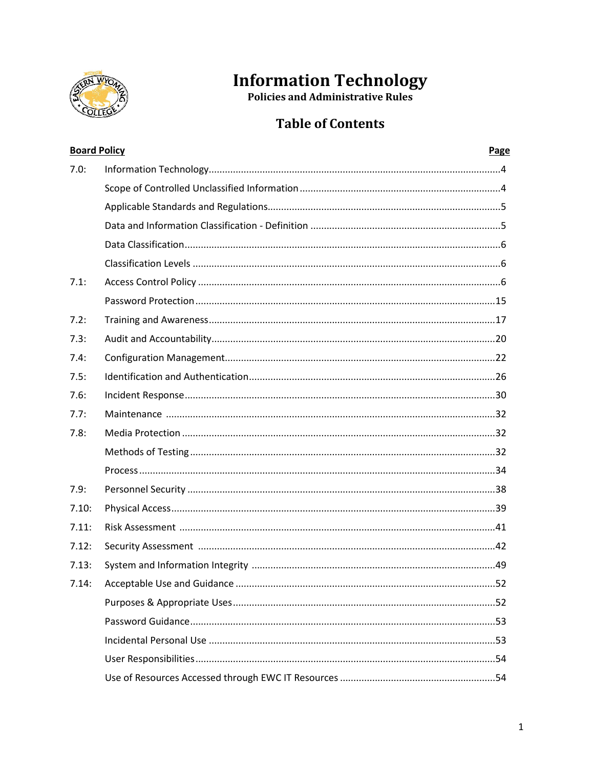

# **Information Technology**<br>Policies and Administrative Rules

# **Table of Contents**

| <b>Board Policy</b> |  | Page |
|---------------------|--|------|
| 7.0:                |  |      |
|                     |  |      |
|                     |  |      |
|                     |  |      |
|                     |  |      |
|                     |  |      |
| 7.1:                |  |      |
|                     |  |      |
| 7.2:                |  |      |
| 7.3:                |  |      |
| 7.4:                |  |      |
| 7.5:                |  |      |
| 7.6:                |  |      |
| 7.7:                |  |      |
| 7.8:                |  |      |
|                     |  |      |
|                     |  |      |
| 7.9:                |  |      |
| 7.10:               |  |      |
| 7.11:               |  |      |
| 7.12:               |  |      |
| 7.13:               |  |      |
| 7.14:               |  |      |
|                     |  |      |
|                     |  |      |
|                     |  |      |
|                     |  |      |
|                     |  |      |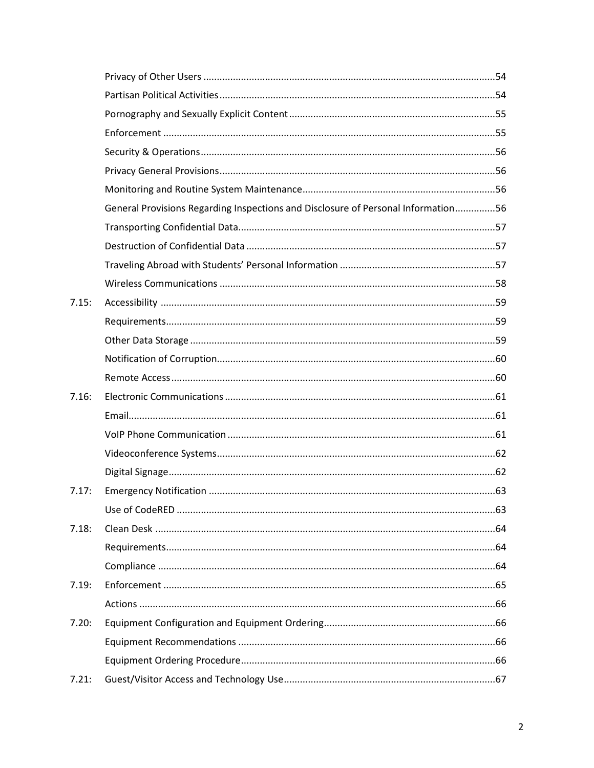|       | General Provisions Regarding Inspections and Disclosure of Personal Information56 |  |
|-------|-----------------------------------------------------------------------------------|--|
|       |                                                                                   |  |
|       |                                                                                   |  |
|       |                                                                                   |  |
|       |                                                                                   |  |
| 7.15: |                                                                                   |  |
|       |                                                                                   |  |
|       |                                                                                   |  |
|       |                                                                                   |  |
|       |                                                                                   |  |
| 7.16: |                                                                                   |  |
|       |                                                                                   |  |
|       |                                                                                   |  |
|       |                                                                                   |  |
|       |                                                                                   |  |
| 7.17: |                                                                                   |  |
|       |                                                                                   |  |
| 7.18: |                                                                                   |  |
|       |                                                                                   |  |
|       |                                                                                   |  |
| 7.19: |                                                                                   |  |
|       |                                                                                   |  |
| 7.20: |                                                                                   |  |
|       |                                                                                   |  |
|       |                                                                                   |  |
| 7.21: |                                                                                   |  |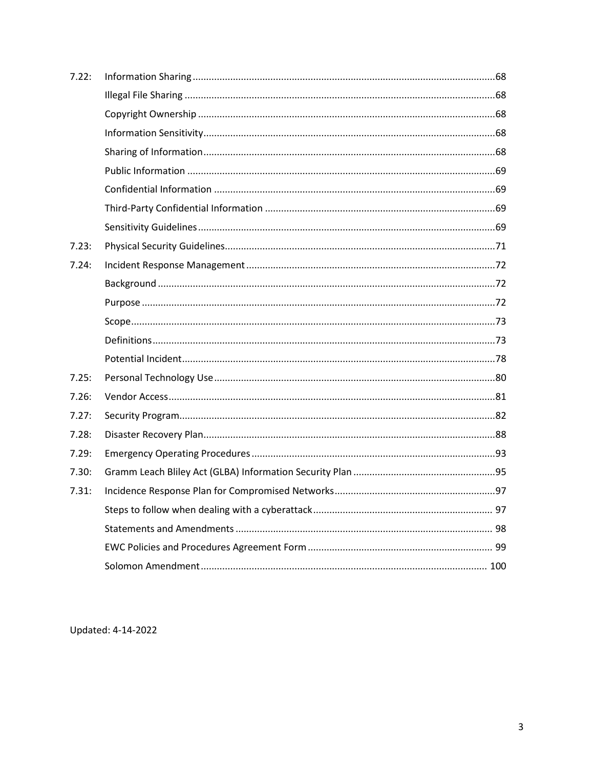| 7.22: |  |
|-------|--|
|       |  |
|       |  |
|       |  |
|       |  |
|       |  |
|       |  |
|       |  |
|       |  |
| 7.23: |  |
| 7.24: |  |
|       |  |
|       |  |
|       |  |
|       |  |
|       |  |
| 7.25: |  |
| 7.26: |  |
| 7.27: |  |
| 7.28: |  |
| 7.29: |  |
| 7.30: |  |
| 7.31: |  |
|       |  |
|       |  |
|       |  |
|       |  |

Updated: 4-14-2022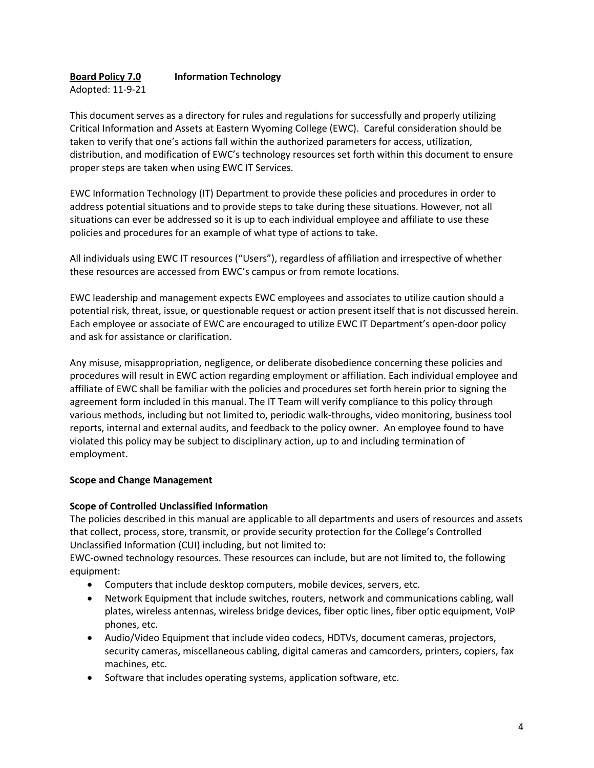#### **Board Policy 7.0 Information Technology** Adopted: 11-9-21

This document serves as a directory for rules and regulations for successfully and properly utilizing Critical Information and Assets at Eastern Wyoming College (EWC). Careful consideration should be taken to verify that one's actions fall within the authorized parameters for access, utilization, distribution, and modification of EWC's technology resources set forth within this document to ensure proper steps are taken when using EWC IT Services.

EWC Information Technology (IT) Department to provide these policies and procedures in order to address potential situations and to provide steps to take during these situations. However, not all situations can ever be addressed so it is up to each individual employee and affiliate to use these policies and procedures for an example of what type of actions to take.

All individuals using EWC IT resources ("Users"), regardless of affiliation and irrespective of whether these resources are accessed from EWC's campus or from remote locations.

EWC leadership and management expects EWC employees and associates to utilize caution should a potential risk, threat, issue, or questionable request or action present itself that is not discussed herein. Each employee or associate of EWC are encouraged to utilize EWC IT Department's open-door policy and ask for assistance or clarification.

Any misuse, misappropriation, negligence, or deliberate disobedience concerning these policies and procedures will result in EWC action regarding employment or affiliation. Each individual employee and affiliate of EWC shall be familiar with the policies and procedures set forth herein prior to signing the agreement form included in this manual. The IT Team will verify compliance to this policy through various methods, including but not limited to, periodic walk-throughs, video monitoring, business tool reports, internal and external audits, and feedback to the policy owner. An employee found to have violated this policy may be subject to disciplinary action, up to and including termination of employment.

## **Scope and Change Management**

## **Scope of Controlled Unclassified Information**

The policies described in this manual are applicable to all departments and users of resources and assets that collect, process, store, transmit, or provide security protection for the College's Controlled Unclassified Information (CUI) including, but not limited to:

EWC-owned technology resources. These resources can include, but are not limited to, the following equipment:

- Computers that include desktop computers, mobile devices, servers, etc.
- Network Equipment that include switches, routers, network and communications cabling, wall plates, wireless antennas, wireless bridge devices, fiber optic lines, fiber optic equipment, VoIP phones, etc.
- Audio/Video Equipment that include video codecs, HDTVs, document cameras, projectors, security cameras, miscellaneous cabling, digital cameras and camcorders, printers, copiers, fax machines, etc.
- Software that includes operating systems, application software, etc.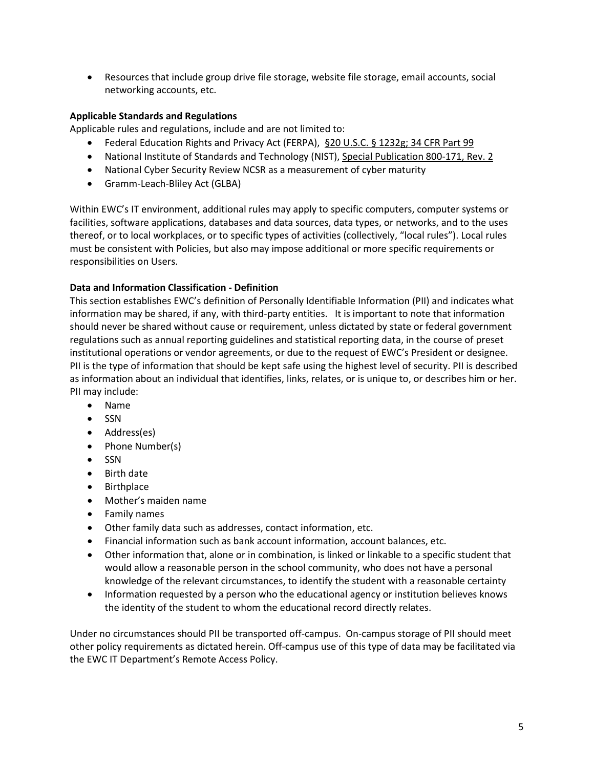• Resources that include group drive file storage, website file storage, email accounts, social networking accounts, etc.

## **Applicable Standards and Regulations**

Applicable rules and regulations, include and are not limited to:

- Federal Education Rights and Privacy Act (FERPA), [§20 U.S.C. § 1232g; 34 CFR Part 99](https://www.law.cornell.edu/uscode/text/20/1232g)
- National Institute of Standards and Technology (NIST), [Special Publication 800-171, Rev. 2](https://nvlpubs.nist.gov/nistpubs/SpecialPublications/NIST.SP.800-171r2.pdf)
- National Cyber Security Review NCSR as a measurement of cyber maturity
- Gramm-Leach-Bliley Act (GLBA)

Within EWC's IT environment, additional rules may apply to specific computers, computer systems or facilities, software applications, databases and data sources, data types, or networks, and to the uses thereof, or to local workplaces, or to specific types of activities (collectively, "local rules"). Local rules must be consistent with Policies, but also may impose additional or more specific requirements or responsibilities on Users.

## **Data and Information Classification - Definition**

This section establishes EWC's definition of Personally Identifiable Information (PII) and indicates what information may be shared, if any, with third-party entities. It is important to note that information should never be shared without cause or requirement, unless dictated by state or federal government regulations such as annual reporting guidelines and statistical reporting data, in the course of preset institutional operations or vendor agreements, or due to the request of EWC's President or designee. PII is the type of information that should be kept safe using the highest level of security. PII is described as information about an individual that identifies, links, relates, or is unique to, or describes him or her. PII may include:

- Name
- SSN
- Address(es)
- Phone Number(s)
- SSN
- Birth date
- Birthplace
- Mother's maiden name
- Family names
- Other family data such as addresses, contact information, etc.
- Financial information such as bank account information, account balances, etc.
- Other information that, alone or in combination, is linked or linkable to a specific student that would allow a reasonable person in the school community, who does not have a personal knowledge of the relevant circumstances, to identify the student with a reasonable certainty
- Information requested by a person who the educational agency or institution believes knows the identity of the student to whom the educational record directly relates.

Under no circumstances should PII be transported off-campus. On-campus storage of PII should meet other policy requirements as dictated herein. Off-campus use of this type of data may be facilitated via the EWC IT Department's Remote Access Policy.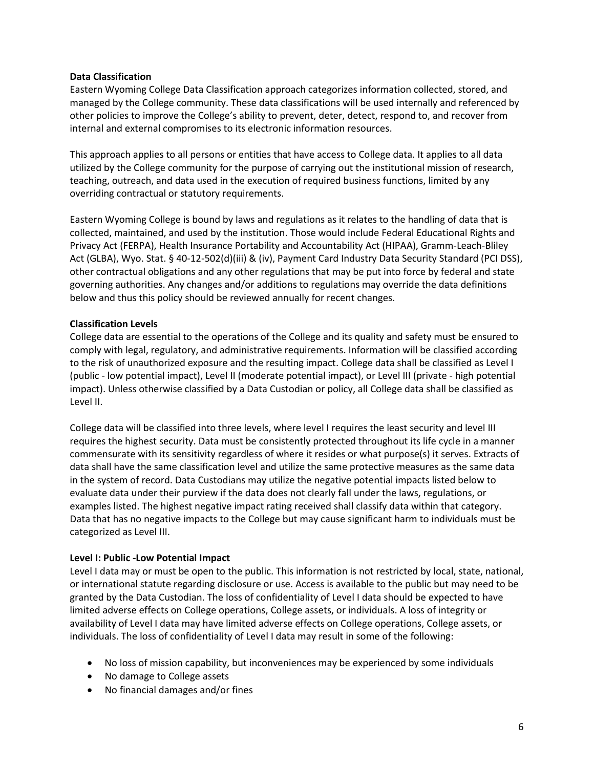## **Data Classification**

Eastern Wyoming College Data Classification approach categorizes information collected, stored, and managed by the College community. These data classifications will be used internally and referenced by other policies to improve the College's ability to prevent, deter, detect, respond to, and recover from internal and external compromises to its electronic information resources.

This approach applies to all persons or entities that have access to College data. It applies to all data utilized by the College community for the purpose of carrying out the institutional mission of research, teaching, outreach, and data used in the execution of required business functions, limited by any overriding contractual or statutory requirements.

Eastern Wyoming College is bound by laws and regulations as it relates to the handling of data that is collected, maintained, and used by the institution. Those would include Federal Educational Rights and Privacy Act (FERPA), Health Insurance Portability and Accountability Act (HIPAA), Gramm-Leach-Bliley Act (GLBA), Wyo. Stat. § 40-12-502(d)(iii) & (iv), Payment Card Industry Data Security Standard (PCI DSS), other contractual obligations and any other regulations that may be put into force by federal and state governing authorities. Any changes and/or additions to regulations may override the data definitions below and thus this policy should be reviewed annually for recent changes.

## **Classification Levels**

College data are essential to the operations of the College and its quality and safety must be ensured to comply with legal, regulatory, and administrative requirements. Information will be classified according to the risk of unauthorized exposure and the resulting impact. College data shall be classified as Level I (public - low potential impact), Level II (moderate potential impact), or Level III (private - high potential impact). Unless otherwise classified by a Data Custodian or policy, all College data shall be classified as Level II.

College data will be classified into three levels, where level I requires the least security and level III requires the highest security. Data must be consistently protected throughout its life cycle in a manner commensurate with its sensitivity regardless of where it resides or what purpose(s) it serves. Extracts of data shall have the same classification level and utilize the same protective measures as the same data in the system of record. Data Custodians may utilize the negative potential impacts listed below to evaluate data under their purview if the data does not clearly fall under the laws, regulations, or examples listed. The highest negative impact rating received shall classify data within that category. Data that has no negative impacts to the College but may cause significant harm to individuals must be categorized as Level III.

## **Level I: Public -Low Potential Impact**

Level I data may or must be open to the public. This information is not restricted by local, state, national, or international statute regarding disclosure or use. Access is available to the public but may need to be granted by the Data Custodian. The loss of confidentiality of Level I data should be expected to have limited adverse effects on College operations, College assets, or individuals. A loss of integrity or availability of Level I data may have limited adverse effects on College operations, College assets, or individuals. The loss of confidentiality of Level I data may result in some of the following:

- No loss of mission capability, but inconveniences may be experienced by some individuals
- No damage to College assets
- No financial damages and/or fines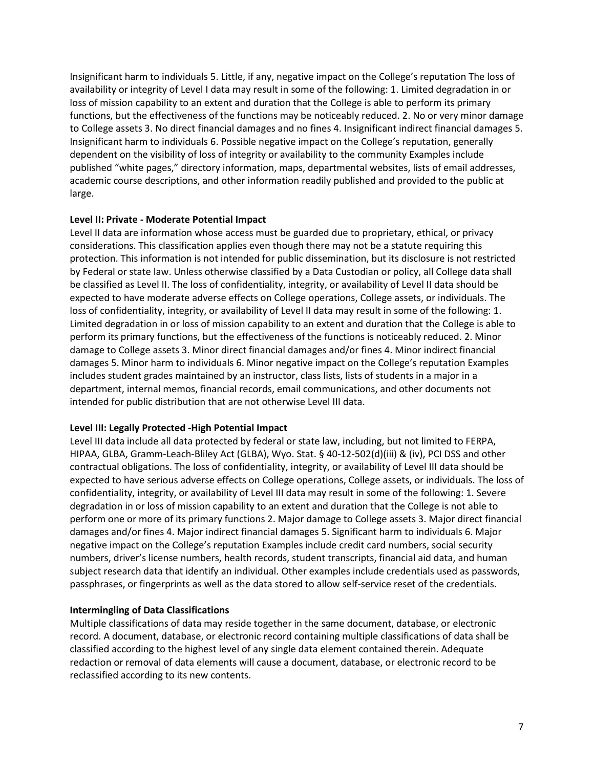Insignificant harm to individuals 5. Little, if any, negative impact on the College's reputation The loss of availability or integrity of Level I data may result in some of the following: 1. Limited degradation in or loss of mission capability to an extent and duration that the College is able to perform its primary functions, but the effectiveness of the functions may be noticeably reduced. 2. No or very minor damage to College assets 3. No direct financial damages and no fines 4. Insignificant indirect financial damages 5. Insignificant harm to individuals 6. Possible negative impact on the College's reputation, generally dependent on the visibility of loss of integrity or availability to the community Examples include published "white pages," directory information, maps, departmental websites, lists of email addresses, academic course descriptions, and other information readily published and provided to the public at large.

## **Level II: Private - Moderate Potential Impact**

Level II data are information whose access must be guarded due to proprietary, ethical, or privacy considerations. This classification applies even though there may not be a statute requiring this protection. This information is not intended for public dissemination, but its disclosure is not restricted by Federal or state law. Unless otherwise classified by a Data Custodian or policy, all College data shall be classified as Level II. The loss of confidentiality, integrity, or availability of Level II data should be expected to have moderate adverse effects on College operations, College assets, or individuals. The loss of confidentiality, integrity, or availability of Level II data may result in some of the following: 1. Limited degradation in or loss of mission capability to an extent and duration that the College is able to perform its primary functions, but the effectiveness of the functions is noticeably reduced. 2. Minor damage to College assets 3. Minor direct financial damages and/or fines 4. Minor indirect financial damages 5. Minor harm to individuals 6. Minor negative impact on the College's reputation Examples includes student grades maintained by an instructor, class lists, lists of students in a major in a department, internal memos, financial records, email communications, and other documents not intended for public distribution that are not otherwise Level III data.

## **Level III: Legally Protected -High Potential Impact**

Level III data include all data protected by federal or state law, including, but not limited to FERPA, HIPAA, GLBA, Gramm-Leach-Bliley Act (GLBA), Wyo. Stat. § 40-12-502(d)(iii) & (iv), PCI DSS and other contractual obligations. The loss of confidentiality, integrity, or availability of Level III data should be expected to have serious adverse effects on College operations, College assets, or individuals. The loss of confidentiality, integrity, or availability of Level III data may result in some of the following: 1. Severe degradation in or loss of mission capability to an extent and duration that the College is not able to perform one or more of its primary functions 2. Major damage to College assets 3. Major direct financial damages and/or fines 4. Major indirect financial damages 5. Significant harm to individuals 6. Major negative impact on the College's reputation Examples include credit card numbers, social security numbers, driver's license numbers, health records, student transcripts, financial aid data, and human subject research data that identify an individual. Other examples include credentials used as passwords, passphrases, or fingerprints as well as the data stored to allow self-service reset of the credentials.

## **Intermingling of Data Classifications**

Multiple classifications of data may reside together in the same document, database, or electronic record. A document, database, or electronic record containing multiple classifications of data shall be classified according to the highest level of any single data element contained therein. Adequate redaction or removal of data elements will cause a document, database, or electronic record to be reclassified according to its new contents.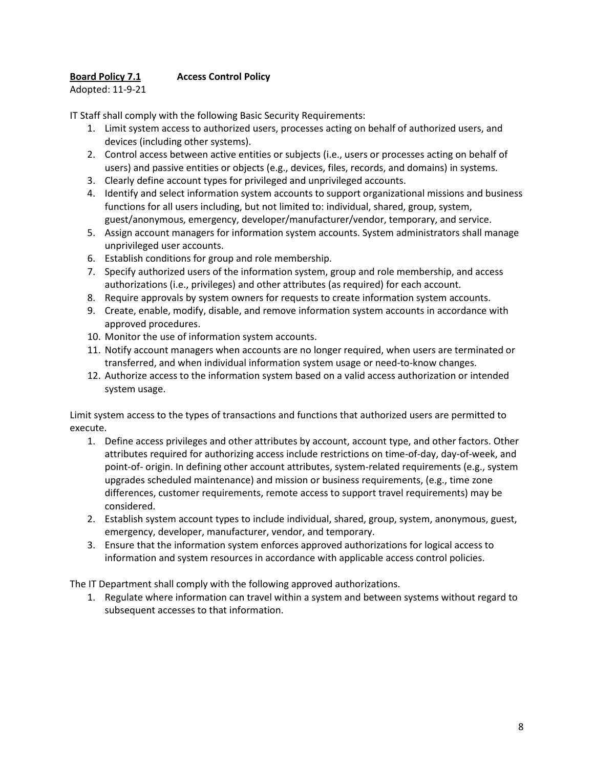## **Board Policy 7.1 Access Control Policy**

Adopted: 11-9-21

IT Staff shall comply with the following Basic Security Requirements:

- 1. Limit system access to authorized users, processes acting on behalf of authorized users, and devices (including other systems).
- 2. Control access between active entities or subjects (i.e., users or processes acting on behalf of users) and passive entities or objects (e.g., devices, files, records, and domains) in systems.
- 3. Clearly define account types for privileged and unprivileged accounts.
- 4. Identify and select information system accounts to support organizational missions and business functions for all users including, but not limited to: individual, shared, group, system, guest/anonymous, emergency, developer/manufacturer/vendor, temporary, and service.
- 5. Assign account managers for information system accounts. System administrators shall manage unprivileged user accounts.
- 6. Establish conditions for group and role membership.
- 7. Specify authorized users of the information system, group and role membership, and access authorizations (i.e., privileges) and other attributes (as required) for each account.
- 8. Require approvals by system owners for requests to create information system accounts.
- 9. Create, enable, modify, disable, and remove information system accounts in accordance with approved procedures.
- 10. Monitor the use of information system accounts.
- 11. Notify account managers when accounts are no longer required, when users are terminated or transferred, and when individual information system usage or need-to-know changes.
- 12. Authorize access to the information system based on a valid access authorization or intended system usage.

Limit system access to the types of transactions and functions that authorized users are permitted to execute.

- 1. Define access privileges and other attributes by account, account type, and other factors. Other attributes required for authorizing access include restrictions on time-of-day, day-of-week, and point-of- origin. In defining other account attributes, system-related requirements (e.g., system upgrades scheduled maintenance) and mission or business requirements, (e.g., time zone differences, customer requirements, remote access to support travel requirements) may be considered.
- 2. Establish system account types to include individual, shared, group, system, anonymous, guest, emergency, developer, manufacturer, vendor, and temporary.
- 3. Ensure that the information system enforces approved authorizations for logical access to information and system resources in accordance with applicable access control policies.

The IT Department shall comply with the following approved authorizations.

1. Regulate where information can travel within a system and between systems without regard to subsequent accesses to that information.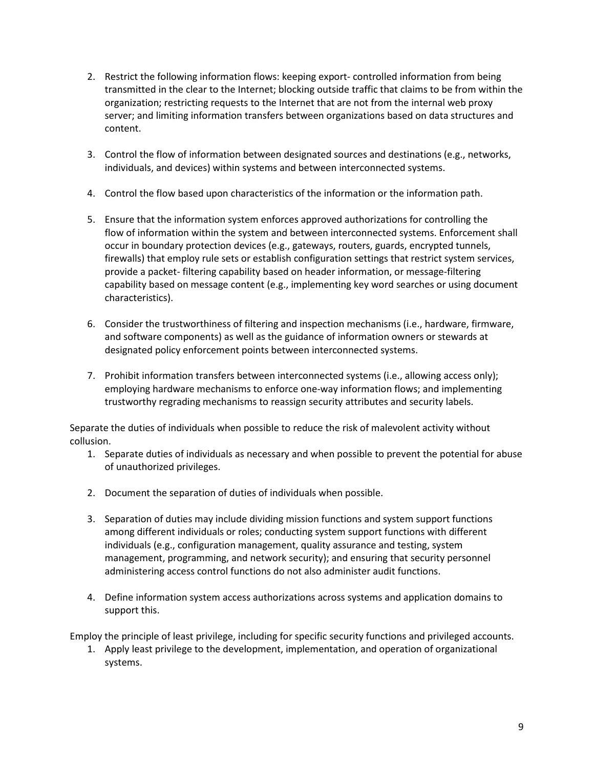- 2. Restrict the following information flows: keeping export- controlled information from being transmitted in the clear to the Internet; blocking outside traffic that claims to be from within the organization; restricting requests to the Internet that are not from the internal web proxy server; and limiting information transfers between organizations based on data structures and content.
- 3. Control the flow of information between designated sources and destinations (e.g., networks, individuals, and devices) within systems and between interconnected systems.
- 4. Control the flow based upon characteristics of the information or the information path.
- 5. Ensure that the information system enforces approved authorizations for controlling the flow of information within the system and between interconnected systems. Enforcement shall occur in boundary protection devices (e.g., gateways, routers, guards, encrypted tunnels, firewalls) that employ rule sets or establish configuration settings that restrict system services, provide a packet- filtering capability based on header information, or message-filtering capability based on message content (e.g., implementing key word searches or using document characteristics).
- 6. Consider the trustworthiness of filtering and inspection mechanisms (i.e., hardware, firmware, and software components) as well as the guidance of information owners or stewards at designated policy enforcement points between interconnected systems.
- 7. Prohibit information transfers between interconnected systems (i.e., allowing access only); employing hardware mechanisms to enforce one-way information flows; and implementing trustworthy regrading mechanisms to reassign security attributes and security labels.

Separate the duties of individuals when possible to reduce the risk of malevolent activity without collusion.

- 1. Separate duties of individuals as necessary and when possible to prevent the potential for abuse of unauthorized privileges.
- 2. Document the separation of duties of individuals when possible.
- 3. Separation of duties may include dividing mission functions and system support functions among different individuals or roles; conducting system support functions with different individuals (e.g., configuration management, quality assurance and testing, system management, programming, and network security); and ensuring that security personnel administering access control functions do not also administer audit functions.
- 4. Define information system access authorizations across systems and application domains to support this.

Employ the principle of least privilege, including for specific security functions and privileged accounts.

1. Apply least privilege to the development, implementation, and operation of organizational systems.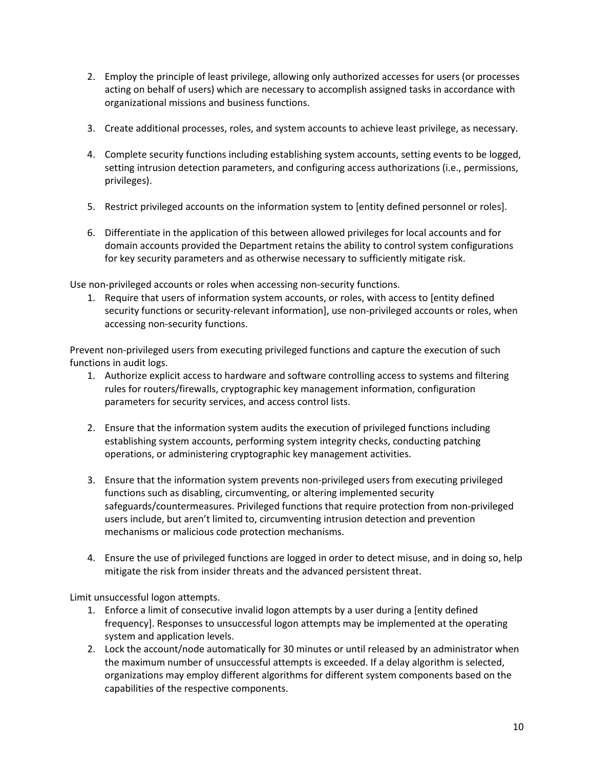- 2. Employ the principle of least privilege, allowing only authorized accesses for users (or processes acting on behalf of users) which are necessary to accomplish assigned tasks in accordance with organizational missions and business functions.
- 3. Create additional processes, roles, and system accounts to achieve least privilege, as necessary.
- 4. Complete security functions including establishing system accounts, setting events to be logged, setting intrusion detection parameters, and configuring access authorizations (i.e., permissions, privileges).
- 5. Restrict privileged accounts on the information system to [entity defined personnel or roles].
- 6. Differentiate in the application of this between allowed privileges for local accounts and for domain accounts provided the Department retains the ability to control system configurations for key security parameters and as otherwise necessary to sufficiently mitigate risk.

Use non-privileged accounts or roles when accessing non-security functions.

1. Require that users of information system accounts, or roles, with access to [entity defined security functions or security-relevant information], use non-privileged accounts or roles, when accessing non-security functions.

Prevent non-privileged users from executing privileged functions and capture the execution of such functions in audit logs.

- 1. Authorize explicit access to hardware and software controlling access to systems and filtering rules for routers/firewalls, cryptographic key management information, configuration parameters for security services, and access control lists.
- 2. Ensure that the information system audits the execution of privileged functions including establishing system accounts, performing system integrity checks, conducting patching operations, or administering cryptographic key management activities.
- 3. Ensure that the information system prevents non-privileged users from executing privileged functions such as disabling, circumventing, or altering implemented security safeguards/countermeasures. Privileged functions that require protection from non-privileged users include, but aren't limited to, circumventing intrusion detection and prevention mechanisms or malicious code protection mechanisms.
- 4. Ensure the use of privileged functions are logged in order to detect misuse, and in doing so, help mitigate the risk from insider threats and the advanced persistent threat.

Limit unsuccessful logon attempts.

- 1. Enforce a limit of consecutive invalid logon attempts by a user during a [entity defined frequency]. Responses to unsuccessful logon attempts may be implemented at the operating system and application levels.
- 2. Lock the account/node automatically for 30 minutes or until released by an administrator when the maximum number of unsuccessful attempts is exceeded. If a delay algorithm is selected, organizations may employ different algorithms for different system components based on the capabilities of the respective components.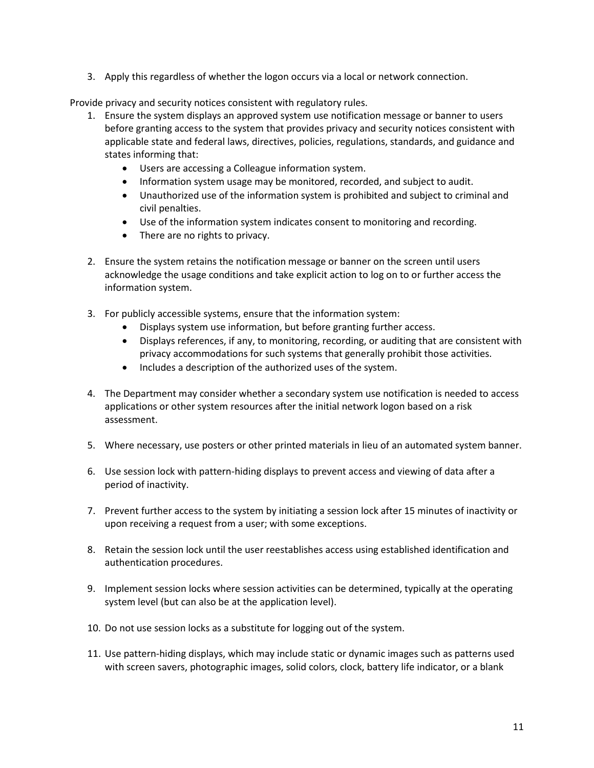3. Apply this regardless of whether the logon occurs via a local or network connection.

Provide privacy and security notices consistent with regulatory rules.

- 1. Ensure the system displays an approved system use notification message or banner to users before granting access to the system that provides privacy and security notices consistent with applicable state and federal laws, directives, policies, regulations, standards, and guidance and states informing that:
	- Users are accessing a Colleague information system.
	- Information system usage may be monitored, recorded, and subject to audit.
	- Unauthorized use of the information system is prohibited and subject to criminal and civil penalties.
	- Use of the information system indicates consent to monitoring and recording.
	- There are no rights to privacy.
- 2. Ensure the system retains the notification message or banner on the screen until users acknowledge the usage conditions and take explicit action to log on to or further access the information system.
- 3. For publicly accessible systems, ensure that the information system:
	- Displays system use information, but before granting further access.
	- Displays references, if any, to monitoring, recording, or auditing that are consistent with privacy accommodations for such systems that generally prohibit those activities.
	- Includes a description of the authorized uses of the system.
- 4. The Department may consider whether a secondary system use notification is needed to access applications or other system resources after the initial network logon based on a risk assessment.
- 5. Where necessary, use posters or other printed materials in lieu of an automated system banner.
- 6. Use session lock with pattern-hiding displays to prevent access and viewing of data after a period of inactivity.
- 7. Prevent further access to the system by initiating a session lock after 15 minutes of inactivity or upon receiving a request from a user; with some exceptions.
- 8. Retain the session lock until the user reestablishes access using established identification and authentication procedures.
- 9. Implement session locks where session activities can be determined, typically at the operating system level (but can also be at the application level).
- 10. Do not use session locks as a substitute for logging out of the system.
- 11. Use pattern-hiding displays, which may include static or dynamic images such as patterns used with screen savers, photographic images, solid colors, clock, battery life indicator, or a blank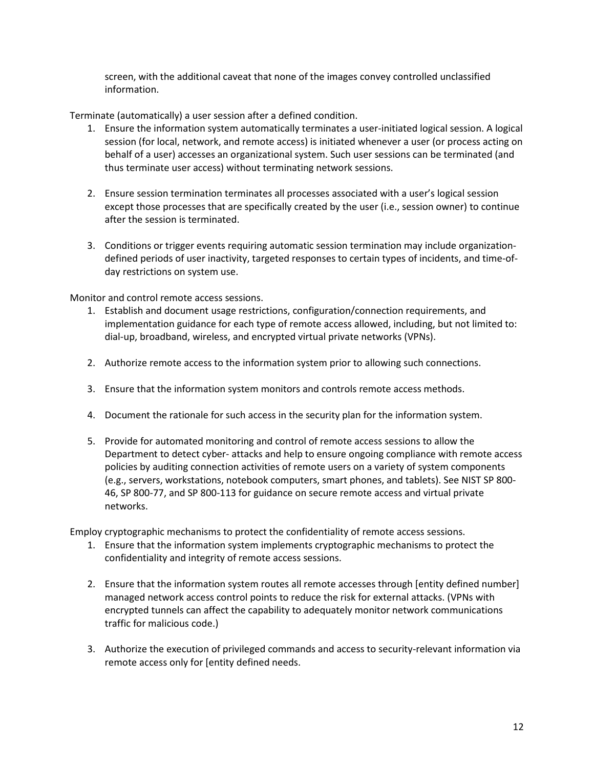screen, with the additional caveat that none of the images convey controlled unclassified information.

Terminate (automatically) a user session after a defined condition.

- 1. Ensure the information system automatically terminates a user-initiated logical session. A logical session (for local, network, and remote access) is initiated whenever a user (or process acting on behalf of a user) accesses an organizational system. Such user sessions can be terminated (and thus terminate user access) without terminating network sessions.
- 2. Ensure session termination terminates all processes associated with a user's logical session except those processes that are specifically created by the user (i.e., session owner) to continue after the session is terminated.
- 3. Conditions or trigger events requiring automatic session termination may include organizationdefined periods of user inactivity, targeted responses to certain types of incidents, and time-ofday restrictions on system use.

Monitor and control remote access sessions.

- 1. Establish and document usage restrictions, configuration/connection requirements, and implementation guidance for each type of remote access allowed, including, but not limited to: dial-up, broadband, wireless, and encrypted virtual private networks (VPNs).
- 2. Authorize remote access to the information system prior to allowing such connections.
- 3. Ensure that the information system monitors and controls remote access methods.
- 4. Document the rationale for such access in the security plan for the information system.
- 5. Provide for automated monitoring and control of remote access sessions to allow the Department to detect cyber- attacks and help to ensure ongoing compliance with remote access policies by auditing connection activities of remote users on a variety of system components (e.g., servers, workstations, notebook computers, smart phones, and tablets). See NIST SP 800- 46, SP 800-77, and SP 800-113 for guidance on secure remote access and virtual private networks.

Employ cryptographic mechanisms to protect the confidentiality of remote access sessions.

- 1. Ensure that the information system implements cryptographic mechanisms to protect the confidentiality and integrity of remote access sessions.
- 2. Ensure that the information system routes all remote accesses through [entity defined number] managed network access control points to reduce the risk for external attacks. (VPNs with encrypted tunnels can affect the capability to adequately monitor network communications traffic for malicious code.)
- 3. Authorize the execution of privileged commands and access to security-relevant information via remote access only for [entity defined needs.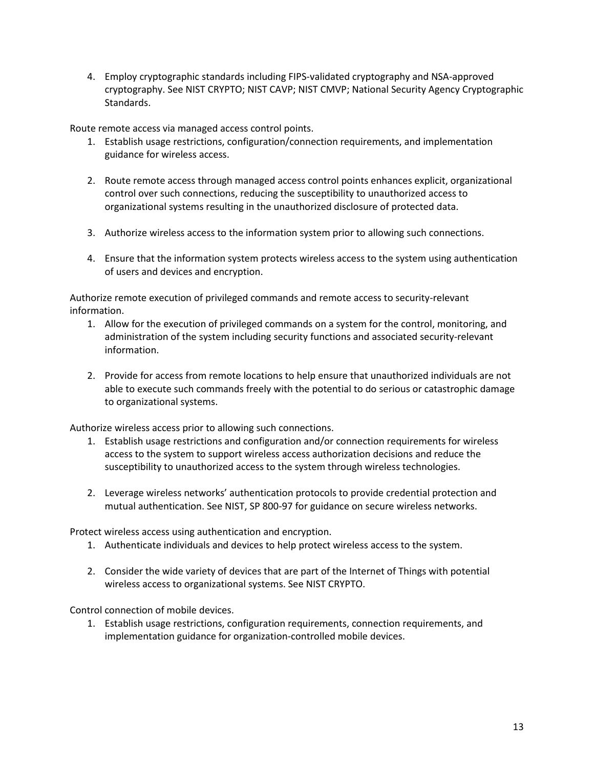4. Employ cryptographic standards including FIPS-validated cryptography and NSA-approved cryptography. See NIST CRYPTO; NIST CAVP; NIST CMVP; National Security Agency Cryptographic Standards.

Route remote access via managed access control points.

- 1. Establish usage restrictions, configuration/connection requirements, and implementation guidance for wireless access.
- 2. Route remote access through managed access control points enhances explicit, organizational control over such connections, reducing the susceptibility to unauthorized access to organizational systems resulting in the unauthorized disclosure of protected data.
- 3. Authorize wireless access to the information system prior to allowing such connections.
- 4. Ensure that the information system protects wireless access to the system using authentication of users and devices and encryption.

Authorize remote execution of privileged commands and remote access to security-relevant information.

- 1. Allow for the execution of privileged commands on a system for the control, monitoring, and administration of the system including security functions and associated security-relevant information.
- 2. Provide for access from remote locations to help ensure that unauthorized individuals are not able to execute such commands freely with the potential to do serious or catastrophic damage to organizational systems.

Authorize wireless access prior to allowing such connections.

- 1. Establish usage restrictions and configuration and/or connection requirements for wireless access to the system to support wireless access authorization decisions and reduce the susceptibility to unauthorized access to the system through wireless technologies.
- 2. Leverage wireless networks' authentication protocols to provide credential protection and mutual authentication. See NIST, SP 800-97 for guidance on secure wireless networks.

Protect wireless access using authentication and encryption.

- 1. Authenticate individuals and devices to help protect wireless access to the system.
- 2. Consider the wide variety of devices that are part of the Internet of Things with potential wireless access to organizational systems. See NIST CRYPTO.

Control connection of mobile devices.

1. Establish usage restrictions, configuration requirements, connection requirements, and implementation guidance for organization-controlled mobile devices.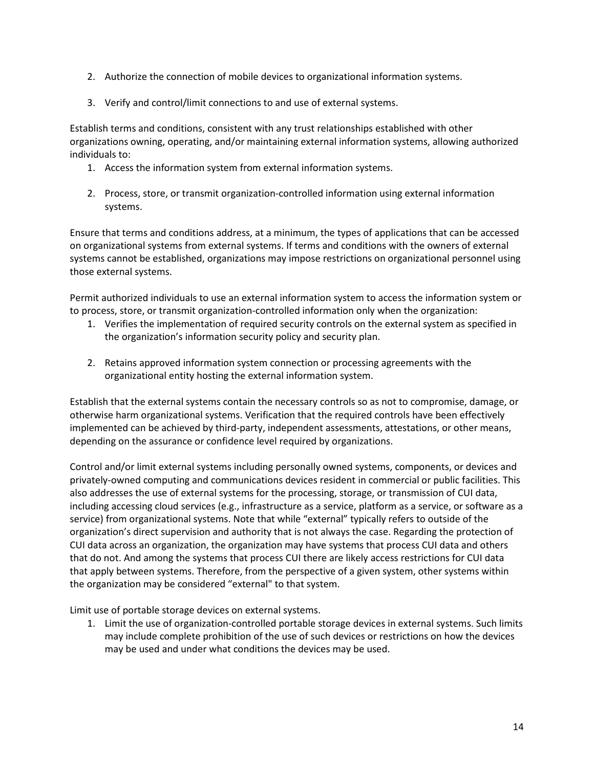- 2. Authorize the connection of mobile devices to organizational information systems.
- 3. Verify and control/limit connections to and use of external systems.

Establish terms and conditions, consistent with any trust relationships established with other organizations owning, operating, and/or maintaining external information systems, allowing authorized individuals to:

- 1. Access the information system from external information systems.
- 2. Process, store, or transmit organization-controlled information using external information systems.

Ensure that terms and conditions address, at a minimum, the types of applications that can be accessed on organizational systems from external systems. If terms and conditions with the owners of external systems cannot be established, organizations may impose restrictions on organizational personnel using those external systems.

Permit authorized individuals to use an external information system to access the information system or to process, store, or transmit organization-controlled information only when the organization:

- 1. Verifies the implementation of required security controls on the external system as specified in the organization's information security policy and security plan.
- 2. Retains approved information system connection or processing agreements with the organizational entity hosting the external information system.

Establish that the external systems contain the necessary controls so as not to compromise, damage, or otherwise harm organizational systems. Verification that the required controls have been effectively implemented can be achieved by third-party, independent assessments, attestations, or other means, depending on the assurance or confidence level required by organizations.

Control and/or limit external systems including personally owned systems, components, or devices and privately-owned computing and communications devices resident in commercial or public facilities. This also addresses the use of external systems for the processing, storage, or transmission of CUI data, including accessing cloud services (e.g., infrastructure as a service, platform as a service, or software as a service) from organizational systems. Note that while "external" typically refers to outside of the organization's direct supervision and authority that is not always the case. Regarding the protection of CUI data across an organization, the organization may have systems that process CUI data and others that do not. And among the systems that process CUI there are likely access restrictions for CUI data that apply between systems. Therefore, from the perspective of a given system, other systems within the organization may be considered "external" to that system.

Limit use of portable storage devices on external systems.

1. Limit the use of organization-controlled portable storage devices in external systems. Such limits may include complete prohibition of the use of such devices or restrictions on how the devices may be used and under what conditions the devices may be used.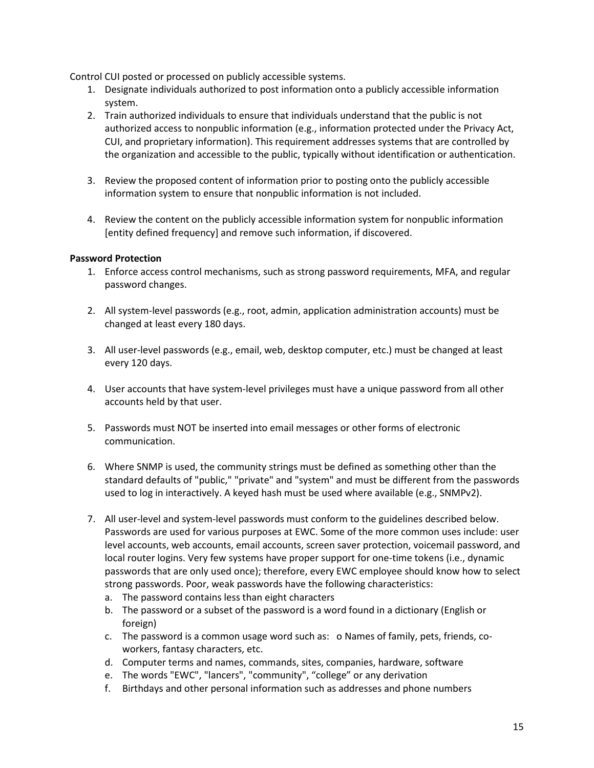Control CUI posted or processed on publicly accessible systems.

- 1. Designate individuals authorized to post information onto a publicly accessible information system.
- 2. Train authorized individuals to ensure that individuals understand that the public is not authorized access to nonpublic information (e.g., information protected under the Privacy Act, CUI, and proprietary information). This requirement addresses systems that are controlled by the organization and accessible to the public, typically without identification or authentication.
- 3. Review the proposed content of information prior to posting onto the publicly accessible information system to ensure that nonpublic information is not included.
- 4. Review the content on the publicly accessible information system for nonpublic information [entity defined frequency] and remove such information, if discovered.

## **Password Protection**

- 1. Enforce access control mechanisms, such as strong password requirements, MFA, and regular password changes.
- 2. All system-level passwords (e.g., root, admin, application administration accounts) must be changed at least every 180 days.
- 3. All user-level passwords (e.g., email, web, desktop computer, etc.) must be changed at least every 120 days.
- 4. User accounts that have system-level privileges must have a unique password from all other accounts held by that user.
- 5. Passwords must NOT be inserted into email messages or other forms of electronic communication.
- 6. Where SNMP is used, the community strings must be defined as something other than the standard defaults of "public," "private" and "system" and must be different from the passwords used to log in interactively. A keyed hash must be used where available (e.g., SNMPv2).
- 7. All user-level and system-level passwords must conform to the guidelines described below. Passwords are used for various purposes at EWC. Some of the more common uses include: user level accounts, web accounts, email accounts, screen saver protection, voicemail password, and local router logins. Very few systems have proper support for one-time tokens (i.e., dynamic passwords that are only used once); therefore, every EWC employee should know how to select strong passwords. Poor, weak passwords have the following characteristics:
	- a. The password contains less than eight characters
	- b. The password or a subset of the password is a word found in a dictionary (English or foreign)
	- c. The password is a common usage word such as: o Names of family, pets, friends, coworkers, fantasy characters, etc.
	- d. Computer terms and names, commands, sites, companies, hardware, software
	- e. The words "EWC", "lancers", "community", "college" or any derivation
	- f. Birthdays and other personal information such as addresses and phone numbers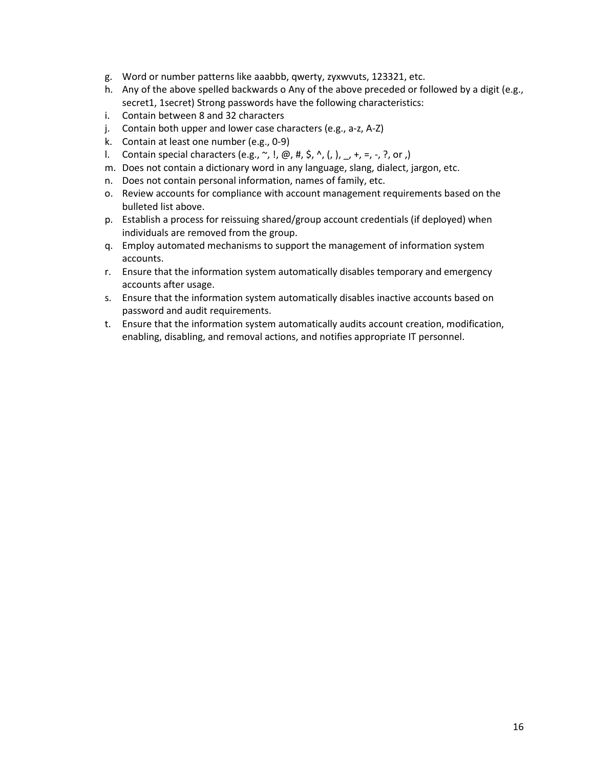- g. Word or number patterns like aaabbb, qwerty, zyxwvuts, 123321, etc.
- h. Any of the above spelled backwards o Any of the above preceded or followed by a digit (e.g., secret1, 1secret) Strong passwords have the following characteristics:
- i. Contain between 8 and 32 characters
- j. Contain both upper and lower case characters (e.g., a-z, A-Z)
- k. Contain at least one number (e.g., 0-9)
- l. Contain special characters (e.g.,  $\sim$ , !,  $\omega$ , #, \$,  $\wedge$ , (, ),  $\rightarrow$  +, =, -, ?, or ,)
- m. Does not contain a dictionary word in any language, slang, dialect, jargon, etc.
- n. Does not contain personal information, names of family, etc.
- o. Review accounts for compliance with account management requirements based on the bulleted list above.
- p. Establish a process for reissuing shared/group account credentials (if deployed) when individuals are removed from the group.
- q. Employ automated mechanisms to support the management of information system accounts.
- r. Ensure that the information system automatically disables temporary and emergency accounts after usage.
- s. Ensure that the information system automatically disables inactive accounts based on password and audit requirements.
- t. Ensure that the information system automatically audits account creation, modification, enabling, disabling, and removal actions, and notifies appropriate IT personnel.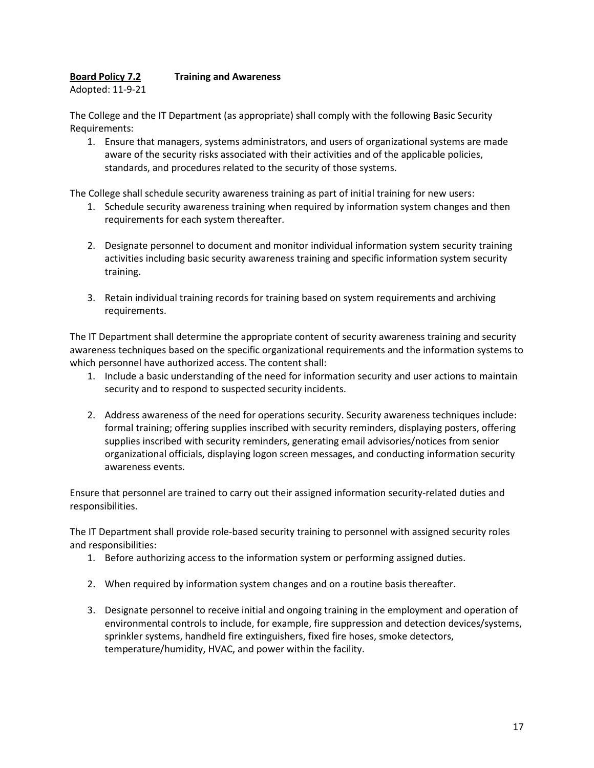## **Board Policy 7.2 Training and Awareness**

Adopted: 11-9-21

The College and the IT Department (as appropriate) shall comply with the following Basic Security Requirements:

1. Ensure that managers, systems administrators, and users of organizational systems are made aware of the security risks associated with their activities and of the applicable policies, standards, and procedures related to the security of those systems.

The College shall schedule security awareness training as part of initial training for new users:

- 1. Schedule security awareness training when required by information system changes and then requirements for each system thereafter.
- 2. Designate personnel to document and monitor individual information system security training activities including basic security awareness training and specific information system security training.
- 3. Retain individual training records for training based on system requirements and archiving requirements.

The IT Department shall determine the appropriate content of security awareness training and security awareness techniques based on the specific organizational requirements and the information systems to which personnel have authorized access. The content shall:

- 1. Include a basic understanding of the need for information security and user actions to maintain security and to respond to suspected security incidents.
- 2. Address awareness of the need for operations security. Security awareness techniques include: formal training; offering supplies inscribed with security reminders, displaying posters, offering supplies inscribed with security reminders, generating email advisories/notices from senior organizational officials, displaying logon screen messages, and conducting information security awareness events.

Ensure that personnel are trained to carry out their assigned information security-related duties and responsibilities.

The IT Department shall provide role-based security training to personnel with assigned security roles and responsibilities:

- 1. Before authorizing access to the information system or performing assigned duties.
- 2. When required by information system changes and on a routine basis thereafter.
- 3. Designate personnel to receive initial and ongoing training in the employment and operation of environmental controls to include, for example, fire suppression and detection devices/systems, sprinkler systems, handheld fire extinguishers, fixed fire hoses, smoke detectors, temperature/humidity, HVAC, and power within the facility.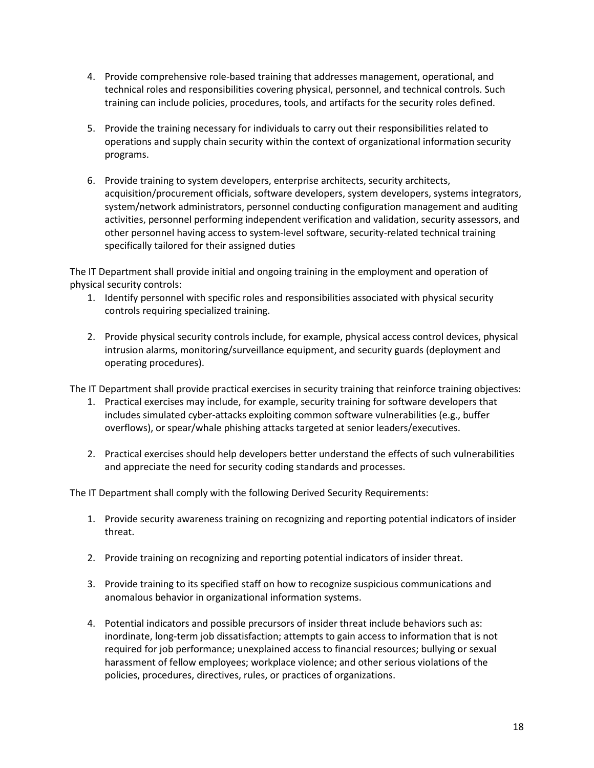- 4. Provide comprehensive role-based training that addresses management, operational, and technical roles and responsibilities covering physical, personnel, and technical controls. Such training can include policies, procedures, tools, and artifacts for the security roles defined.
- 5. Provide the training necessary for individuals to carry out their responsibilities related to operations and supply chain security within the context of organizational information security programs.
- 6. Provide training to system developers, enterprise architects, security architects, acquisition/procurement officials, software developers, system developers, systems integrators, system/network administrators, personnel conducting configuration management and auditing activities, personnel performing independent verification and validation, security assessors, and other personnel having access to system-level software, security-related technical training specifically tailored for their assigned duties

The IT Department shall provide initial and ongoing training in the employment and operation of physical security controls:

- 1. Identify personnel with specific roles and responsibilities associated with physical security controls requiring specialized training.
- 2. Provide physical security controls include, for example, physical access control devices, physical intrusion alarms, monitoring/surveillance equipment, and security guards (deployment and operating procedures).

The IT Department shall provide practical exercises in security training that reinforce training objectives:

- 1. Practical exercises may include, for example, security training for software developers that includes simulated cyber-attacks exploiting common software vulnerabilities (e.g., buffer overflows), or spear/whale phishing attacks targeted at senior leaders/executives.
- 2. Practical exercises should help developers better understand the effects of such vulnerabilities and appreciate the need for security coding standards and processes.

The IT Department shall comply with the following Derived Security Requirements:

- 1. Provide security awareness training on recognizing and reporting potential indicators of insider threat.
- 2. Provide training on recognizing and reporting potential indicators of insider threat.
- 3. Provide training to its specified staff on how to recognize suspicious communications and anomalous behavior in organizational information systems.
- 4. Potential indicators and possible precursors of insider threat include behaviors such as: inordinate, long-term job dissatisfaction; attempts to gain access to information that is not required for job performance; unexplained access to financial resources; bullying or sexual harassment of fellow employees; workplace violence; and other serious violations of the policies, procedures, directives, rules, or practices of organizations.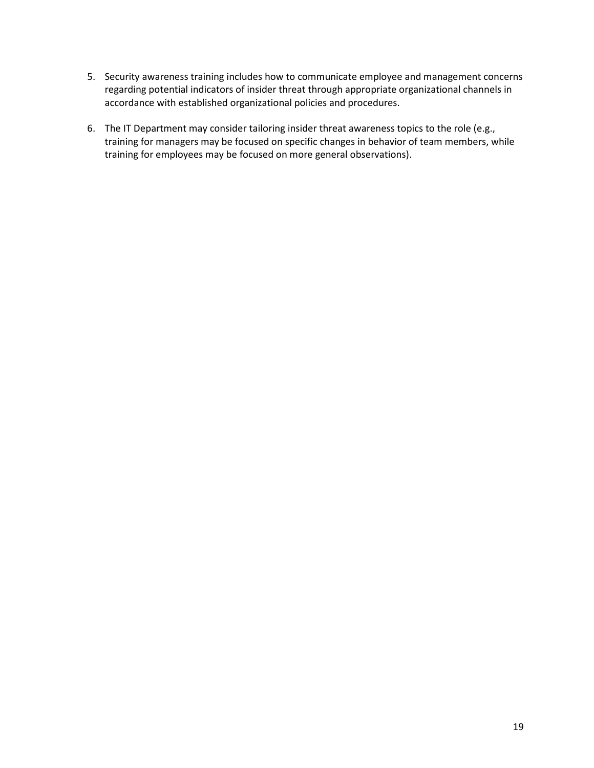- 5. Security awareness training includes how to communicate employee and management concerns regarding potential indicators of insider threat through appropriate organizational channels in accordance with established organizational policies and procedures.
- 6. The IT Department may consider tailoring insider threat awareness topics to the role (e.g., training for managers may be focused on specific changes in behavior of team members, while training for employees may be focused on more general observations).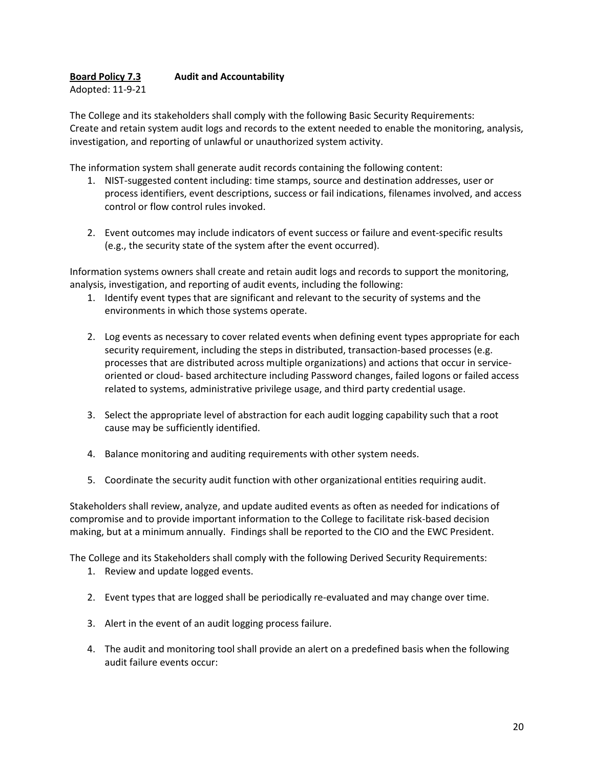## **Board Policy 7.3 Audit and Accountability** Adopted: 11-9-21

The College and its stakeholders shall comply with the following Basic Security Requirements: Create and retain system audit logs and records to the extent needed to enable the monitoring, analysis, investigation, and reporting of unlawful or unauthorized system activity.

The information system shall generate audit records containing the following content:

- 1. NIST-suggested content including: time stamps, source and destination addresses, user or process identifiers, event descriptions, success or fail indications, filenames involved, and access control or flow control rules invoked.
- 2. Event outcomes may include indicators of event success or failure and event-specific results (e.g., the security state of the system after the event occurred).

Information systems owners shall create and retain audit logs and records to support the monitoring, analysis, investigation, and reporting of audit events, including the following:

- 1. Identify event types that are significant and relevant to the security of systems and the environments in which those systems operate.
- 2. Log events as necessary to cover related events when defining event types appropriate for each security requirement, including the steps in distributed, transaction-based processes (e.g. processes that are distributed across multiple organizations) and actions that occur in serviceoriented or cloud- based architecture including Password changes, failed logons or failed access related to systems, administrative privilege usage, and third party credential usage.
- 3. Select the appropriate level of abstraction for each audit logging capability such that a root cause may be sufficiently identified.
- 4. Balance monitoring and auditing requirements with other system needs.
- 5. Coordinate the security audit function with other organizational entities requiring audit.

Stakeholders shall review, analyze, and update audited events as often as needed for indications of compromise and to provide important information to the College to facilitate risk-based decision making, but at a minimum annually. Findings shall be reported to the CIO and the EWC President.

The College and its Stakeholders shall comply with the following Derived Security Requirements:

- 1. Review and update logged events.
- 2. Event types that are logged shall be periodically re-evaluated and may change over time.
- 3. Alert in the event of an audit logging process failure.
- 4. The audit and monitoring tool shall provide an alert on a predefined basis when the following audit failure events occur: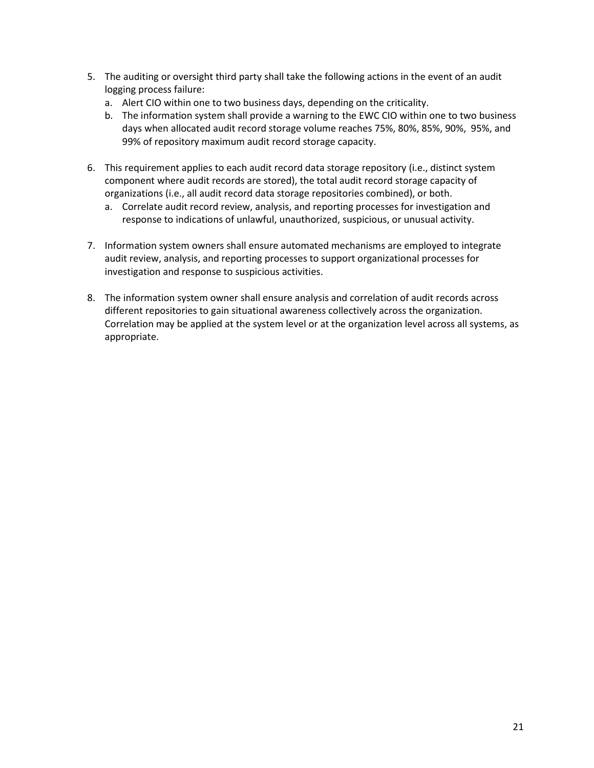- 5. The auditing or oversight third party shall take the following actions in the event of an audit logging process failure:
	- a. Alert CIO within one to two business days, depending on the criticality.
	- b. The information system shall provide a warning to the EWC CIO within one to two business days when allocated audit record storage volume reaches 75%, 80%, 85%, 90%, 95%, and 99% of repository maximum audit record storage capacity.
- 6. This requirement applies to each audit record data storage repository (i.e., distinct system component where audit records are stored), the total audit record storage capacity of organizations (i.e., all audit record data storage repositories combined), or both.
	- a. Correlate audit record review, analysis, and reporting processes for investigation and response to indications of unlawful, unauthorized, suspicious, or unusual activity.
- 7. Information system owners shall ensure automated mechanisms are employed to integrate audit review, analysis, and reporting processes to support organizational processes for investigation and response to suspicious activities.
- 8. The information system owner shall ensure analysis and correlation of audit records across different repositories to gain situational awareness collectively across the organization. Correlation may be applied at the system level or at the organization level across all systems, as appropriate.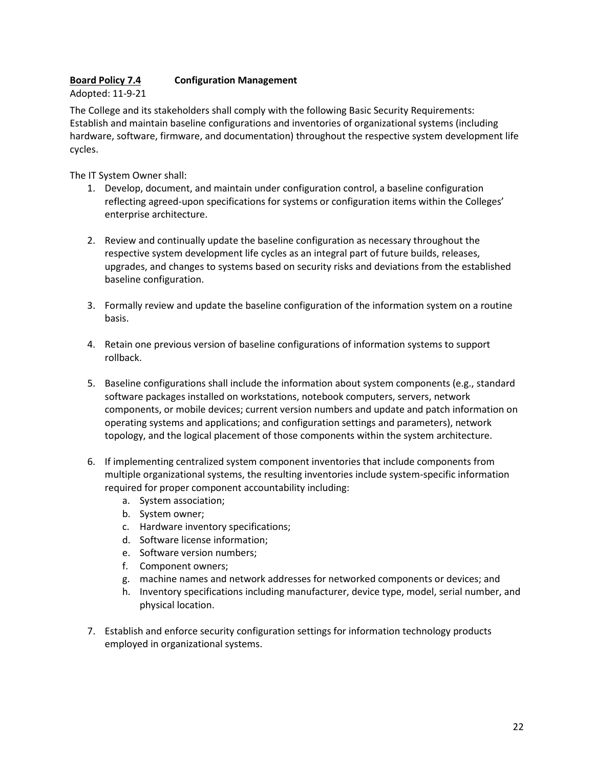## **Board Policy 7.4 Configuration Management**

Adopted: 11-9-21

The College and its stakeholders shall comply with the following Basic Security Requirements: Establish and maintain baseline configurations and inventories of organizational systems (including hardware, software, firmware, and documentation) throughout the respective system development life cycles.

The IT System Owner shall:

- 1. Develop, document, and maintain under configuration control, a baseline configuration reflecting agreed-upon specifications for systems or configuration items within the Colleges' enterprise architecture.
- 2. Review and continually update the baseline configuration as necessary throughout the respective system development life cycles as an integral part of future builds, releases, upgrades, and changes to systems based on security risks and deviations from the established baseline configuration.
- 3. Formally review and update the baseline configuration of the information system on a routine basis.
- 4. Retain one previous version of baseline configurations of information systems to support rollback.
- 5. Baseline configurations shall include the information about system components (e.g., standard software packages installed on workstations, notebook computers, servers, network components, or mobile devices; current version numbers and update and patch information on operating systems and applications; and configuration settings and parameters), network topology, and the logical placement of those components within the system architecture.
- 6. If implementing centralized system component inventories that include components from multiple organizational systems, the resulting inventories include system-specific information required for proper component accountability including:
	- a. System association;
	- b. System owner;
	- c. Hardware inventory specifications;
	- d. Software license information;
	- e. Software version numbers;
	- f. Component owners;
	- g. machine names and network addresses for networked components or devices; and
	- h. Inventory specifications including manufacturer, device type, model, serial number, and physical location.
- 7. Establish and enforce security configuration settings for information technology products employed in organizational systems.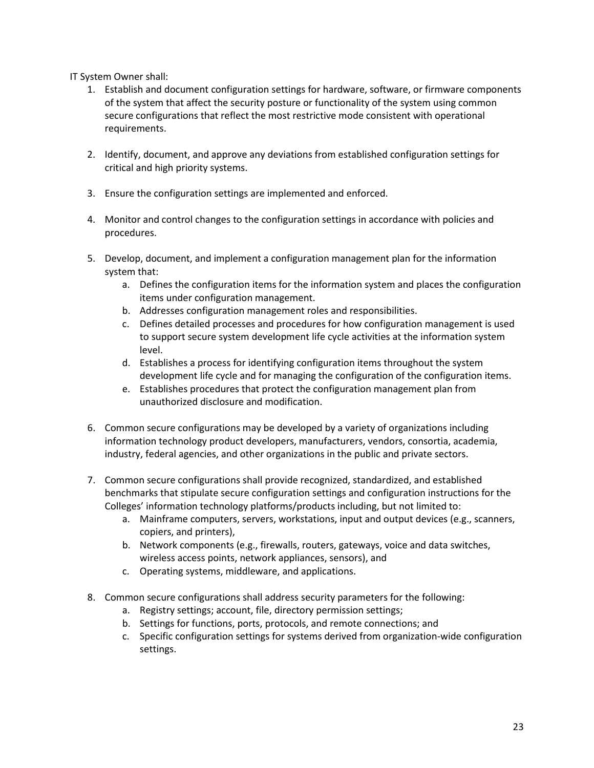IT System Owner shall:

- 1. Establish and document configuration settings for hardware, software, or firmware components of the system that affect the security posture or functionality of the system using common secure configurations that reflect the most restrictive mode consistent with operational requirements.
- 2. Identify, document, and approve any deviations from established configuration settings for critical and high priority systems.
- 3. Ensure the configuration settings are implemented and enforced.
- 4. Monitor and control changes to the configuration settings in accordance with policies and procedures.
- 5. Develop, document, and implement a configuration management plan for the information system that:
	- a. Defines the configuration items for the information system and places the configuration items under configuration management.
	- b. Addresses configuration management roles and responsibilities.
	- c. Defines detailed processes and procedures for how configuration management is used to support secure system development life cycle activities at the information system level.
	- d. Establishes a process for identifying configuration items throughout the system development life cycle and for managing the configuration of the configuration items.
	- e. Establishes procedures that protect the configuration management plan from unauthorized disclosure and modification.
- 6. Common secure configurations may be developed by a variety of organizations including information technology product developers, manufacturers, vendors, consortia, academia, industry, federal agencies, and other organizations in the public and private sectors.
- 7. Common secure configurations shall provide recognized, standardized, and established benchmarks that stipulate secure configuration settings and configuration instructions for the Colleges' information technology platforms/products including, but not limited to:
	- a. Mainframe computers, servers, workstations, input and output devices (e.g., scanners, copiers, and printers),
	- b. Network components (e.g., firewalls, routers, gateways, voice and data switches, wireless access points, network appliances, sensors), and
	- c. Operating systems, middleware, and applications.
- 8. Common secure configurations shall address security parameters for the following:
	- a. Registry settings; account, file, directory permission settings;
	- b. Settings for functions, ports, protocols, and remote connections; and
	- c. Specific configuration settings for systems derived from organization-wide configuration settings.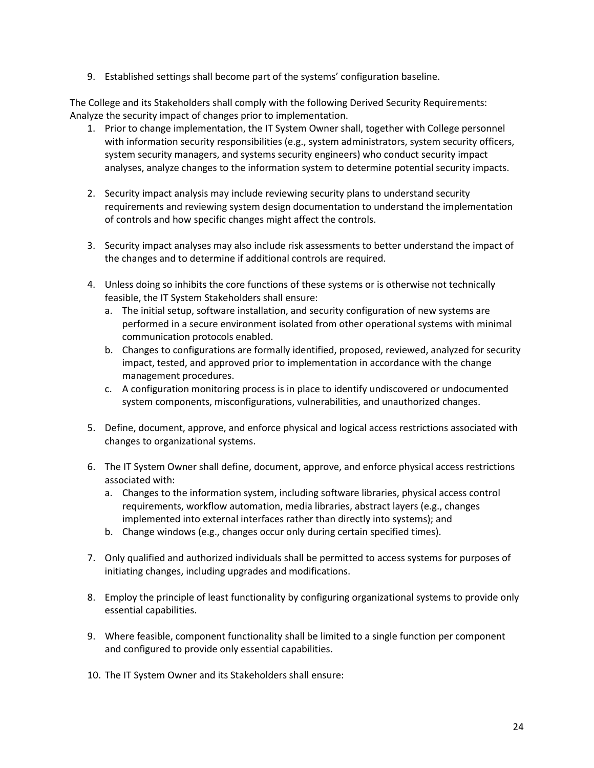9. Established settings shall become part of the systems' configuration baseline.

The College and its Stakeholders shall comply with the following Derived Security Requirements: Analyze the security impact of changes prior to implementation.

- 1. Prior to change implementation, the IT System Owner shall, together with College personnel with information security responsibilities (e.g., system administrators, system security officers, system security managers, and systems security engineers) who conduct security impact analyses, analyze changes to the information system to determine potential security impacts.
- 2. Security impact analysis may include reviewing security plans to understand security requirements and reviewing system design documentation to understand the implementation of controls and how specific changes might affect the controls.
- 3. Security impact analyses may also include risk assessments to better understand the impact of the changes and to determine if additional controls are required.
- 4. Unless doing so inhibits the core functions of these systems or is otherwise not technically feasible, the IT System Stakeholders shall ensure:
	- a. The initial setup, software installation, and security configuration of new systems are performed in a secure environment isolated from other operational systems with minimal communication protocols enabled.
	- b. Changes to configurations are formally identified, proposed, reviewed, analyzed for security impact, tested, and approved prior to implementation in accordance with the change management procedures.
	- c. A configuration monitoring process is in place to identify undiscovered or undocumented system components, misconfigurations, vulnerabilities, and unauthorized changes.
- 5. Define, document, approve, and enforce physical and logical access restrictions associated with changes to organizational systems.
- 6. The IT System Owner shall define, document, approve, and enforce physical access restrictions associated with:
	- a. Changes to the information system, including software libraries, physical access control requirements, workflow automation, media libraries, abstract layers (e.g., changes implemented into external interfaces rather than directly into systems); and
	- b. Change windows (e.g., changes occur only during certain specified times).
- 7. Only qualified and authorized individuals shall be permitted to access systems for purposes of initiating changes, including upgrades and modifications.
- 8. Employ the principle of least functionality by configuring organizational systems to provide only essential capabilities.
- 9. Where feasible, component functionality shall be limited to a single function per component and configured to provide only essential capabilities.
- 10. The IT System Owner and its Stakeholders shall ensure: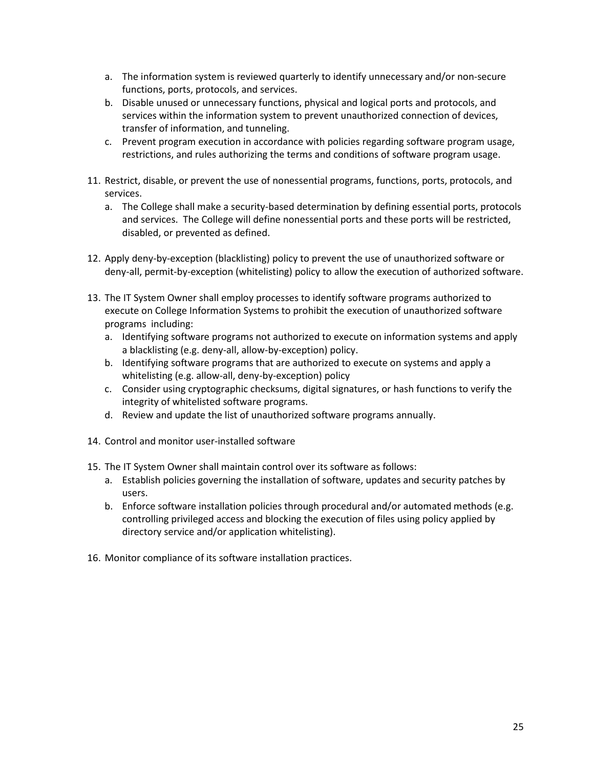- a. The information system is reviewed quarterly to identify unnecessary and/or non-secure functions, ports, protocols, and services.
- b. Disable unused or unnecessary functions, physical and logical ports and protocols, and services within the information system to prevent unauthorized connection of devices, transfer of information, and tunneling.
- c. Prevent program execution in accordance with policies regarding software program usage, restrictions, and rules authorizing the terms and conditions of software program usage.
- 11. Restrict, disable, or prevent the use of nonessential programs, functions, ports, protocols, and services.
	- a. The College shall make a security-based determination by defining essential ports, protocols and services. The College will define nonessential ports and these ports will be restricted, disabled, or prevented as defined.
- 12. Apply deny-by-exception (blacklisting) policy to prevent the use of unauthorized software or deny-all, permit-by-exception (whitelisting) policy to allow the execution of authorized software.
- 13. The IT System Owner shall employ processes to identify software programs authorized to execute on College Information Systems to prohibit the execution of unauthorized software programs including:
	- a. Identifying software programs not authorized to execute on information systems and apply a blacklisting (e.g. deny-all, allow-by-exception) policy.
	- b. Identifying software programs that are authorized to execute on systems and apply a whitelisting (e.g. allow-all, deny-by-exception) policy
	- c. Consider using cryptographic checksums, digital signatures, or hash functions to verify the integrity of whitelisted software programs.
	- d. Review and update the list of unauthorized software programs annually.
- 14. Control and monitor user-installed software
- 15. The IT System Owner shall maintain control over its software as follows:
	- a. Establish policies governing the installation of software, updates and security patches by users.
	- b. Enforce software installation policies through procedural and/or automated methods (e.g. controlling privileged access and blocking the execution of files using policy applied by directory service and/or application whitelisting).
- 16. Monitor compliance of its software installation practices.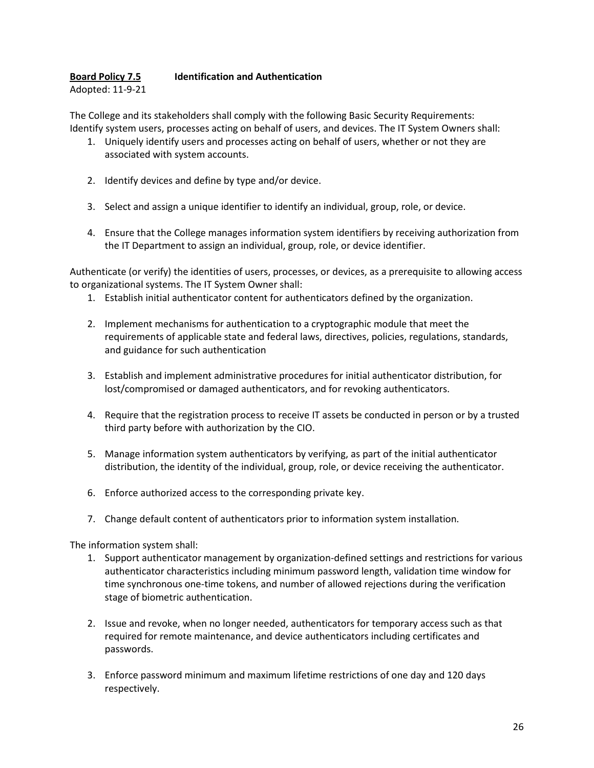## **Board Policy 7.5 Identification and Authentication**

Adopted: 11-9-21

The College and its stakeholders shall comply with the following Basic Security Requirements: Identify system users, processes acting on behalf of users, and devices. The IT System Owners shall:

- 1. Uniquely identify users and processes acting on behalf of users, whether or not they are associated with system accounts.
- 2. Identify devices and define by type and/or device.
- 3. Select and assign a unique identifier to identify an individual, group, role, or device.
- 4. Ensure that the College manages information system identifiers by receiving authorization from the IT Department to assign an individual, group, role, or device identifier.

Authenticate (or verify) the identities of users, processes, or devices, as a prerequisite to allowing access to organizational systems. The IT System Owner shall:

- 1. Establish initial authenticator content for authenticators defined by the organization.
- 2. Implement mechanisms for authentication to a cryptographic module that meet the requirements of applicable state and federal laws, directives, policies, regulations, standards, and guidance for such authentication
- 3. Establish and implement administrative procedures for initial authenticator distribution, for lost/compromised or damaged authenticators, and for revoking authenticators.
- 4. Require that the registration process to receive IT assets be conducted in person or by a trusted third party before with authorization by the CIO.
- 5. Manage information system authenticators by verifying, as part of the initial authenticator distribution, the identity of the individual, group, role, or device receiving the authenticator.
- 6. Enforce authorized access to the corresponding private key.
- 7. Change default content of authenticators prior to information system installation.

The information system shall:

- 1. Support authenticator management by organization-defined settings and restrictions for various authenticator characteristics including minimum password length, validation time window for time synchronous one-time tokens, and number of allowed rejections during the verification stage of biometric authentication.
- 2. Issue and revoke, when no longer needed, authenticators for temporary access such as that required for remote maintenance, and device authenticators including certificates and passwords.
- 3. Enforce password minimum and maximum lifetime restrictions of one day and 120 days respectively.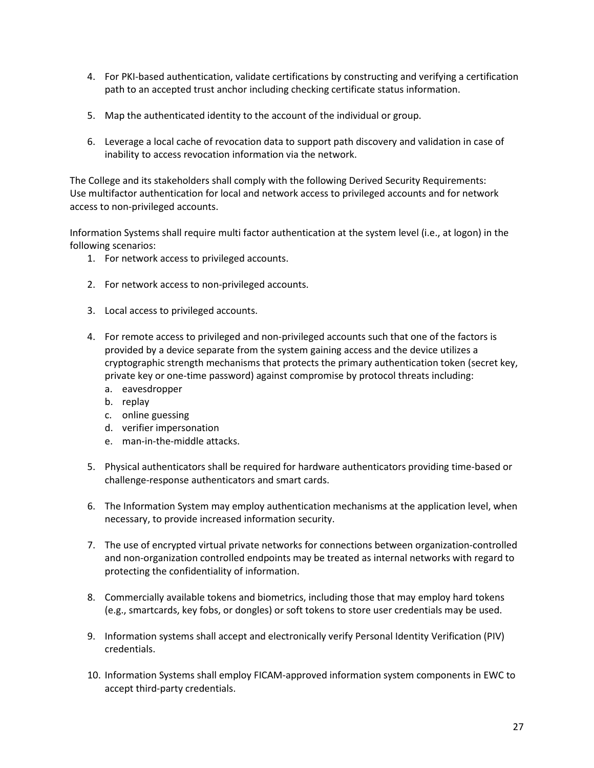- 4. For PKI-based authentication, validate certifications by constructing and verifying a certification path to an accepted trust anchor including checking certificate status information.
- 5. Map the authenticated identity to the account of the individual or group.
- 6. Leverage a local cache of revocation data to support path discovery and validation in case of inability to access revocation information via the network.

The College and its stakeholders shall comply with the following Derived Security Requirements: Use multifactor authentication for local and network access to privileged accounts and for network access to non-privileged accounts.

Information Systems shall require multi factor authentication at the system level (i.e., at logon) in the following scenarios:

- 1. For network access to privileged accounts.
- 2. For network access to non-privileged accounts.
- 3. Local access to privileged accounts.
- 4. For remote access to privileged and non-privileged accounts such that one of the factors is provided by a device separate from the system gaining access and the device utilizes a cryptographic strength mechanisms that protects the primary authentication token (secret key, private key or one-time password) against compromise by protocol threats including:
	- a. eavesdropper
	- b. replay
	- c. online guessing
	- d. verifier impersonation
	- e. man-in-the-middle attacks.
- 5. Physical authenticators shall be required for hardware authenticators providing time-based or challenge-response authenticators and smart cards.
- 6. The Information System may employ authentication mechanisms at the application level, when necessary, to provide increased information security.
- 7. The use of encrypted virtual private networks for connections between organization-controlled and non-organization controlled endpoints may be treated as internal networks with regard to protecting the confidentiality of information.
- 8. Commercially available tokens and biometrics, including those that may employ hard tokens (e.g., smartcards, key fobs, or dongles) or soft tokens to store user credentials may be used.
- 9. Information systems shall accept and electronically verify Personal Identity Verification (PIV) credentials.
- 10. Information Systems shall employ FICAM-approved information system components in EWC to accept third-party credentials.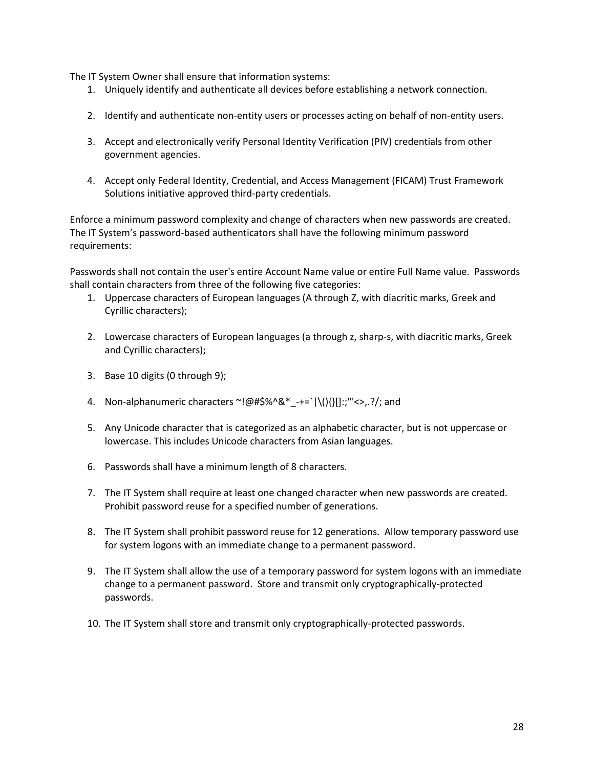The IT System Owner shall ensure that information systems:

- 1. Uniquely identify and authenticate all devices before establishing a network connection.
- 2. Identify and authenticate non-entity users or processes acting on behalf of non-entity users.
- 3. Accept and electronically verify Personal Identity Verification (PIV) credentials from other government agencies.
- 4. Accept only Federal Identity, Credential, and Access Management (FICAM) Trust Framework Solutions initiative approved third-party credentials.

Enforce a minimum password complexity and change of characters when new passwords are created. The IT System's password-based authenticators shall have the following minimum password requirements:

Passwords shall not contain the user's entire Account Name value or entire Full Name value. Passwords shall contain characters from three of the following five categories:

- 1. Uppercase characters of European languages (A through Z, with diacritic marks, Greek and Cyrillic characters);
- 2. Lowercase characters of European languages (a through z, sharp-s, with diacritic marks, Greek and Cyrillic characters);
- 3. Base 10 digits (0 through 9);
- 4. Non-alphanumeric characters ~!@#\$%^&\*\_-+=`|\(){}[]:;"'<>,.?/; and
- 5. Any Unicode character that is categorized as an alphabetic character, but is not uppercase or lowercase. This includes Unicode characters from Asian languages.
- 6. Passwords shall have a minimum length of 8 characters.
- 7. The IT System shall require at least one changed character when new passwords are created. Prohibit password reuse for a specified number of generations.
- 8. The IT System shall prohibit password reuse for 12 generations. Allow temporary password use for system logons with an immediate change to a permanent password.
- 9. The IT System shall allow the use of a temporary password for system logons with an immediate change to a permanent password. Store and transmit only cryptographically-protected passwords.
- 10. The IT System shall store and transmit only cryptographically-protected passwords.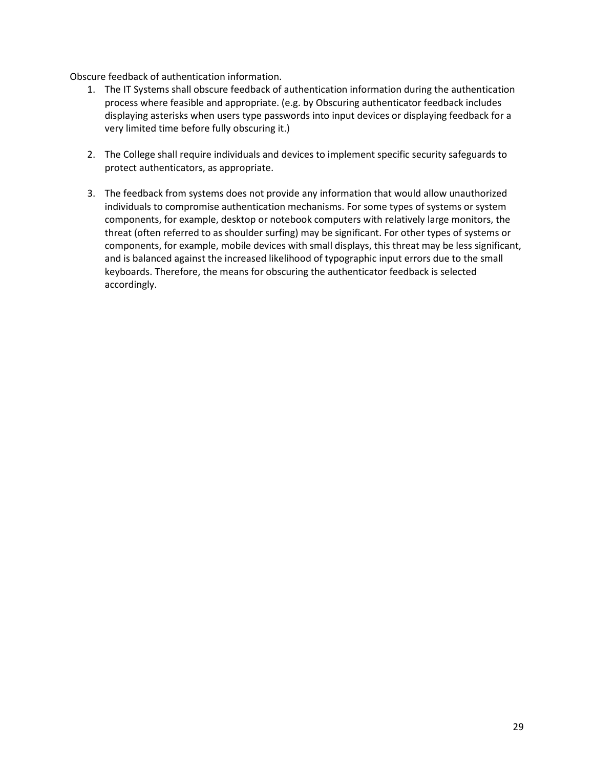Obscure feedback of authentication information.

- 1. The IT Systems shall obscure feedback of authentication information during the authentication process where feasible and appropriate. (e.g. by Obscuring authenticator feedback includes displaying asterisks when users type passwords into input devices or displaying feedback for a very limited time before fully obscuring it.)
- 2. The College shall require individuals and devices to implement specific security safeguards to protect authenticators, as appropriate.
- 3. The feedback from systems does not provide any information that would allow unauthorized individuals to compromise authentication mechanisms. For some types of systems or system components, for example, desktop or notebook computers with relatively large monitors, the threat (often referred to as shoulder surfing) may be significant. For other types of systems or components, for example, mobile devices with small displays, this threat may be less significant, and is balanced against the increased likelihood of typographic input errors due to the small keyboards. Therefore, the means for obscuring the authenticator feedback is selected accordingly.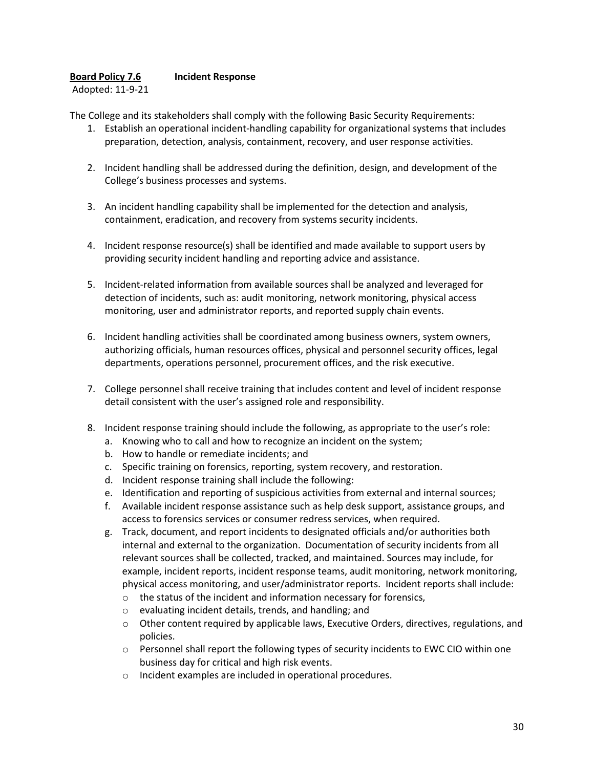## **Board Policy 7.6 Incident Response** Adopted: 11-9-21

The College and its stakeholders shall comply with the following Basic Security Requirements:

- 1. Establish an operational incident-handling capability for organizational systems that includes preparation, detection, analysis, containment, recovery, and user response activities.
- 2. Incident handling shall be addressed during the definition, design, and development of the College's business processes and systems.
- 3. An incident handling capability shall be implemented for the detection and analysis, containment, eradication, and recovery from systems security incidents.
- 4. Incident response resource(s) shall be identified and made available to support users by providing security incident handling and reporting advice and assistance.
- 5. Incident-related information from available sources shall be analyzed and leveraged for detection of incidents, such as: audit monitoring, network monitoring, physical access monitoring, user and administrator reports, and reported supply chain events.
- 6. Incident handling activities shall be coordinated among business owners, system owners, authorizing officials, human resources offices, physical and personnel security offices, legal departments, operations personnel, procurement offices, and the risk executive.
- 7. College personnel shall receive training that includes content and level of incident response detail consistent with the user's assigned role and responsibility.
- 8. Incident response training should include the following, as appropriate to the user's role:
	- a. Knowing who to call and how to recognize an incident on the system;
	- b. How to handle or remediate incidents; and
	- c. Specific training on forensics, reporting, system recovery, and restoration.
	- d. Incident response training shall include the following:
	- e. Identification and reporting of suspicious activities from external and internal sources;
	- f. Available incident response assistance such as help desk support, assistance groups, and access to forensics services or consumer redress services, when required.
	- g. Track, document, and report incidents to designated officials and/or authorities both internal and external to the organization. Documentation of security incidents from all relevant sources shall be collected, tracked, and maintained. Sources may include, for example, incident reports, incident response teams, audit monitoring, network monitoring, physical access monitoring, and user/administrator reports. Incident reports shall include:
		- o the status of the incident and information necessary for forensics,
		- o evaluating incident details, trends, and handling; and
		- o Other content required by applicable laws, Executive Orders, directives, regulations, and policies.
		- $\circ$  Personnel shall report the following types of security incidents to EWC CIO within one business day for critical and high risk events.
		- o Incident examples are included in operational procedures.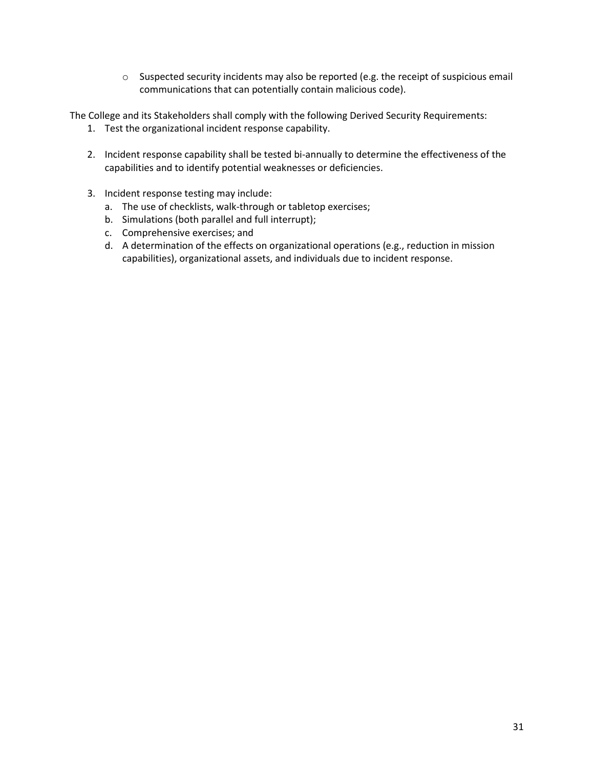$\circ$  Suspected security incidents may also be reported (e.g. the receipt of suspicious email communications that can potentially contain malicious code).

The College and its Stakeholders shall comply with the following Derived Security Requirements:

- 1. Test the organizational incident response capability.
- 2. Incident response capability shall be tested bi-annually to determine the effectiveness of the capabilities and to identify potential weaknesses or deficiencies.
- 3. Incident response testing may include:
	- a. The use of checklists, walk-through or tabletop exercises;
	- b. Simulations (both parallel and full interrupt);
	- c. Comprehensive exercises; and
	- d. A determination of the effects on organizational operations (e.g., reduction in mission capabilities), organizational assets, and individuals due to incident response.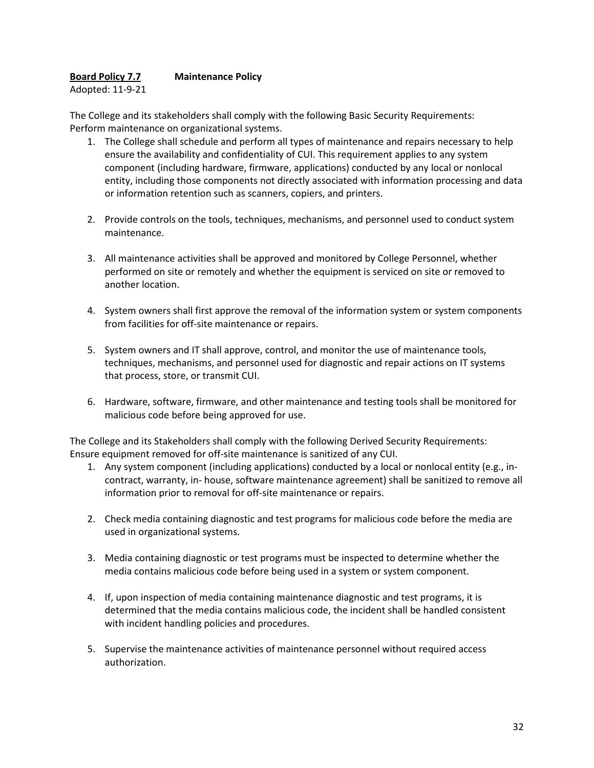## **Board Policy 7.7 Maintenance Policy**

Adopted: 11-9-21

The College and its stakeholders shall comply with the following Basic Security Requirements: Perform maintenance on organizational systems.

- 1. The College shall schedule and perform all types of maintenance and repairs necessary to help ensure the availability and confidentiality of CUI. This requirement applies to any system component (including hardware, firmware, applications) conducted by any local or nonlocal entity, including those components not directly associated with information processing and data or information retention such as scanners, copiers, and printers.
- 2. Provide controls on the tools, techniques, mechanisms, and personnel used to conduct system maintenance.
- 3. All maintenance activities shall be approved and monitored by College Personnel, whether performed on site or remotely and whether the equipment is serviced on site or removed to another location.
- 4. System owners shall first approve the removal of the information system or system components from facilities for off-site maintenance or repairs.
- 5. System owners and IT shall approve, control, and monitor the use of maintenance tools, techniques, mechanisms, and personnel used for diagnostic and repair actions on IT systems that process, store, or transmit CUI.
- 6. Hardware, software, firmware, and other maintenance and testing tools shall be monitored for malicious code before being approved for use.

The College and its Stakeholders shall comply with the following Derived Security Requirements: Ensure equipment removed for off-site maintenance is sanitized of any CUI.

- 1. Any system component (including applications) conducted by a local or nonlocal entity (e.g., incontract, warranty, in- house, software maintenance agreement) shall be sanitized to remove all information prior to removal for off-site maintenance or repairs.
- 2. Check media containing diagnostic and test programs for malicious code before the media are used in organizational systems.
- 3. Media containing diagnostic or test programs must be inspected to determine whether the media contains malicious code before being used in a system or system component.
- 4. If, upon inspection of media containing maintenance diagnostic and test programs, it is determined that the media contains malicious code, the incident shall be handled consistent with incident handling policies and procedures.
- 5. Supervise the maintenance activities of maintenance personnel without required access authorization.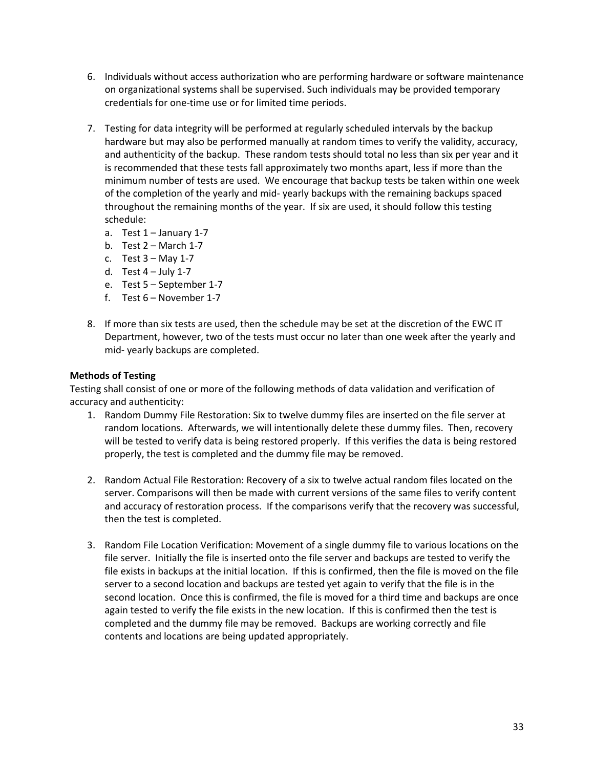- 6. Individuals without access authorization who are performing hardware or software maintenance on organizational systems shall be supervised. Such individuals may be provided temporary credentials for one-time use or for limited time periods.
- 7. Testing for data integrity will be performed at regularly scheduled intervals by the backup hardware but may also be performed manually at random times to verify the validity, accuracy, and authenticity of the backup. These random tests should total no less than six per year and it is recommended that these tests fall approximately two months apart, less if more than the minimum number of tests are used. We encourage that backup tests be taken within one week of the completion of the yearly and mid- yearly backups with the remaining backups spaced throughout the remaining months of the year. If six are used, it should follow this testing schedule:
	- a. Test  $1$  January 1-7
	- b. Test 2 March 1-7
	- c. Test  $3 -$  May 1-7
	- d. Test 4 July 1-7
	- e. Test 5 September 1-7
	- f. Test 6 November 1-7
- 8. If more than six tests are used, then the schedule may be set at the discretion of the EWC IT Department, however, two of the tests must occur no later than one week after the yearly and mid- yearly backups are completed.

## **Methods of Testing**

Testing shall consist of one or more of the following methods of data validation and verification of accuracy and authenticity:

- 1. Random Dummy File Restoration: Six to twelve dummy files are inserted on the file server at random locations. Afterwards, we will intentionally delete these dummy files. Then, recovery will be tested to verify data is being restored properly. If this verifies the data is being restored properly, the test is completed and the dummy file may be removed.
- 2. Random Actual File Restoration: Recovery of a six to twelve actual random files located on the server. Comparisons will then be made with current versions of the same files to verify content and accuracy of restoration process. If the comparisons verify that the recovery was successful, then the test is completed.
- 3. Random File Location Verification: Movement of a single dummy file to various locations on the file server. Initially the file is inserted onto the file server and backups are tested to verify the file exists in backups at the initial location. If this is confirmed, then the file is moved on the file server to a second location and backups are tested yet again to verify that the file is in the second location. Once this is confirmed, the file is moved for a third time and backups are once again tested to verify the file exists in the new location. If this is confirmed then the test is completed and the dummy file may be removed. Backups are working correctly and file contents and locations are being updated appropriately.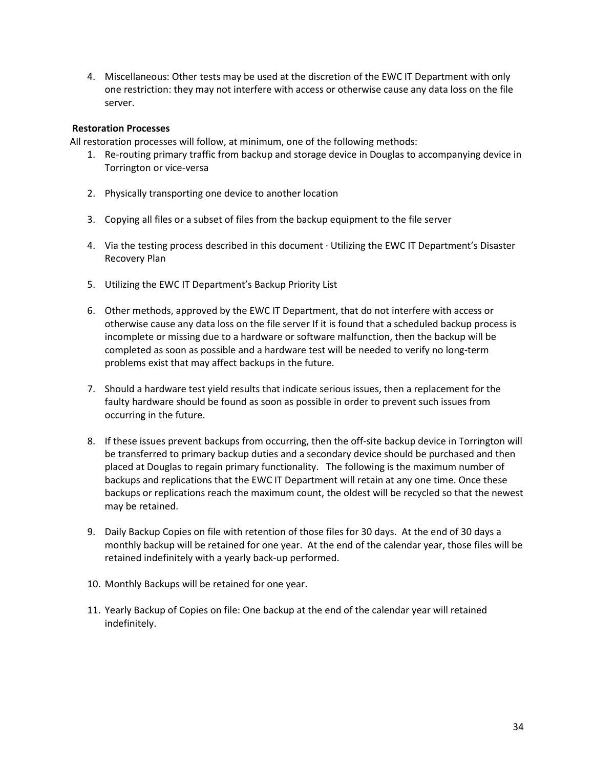4. Miscellaneous: Other tests may be used at the discretion of the EWC IT Department with only one restriction: they may not interfere with access or otherwise cause any data loss on the file server.

## **Restoration Processes**

All restoration processes will follow, at minimum, one of the following methods:

- 1. Re-routing primary traffic from backup and storage device in Douglas to accompanying device in Torrington or vice-versa
- 2. Physically transporting one device to another location
- 3. Copying all files or a subset of files from the backup equipment to the file server
- 4. Via the testing process described in this document ∙ Utilizing the EWC IT Department's Disaster Recovery Plan
- 5. Utilizing the EWC IT Department's Backup Priority List
- 6. Other methods, approved by the EWC IT Department, that do not interfere with access or otherwise cause any data loss on the file server If it is found that a scheduled backup process is incomplete or missing due to a hardware or software malfunction, then the backup will be completed as soon as possible and a hardware test will be needed to verify no long-term problems exist that may affect backups in the future.
- 7. Should a hardware test yield results that indicate serious issues, then a replacement for the faulty hardware should be found as soon as possible in order to prevent such issues from occurring in the future.
- 8. If these issues prevent backups from occurring, then the off-site backup device in Torrington will be transferred to primary backup duties and a secondary device should be purchased and then placed at Douglas to regain primary functionality. The following is the maximum number of backups and replications that the EWC IT Department will retain at any one time. Once these backups or replications reach the maximum count, the oldest will be recycled so that the newest may be retained.
- 9. Daily Backup Copies on file with retention of those files for 30 days. At the end of 30 days a monthly backup will be retained for one year. At the end of the calendar year, those files will be retained indefinitely with a yearly back-up performed.
- 10. Monthly Backups will be retained for one year.
- 11. Yearly Backup of Copies on file: One backup at the end of the calendar year will retained indefinitely.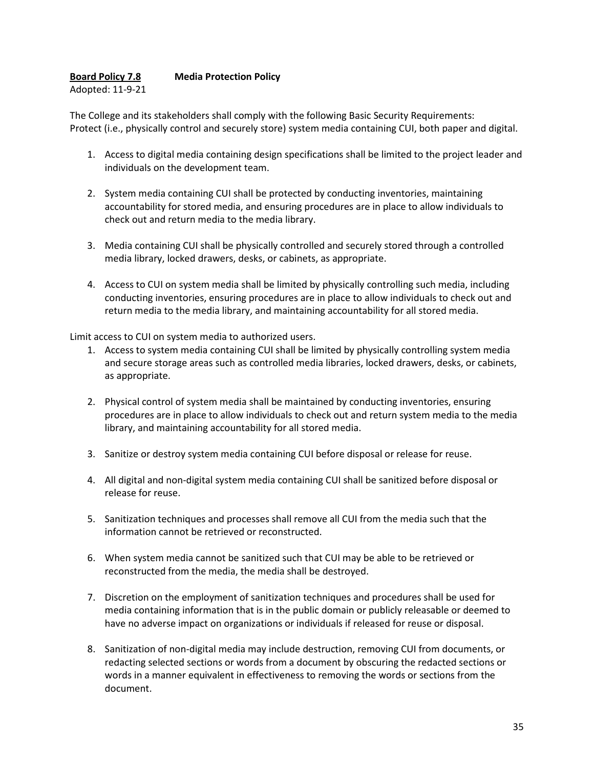## **Board Policy 7.8 Media Protection Policy** Adopted: 11-9-21

The College and its stakeholders shall comply with the following Basic Security Requirements: Protect (i.e., physically control and securely store) system media containing CUI, both paper and digital.

- 1. Access to digital media containing design specifications shall be limited to the project leader and individuals on the development team.
- 2. System media containing CUI shall be protected by conducting inventories, maintaining accountability for stored media, and ensuring procedures are in place to allow individuals to check out and return media to the media library.
- 3. Media containing CUI shall be physically controlled and securely stored through a controlled media library, locked drawers, desks, or cabinets, as appropriate.
- 4. Access to CUI on system media shall be limited by physically controlling such media, including conducting inventories, ensuring procedures are in place to allow individuals to check out and return media to the media library, and maintaining accountability for all stored media.

Limit access to CUI on system media to authorized users.

- 1. Access to system media containing CUI shall be limited by physically controlling system media and secure storage areas such as controlled media libraries, locked drawers, desks, or cabinets, as appropriate.
- 2. Physical control of system media shall be maintained by conducting inventories, ensuring procedures are in place to allow individuals to check out and return system media to the media library, and maintaining accountability for all stored media.
- 3. Sanitize or destroy system media containing CUI before disposal or release for reuse.
- 4. All digital and non-digital system media containing CUI shall be sanitized before disposal or release for reuse.
- 5. Sanitization techniques and processes shall remove all CUI from the media such that the information cannot be retrieved or reconstructed.
- 6. When system media cannot be sanitized such that CUI may be able to be retrieved or reconstructed from the media, the media shall be destroyed.
- 7. Discretion on the employment of sanitization techniques and procedures shall be used for media containing information that is in the public domain or publicly releasable or deemed to have no adverse impact on organizations or individuals if released for reuse or disposal.
- 8. Sanitization of non-digital media may include destruction, removing CUI from documents, or redacting selected sections or words from a document by obscuring the redacted sections or words in a manner equivalent in effectiveness to removing the words or sections from the document.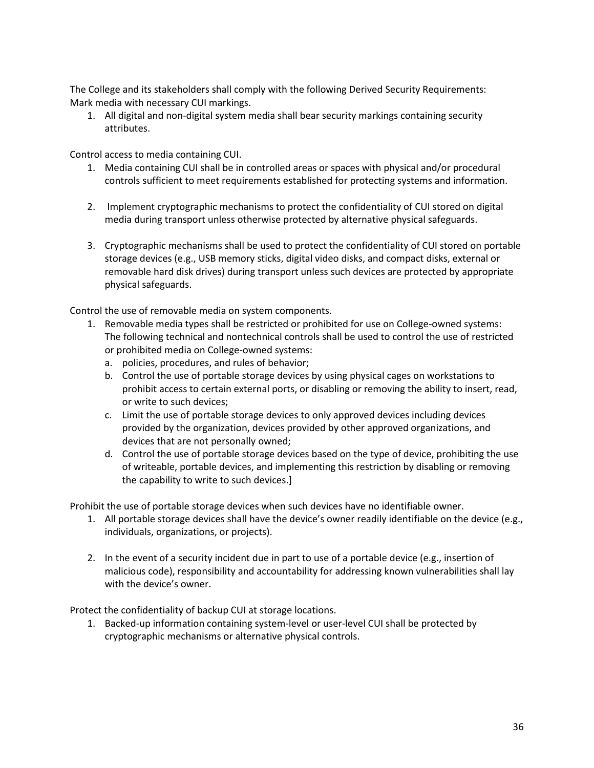The College and its stakeholders shall comply with the following Derived Security Requirements: Mark media with necessary CUI markings.

1. All digital and non-digital system media shall bear security markings containing security attributes.

Control access to media containing CUI.

- 1. Media containing CUI shall be in controlled areas or spaces with physical and/or procedural controls sufficient to meet requirements established for protecting systems and information.
- 2. Implement cryptographic mechanisms to protect the confidentiality of CUI stored on digital media during transport unless otherwise protected by alternative physical safeguards.
- 3. Cryptographic mechanisms shall be used to protect the confidentiality of CUI stored on portable storage devices (e.g., USB memory sticks, digital video disks, and compact disks, external or removable hard disk drives) during transport unless such devices are protected by appropriate physical safeguards.

Control the use of removable media on system components.

- 1. Removable media types shall be restricted or prohibited for use on College-owned systems: The following technical and nontechnical controls shall be used to control the use of restricted or prohibited media on College-owned systems:
	- a. policies, procedures, and rules of behavior;
	- b. Control the use of portable storage devices by using physical cages on workstations to prohibit access to certain external ports, or disabling or removing the ability to insert, read, or write to such devices;
	- c. Limit the use of portable storage devices to only approved devices including devices provided by the organization, devices provided by other approved organizations, and devices that are not personally owned;
	- d. Control the use of portable storage devices based on the type of device, prohibiting the use of writeable, portable devices, and implementing this restriction by disabling or removing the capability to write to such devices.]

Prohibit the use of portable storage devices when such devices have no identifiable owner.

- 1. All portable storage devices shall have the device's owner readily identifiable on the device (e.g., individuals, organizations, or projects).
- 2. In the event of a security incident due in part to use of a portable device (e.g., insertion of malicious code), responsibility and accountability for addressing known vulnerabilities shall lay with the device's owner.

Protect the confidentiality of backup CUI at storage locations.

1. Backed-up information containing system-level or user-level CUI shall be protected by cryptographic mechanisms or alternative physical controls.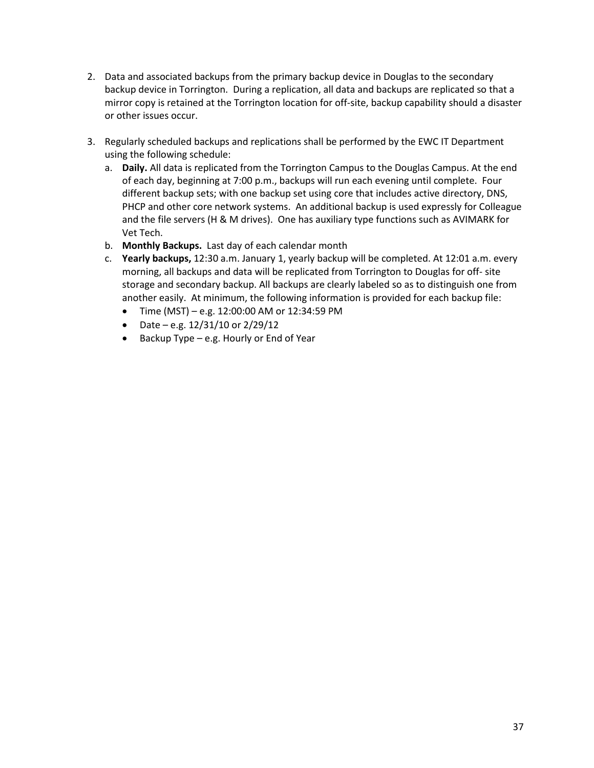- 2. Data and associated backups from the primary backup device in Douglas to the secondary backup device in Torrington. During a replication, all data and backups are replicated so that a mirror copy is retained at the Torrington location for off-site, backup capability should a disaster or other issues occur.
- 3. Regularly scheduled backups and replications shall be performed by the EWC IT Department using the following schedule:
	- a. **Daily.** All data is replicated from the Torrington Campus to the Douglas Campus. At the end of each day, beginning at 7:00 p.m., backups will run each evening until complete. Four different backup sets; with one backup set using core that includes active directory, DNS, PHCP and other core network systems. An additional backup is used expressly for Colleague and the file servers (H & M drives). One has auxiliary type functions such as AVIMARK for Vet Tech.
	- b. **Monthly Backups.** Last day of each calendar month
	- c. **Yearly backups,** 12:30 a.m. January 1, yearly backup will be completed. At 12:01 a.m. every morning, all backups and data will be replicated from Torrington to Douglas for off- site storage and secondary backup. All backups are clearly labeled so as to distinguish one from another easily. At minimum, the following information is provided for each backup file:
		- Time (MST) e.g. 12:00:00 AM or 12:34:59 PM
		- Date e.g.  $12/31/10$  or  $2/29/12$
		- Backup Type e.g. Hourly or End of Year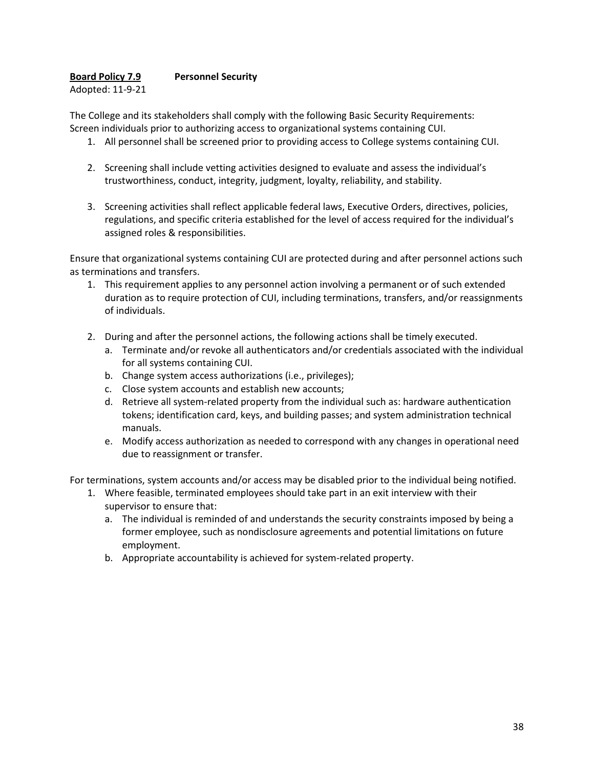#### **Board Policy 7.9 Personnel Security**  Adopted: 11-9-21

The College and its stakeholders shall comply with the following Basic Security Requirements: Screen individuals prior to authorizing access to organizational systems containing CUI.

- 1. All personnel shall be screened prior to providing access to College systems containing CUI.
- 2. Screening shall include vetting activities designed to evaluate and assess the individual's trustworthiness, conduct, integrity, judgment, loyalty, reliability, and stability.
- 3. Screening activities shall reflect applicable federal laws, Executive Orders, directives, policies, regulations, and specific criteria established for the level of access required for the individual's assigned roles & responsibilities.

Ensure that organizational systems containing CUI are protected during and after personnel actions such as terminations and transfers.

- 1. This requirement applies to any personnel action involving a permanent or of such extended duration as to require protection of CUI, including terminations, transfers, and/or reassignments of individuals.
- 2. During and after the personnel actions, the following actions shall be timely executed.
	- a. Terminate and/or revoke all authenticators and/or credentials associated with the individual for all systems containing CUI.
	- b. Change system access authorizations (i.e., privileges);
	- c. Close system accounts and establish new accounts;
	- d. Retrieve all system-related property from the individual such as: hardware authentication tokens; identification card, keys, and building passes; and system administration technical manuals.
	- e. Modify access authorization as needed to correspond with any changes in operational need due to reassignment or transfer.

For terminations, system accounts and/or access may be disabled prior to the individual being notified.

- 1. Where feasible, terminated employees should take part in an exit interview with their supervisor to ensure that:
	- a. The individual is reminded of and understands the security constraints imposed by being a former employee, such as nondisclosure agreements and potential limitations on future employment.
	- b. Appropriate accountability is achieved for system-related property.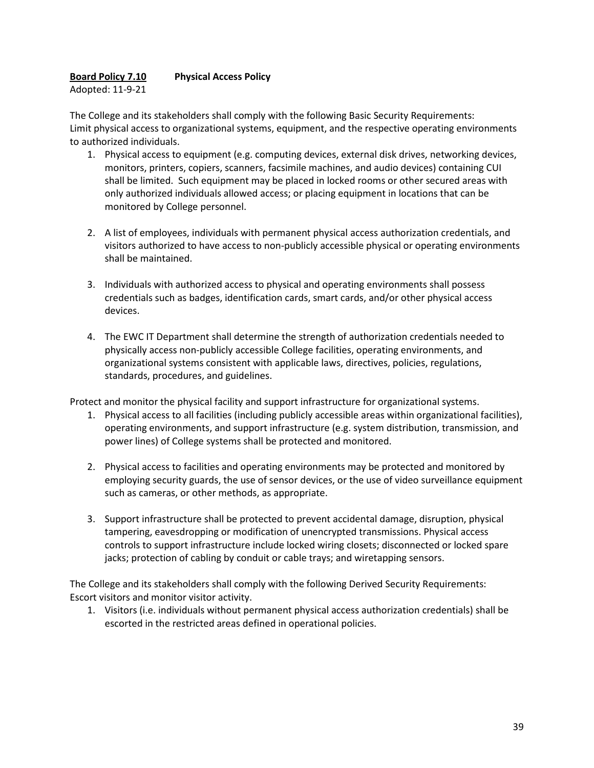#### **Board Policy 7.10 Physical Access Policy** Adopted: 11-9-21

The College and its stakeholders shall comply with the following Basic Security Requirements: Limit physical access to organizational systems, equipment, and the respective operating environments to authorized individuals.

- 1. Physical access to equipment (e.g. computing devices, external disk drives, networking devices, monitors, printers, copiers, scanners, facsimile machines, and audio devices) containing CUI shall be limited. Such equipment may be placed in locked rooms or other secured areas with only authorized individuals allowed access; or placing equipment in locations that can be monitored by College personnel.
- 2. A list of employees, individuals with permanent physical access authorization credentials, and visitors authorized to have access to non-publicly accessible physical or operating environments shall be maintained.
- 3. Individuals with authorized access to physical and operating environments shall possess credentials such as badges, identification cards, smart cards, and/or other physical access devices.
- 4. The EWC IT Department shall determine the strength of authorization credentials needed to physically access non-publicly accessible College facilities, operating environments, and organizational systems consistent with applicable laws, directives, policies, regulations, standards, procedures, and guidelines.

Protect and monitor the physical facility and support infrastructure for organizational systems.

- 1. Physical access to all facilities (including publicly accessible areas within organizational facilities), operating environments, and support infrastructure (e.g. system distribution, transmission, and power lines) of College systems shall be protected and monitored.
- 2. Physical access to facilities and operating environments may be protected and monitored by employing security guards, the use of sensor devices, or the use of video surveillance equipment such as cameras, or other methods, as appropriate.
- 3. Support infrastructure shall be protected to prevent accidental damage, disruption, physical tampering, eavesdropping or modification of unencrypted transmissions. Physical access controls to support infrastructure include locked wiring closets; disconnected or locked spare jacks; protection of cabling by conduit or cable trays; and wiretapping sensors.

The College and its stakeholders shall comply with the following Derived Security Requirements: Escort visitors and monitor visitor activity.

1. Visitors (i.e. individuals without permanent physical access authorization credentials) shall be escorted in the restricted areas defined in operational policies.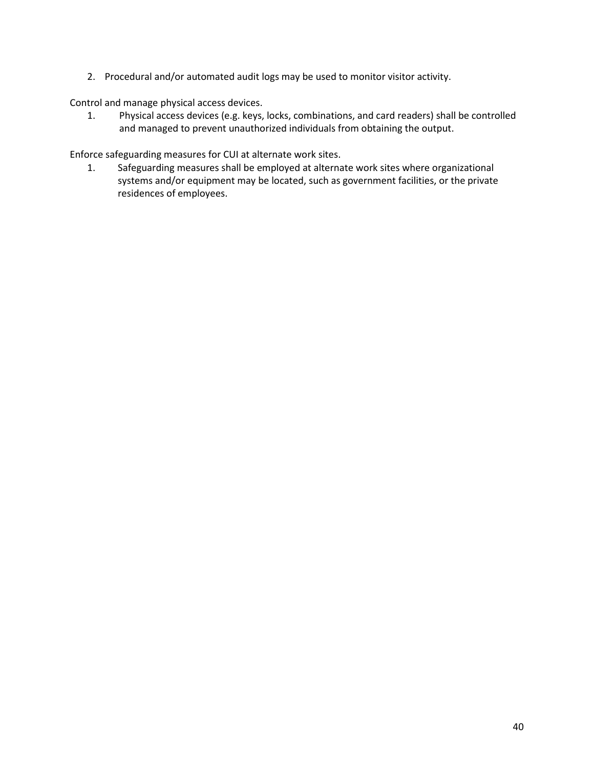2. Procedural and/or automated audit logs may be used to monitor visitor activity.

Control and manage physical access devices.

1. Physical access devices (e.g. keys, locks, combinations, and card readers) shall be controlled and managed to prevent unauthorized individuals from obtaining the output.

Enforce safeguarding measures for CUI at alternate work sites.

1. Safeguarding measures shall be employed at alternate work sites where organizational systems and/or equipment may be located, such as government facilities, or the private residences of employees.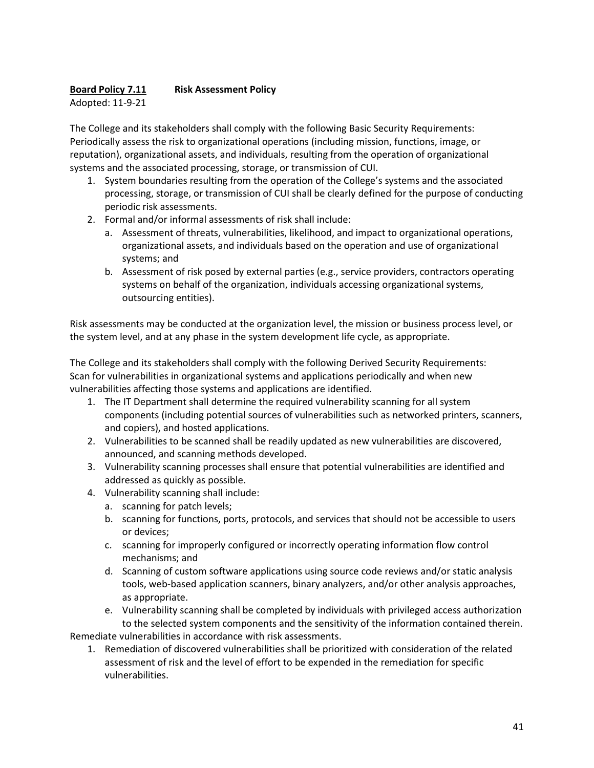# **Board Policy 7.11 Risk Assessment Policy**

Adopted: 11-9-21

The College and its stakeholders shall comply with the following Basic Security Requirements: Periodically assess the risk to organizational operations (including mission, functions, image, or reputation), organizational assets, and individuals, resulting from the operation of organizational systems and the associated processing, storage, or transmission of CUI.

- 1. System boundaries resulting from the operation of the College's systems and the associated processing, storage, or transmission of CUI shall be clearly defined for the purpose of conducting periodic risk assessments.
- 2. Formal and/or informal assessments of risk shall include:
	- a. Assessment of threats, vulnerabilities, likelihood, and impact to organizational operations, organizational assets, and individuals based on the operation and use of organizational systems; and
	- b. Assessment of risk posed by external parties (e.g., service providers, contractors operating systems on behalf of the organization, individuals accessing organizational systems, outsourcing entities).

Risk assessments may be conducted at the organization level, the mission or business process level, or the system level, and at any phase in the system development life cycle, as appropriate.

The College and its stakeholders shall comply with the following Derived Security Requirements: Scan for vulnerabilities in organizational systems and applications periodically and when new vulnerabilities affecting those systems and applications are identified.

- 1. The IT Department shall determine the required vulnerability scanning for all system components (including potential sources of vulnerabilities such as networked printers, scanners, and copiers), and hosted applications.
- 2. Vulnerabilities to be scanned shall be readily updated as new vulnerabilities are discovered, announced, and scanning methods developed.
- 3. Vulnerability scanning processes shall ensure that potential vulnerabilities are identified and addressed as quickly as possible.
- 4. Vulnerability scanning shall include:
	- a. scanning for patch levels;
	- b. scanning for functions, ports, protocols, and services that should not be accessible to users or devices;
	- c. scanning for improperly configured or incorrectly operating information flow control mechanisms; and
	- d. Scanning of custom software applications using source code reviews and/or static analysis tools, web-based application scanners, binary analyzers, and/or other analysis approaches, as appropriate.
	- e. Vulnerability scanning shall be completed by individuals with privileged access authorization to the selected system components and the sensitivity of the information contained therein.

Remediate vulnerabilities in accordance with risk assessments.

1. Remediation of discovered vulnerabilities shall be prioritized with consideration of the related assessment of risk and the level of effort to be expended in the remediation for specific vulnerabilities.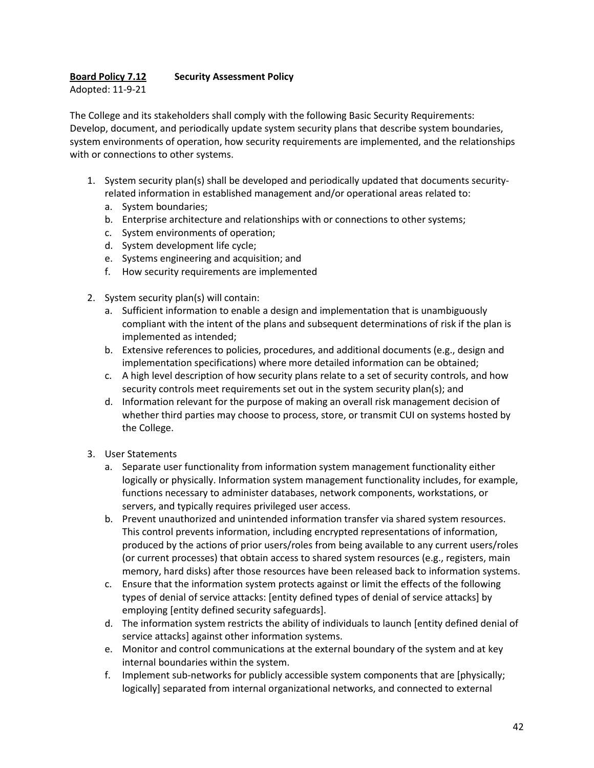## **Board Policy 7.12 Security Assessment Policy**

Adopted: 11-9-21

The College and its stakeholders shall comply with the following Basic Security Requirements: Develop, document, and periodically update system security plans that describe system boundaries, system environments of operation, how security requirements are implemented, and the relationships with or connections to other systems.

- 1. System security plan(s) shall be developed and periodically updated that documents securityrelated information in established management and/or operational areas related to:
	- a. System boundaries;
	- b. Enterprise architecture and relationships with or connections to other systems;
	- c. System environments of operation;
	- d. System development life cycle;
	- e. Systems engineering and acquisition; and
	- f. How security requirements are implemented
- 2. System security plan(s) will contain:
	- a. Sufficient information to enable a design and implementation that is unambiguously compliant with the intent of the plans and subsequent determinations of risk if the plan is implemented as intended;
	- b. Extensive references to policies, procedures, and additional documents (e.g., design and implementation specifications) where more detailed information can be obtained;
	- c. A high level description of how security plans relate to a set of security controls, and how security controls meet requirements set out in the system security plan(s); and
	- d. Information relevant for the purpose of making an overall risk management decision of whether third parties may choose to process, store, or transmit CUI on systems hosted by the College.
- 3. User Statements
	- a. Separate user functionality from information system management functionality either logically or physically. Information system management functionality includes, for example, functions necessary to administer databases, network components, workstations, or servers, and typically requires privileged user access.
	- b. Prevent unauthorized and unintended information transfer via shared system resources. This control prevents information, including encrypted representations of information, produced by the actions of prior users/roles from being available to any current users/roles (or current processes) that obtain access to shared system resources (e.g., registers, main memory, hard disks) after those resources have been released back to information systems.
	- c. Ensure that the information system protects against or limit the effects of the following types of denial of service attacks: [entity defined types of denial of service attacks] by employing [entity defined security safeguards].
	- d. The information system restricts the ability of individuals to launch [entity defined denial of service attacks] against other information systems.
	- e. Monitor and control communications at the external boundary of the system and at key internal boundaries within the system.
	- f. Implement sub-networks for publicly accessible system components that are [physically; logically] separated from internal organizational networks, and connected to external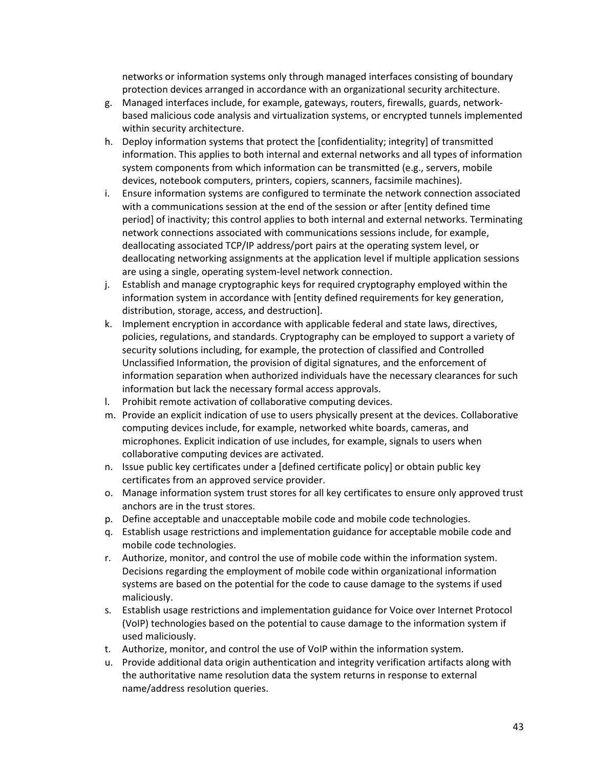networks or information systems only through managed interfaces consisting of boundary protection devices arranged in accordance with an organizational security architecture.

- g. Managed interfaces include, for example, gateways, routers, firewalls, guards, networkbased malicious code analysis and virtualization systems, or encrypted tunnels implemented within security architecture.
- h. Deploy information systems that protect the [confidentiality; integrity] of transmitted information. This applies to both internal and external networks and all types of information system components from which information can be transmitted (e.g., servers, mobile devices, notebook computers, printers, copiers, scanners, facsimile machines).
- i. Ensure information systems are configured to terminate the network connection associated with a communications session at the end of the session or after [entity defined time period] of inactivity; this control applies to both internal and external networks. Terminating network connections associated with communications sessions include, for example, deallocating associated TCP/IP address/port pairs at the operating system level, or deallocating networking assignments at the application level if multiple application sessions are using a single, operating system-level network connection.
- j. Establish and manage cryptographic keys for required cryptography employed within the information system in accordance with [entity defined requirements for key generation, distribution, storage, access, and destruction].
- k. Implement encryption in accordance with applicable federal and state laws, directives, policies, regulations, and standards. Cryptography can be employed to support a variety of security solutions including, for example, the protection of classified and Controlled Unclassified Information, the provision of digital signatures, and the enforcement of information separation when authorized individuals have the necessary clearances for such information but lack the necessary formal access approvals.
- l. Prohibit remote activation of collaborative computing devices.
- m. Provide an explicit indication of use to users physically present at the devices. Collaborative computing devices include, for example, networked white boards, cameras, and microphones. Explicit indication of use includes, for example, signals to users when collaborative computing devices are activated.
- n. Issue public key certificates under a [defined certificate policy] or obtain public key certificates from an approved service provider.
- o. Manage information system trust stores for all key certificates to ensure only approved trust anchors are in the trust stores.
- p. Define acceptable and unacceptable mobile code and mobile code technologies.
- q. Establish usage restrictions and implementation guidance for acceptable mobile code and mobile code technologies.
- r. Authorize, monitor, and control the use of mobile code within the information system. Decisions regarding the employment of mobile code within organizational information systems are based on the potential for the code to cause damage to the systems if used maliciously.
- s. Establish usage restrictions and implementation guidance for Voice over Internet Protocol (VoIP) technologies based on the potential to cause damage to the information system if used maliciously.
- t. Authorize, monitor, and control the use of VoIP within the information system.
- u. Provide additional data origin authentication and integrity verification artifacts along with the authoritative name resolution data the system returns in response to external name/address resolution queries.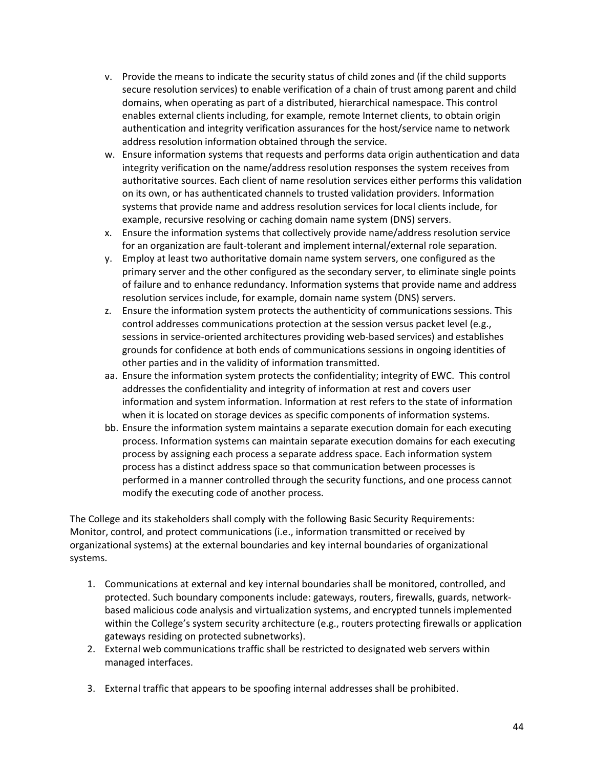- v. Provide the means to indicate the security status of child zones and (if the child supports secure resolution services) to enable verification of a chain of trust among parent and child domains, when operating as part of a distributed, hierarchical namespace. This control enables external clients including, for example, remote Internet clients, to obtain origin authentication and integrity verification assurances for the host/service name to network address resolution information obtained through the service.
- w. Ensure information systems that requests and performs data origin authentication and data integrity verification on the name/address resolution responses the system receives from authoritative sources. Each client of name resolution services either performs this validation on its own, or has authenticated channels to trusted validation providers. Information systems that provide name and address resolution services for local clients include, for example, recursive resolving or caching domain name system (DNS) servers.
- x. Ensure the information systems that collectively provide name/address resolution service for an organization are fault-tolerant and implement internal/external role separation.
- y. Employ at least two authoritative domain name system servers, one configured as the primary server and the other configured as the secondary server, to eliminate single points of failure and to enhance redundancy. Information systems that provide name and address resolution services include, for example, domain name system (DNS) servers.
- z. Ensure the information system protects the authenticity of communications sessions. This control addresses communications protection at the session versus packet level (e.g., sessions in service-oriented architectures providing web-based services) and establishes grounds for confidence at both ends of communications sessions in ongoing identities of other parties and in the validity of information transmitted.
- aa. Ensure the information system protects the confidentiality; integrity of EWC. This control addresses the confidentiality and integrity of information at rest and covers user information and system information. Information at rest refers to the state of information when it is located on storage devices as specific components of information systems.
- bb. Ensure the information system maintains a separate execution domain for each executing process. Information systems can maintain separate execution domains for each executing process by assigning each process a separate address space. Each information system process has a distinct address space so that communication between processes is performed in a manner controlled through the security functions, and one process cannot modify the executing code of another process.

The College and its stakeholders shall comply with the following Basic Security Requirements: Monitor, control, and protect communications (i.e., information transmitted or received by organizational systems) at the external boundaries and key internal boundaries of organizational systems.

- 1. Communications at external and key internal boundaries shall be monitored, controlled, and protected. Such boundary components include: gateways, routers, firewalls, guards, networkbased malicious code analysis and virtualization systems, and encrypted tunnels implemented within the College's system security architecture (e.g., routers protecting firewalls or application gateways residing on protected subnetworks).
- 2. External web communications traffic shall be restricted to designated web servers within managed interfaces.
- 3. External traffic that appears to be spoofing internal addresses shall be prohibited.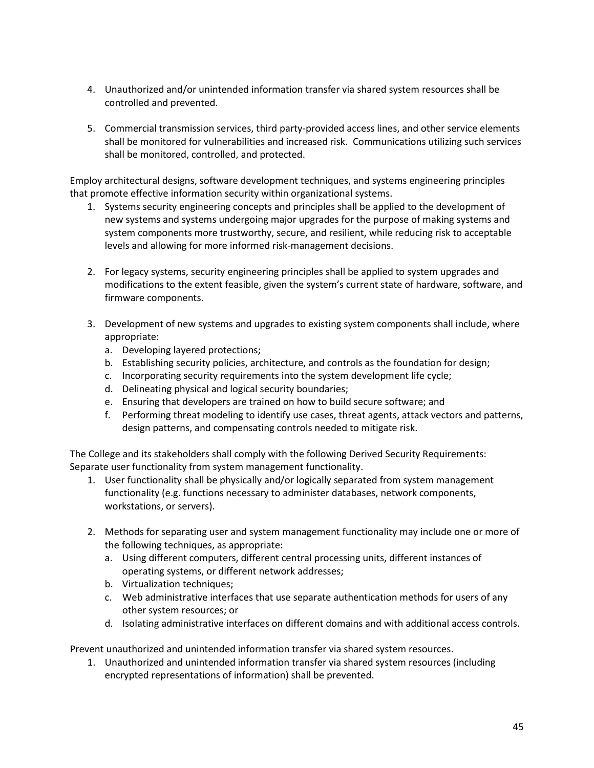- 4. Unauthorized and/or unintended information transfer via shared system resources shall be controlled and prevented.
- 5. Commercial transmission services, third party-provided access lines, and other service elements shall be monitored for vulnerabilities and increased risk. Communications utilizing such services shall be monitored, controlled, and protected.

Employ architectural designs, software development techniques, and systems engineering principles that promote effective information security within organizational systems.

- 1. Systems security engineering concepts and principles shall be applied to the development of new systems and systems undergoing major upgrades for the purpose of making systems and system components more trustworthy, secure, and resilient, while reducing risk to acceptable levels and allowing for more informed risk-management decisions.
- 2. For legacy systems, security engineering principles shall be applied to system upgrades and modifications to the extent feasible, given the system's current state of hardware, software, and firmware components.
- 3. Development of new systems and upgrades to existing system components shall include, where appropriate:
	- a. Developing layered protections;
	- b. Establishing security policies, architecture, and controls as the foundation for design;
	- c. Incorporating security requirements into the system development life cycle;
	- d. Delineating physical and logical security boundaries;
	- e. Ensuring that developers are trained on how to build secure software; and
	- f. Performing threat modeling to identify use cases, threat agents, attack vectors and patterns, design patterns, and compensating controls needed to mitigate risk.

The College and its stakeholders shall comply with the following Derived Security Requirements: Separate user functionality from system management functionality.

- 1. User functionality shall be physically and/or logically separated from system management functionality (e.g. functions necessary to administer databases, network components, workstations, or servers).
- 2. Methods for separating user and system management functionality may include one or more of the following techniques, as appropriate:
	- a. Using different computers, different central processing units, different instances of operating systems, or different network addresses;
	- b. Virtualization techniques;
	- c. Web administrative interfaces that use separate authentication methods for users of any other system resources; or
	- d. Isolating administrative interfaces on different domains and with additional access controls.

Prevent unauthorized and unintended information transfer via shared system resources.

1. Unauthorized and unintended information transfer via shared system resources (including encrypted representations of information) shall be prevented.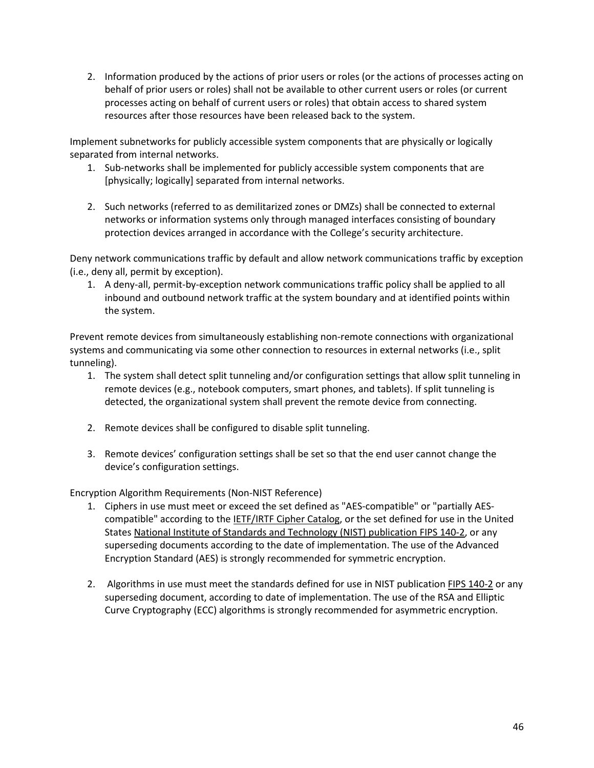2. Information produced by the actions of prior users or roles (or the actions of processes acting on behalf of prior users or roles) shall not be available to other current users or roles (or current processes acting on behalf of current users or roles) that obtain access to shared system resources after those resources have been released back to the system.

Implement subnetworks for publicly accessible system components that are physically or logically separated from internal networks.

- 1. Sub-networks shall be implemented for publicly accessible system components that are [physically; logically] separated from internal networks.
- 2. Such networks (referred to as demilitarized zones or DMZs) shall be connected to external networks or information systems only through managed interfaces consisting of boundary protection devices arranged in accordance with the College's security architecture.

Deny network communications traffic by default and allow network communications traffic by exception (i.e., deny all, permit by exception).

1. A deny-all, permit-by-exception network communications traffic policy shall be applied to all inbound and outbound network traffic at the system boundary and at identified points within the system.

Prevent remote devices from simultaneously establishing non-remote connections with organizational systems and communicating via some other connection to resources in external networks (i.e., split tunneling).

- 1. The system shall detect split tunneling and/or configuration settings that allow split tunneling in remote devices (e.g., notebook computers, smart phones, and tablets). If split tunneling is detected, the organizational system shall prevent the remote device from connecting.
- 2. Remote devices shall be configured to disable split tunneling.
- 3. Remote devices' configuration settings shall be set so that the end user cannot change the device's configuration settings.

Encryption Algorithm Requirements (Non-NIST Reference)

- 1. Ciphers in use must meet or exceed the set defined as "AES-compatible" or "partially AEScompatible" according to th[e IETF/IRTF Cipher Catalog,](http://tools.ietf.org/html/draft-irtf-cfrg-cipher-catalog-01#section-3.1) or the set defined for use in the United States [National Institute of Standards and Technology \(NIST\) publication FIPS 140-2,](http://csrc.nist.gov/groups/STM/cmvp/documents/140-1/1401val2010.htm) or any superseding documents according to the date of implementation. The use of the Advanced Encryption Standard (AES) is strongly recommended for symmetric encryption.
- 2. Algorithms in use must meet the standards defined for use in NIST publication [FIPS 140-2](http://csrc.nist.gov/groups/STM/cmvp/documents/140-1/1401val2010.htm) or any superseding document, according to date of implementation. The use of the RSA and Elliptic Curve Cryptography (ECC) algorithms is strongly recommended for asymmetric encryption.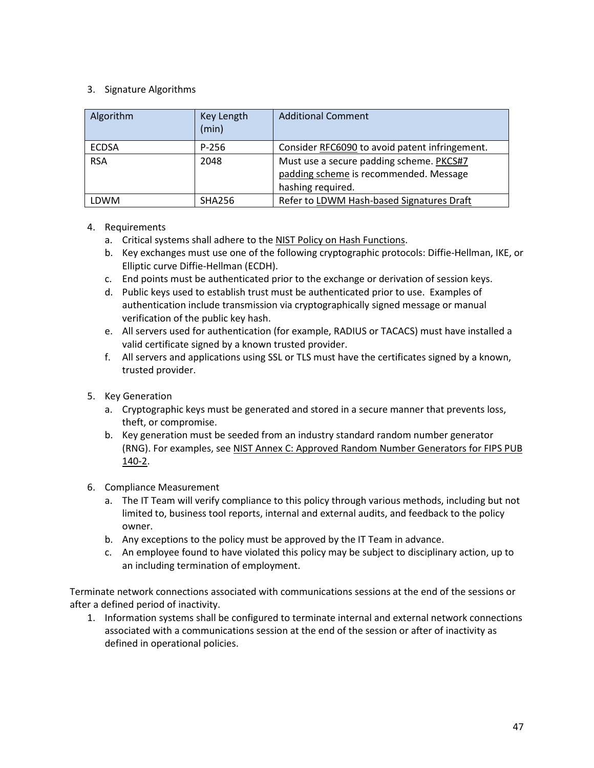## 3. Signature Algorithms

| Algorithm    | Key Length<br>(min) | <b>Additional Comment</b>                                                                               |
|--------------|---------------------|---------------------------------------------------------------------------------------------------------|
| <b>ECDSA</b> | P-256               | Consider RFC6090 to avoid patent infringement.                                                          |
| <b>RSA</b>   | 2048                | Must use a secure padding scheme. PKCS#7<br>padding scheme is recommended. Message<br>hashing required. |
| LDWM         | <b>SHA256</b>       | Refer to LDWM Hash-based Signatures Draft                                                               |

### 4. Requirements

- a. Critical systems shall adhere to the [NIST Policy on Hash Functions.](http://csrc.nist.gov/groups/ST/hash/policy.html)
- b. Key exchanges must use one of the following cryptographic protocols: Diffie-Hellman, IKE, or Elliptic curve Diffie-Hellman (ECDH).
- c. End points must be authenticated prior to the exchange or derivation of session keys.
- d. Public keys used to establish trust must be authenticated prior to use. Examples of authentication include transmission via cryptographically signed message or manual verification of the public key hash.
- e. All servers used for authentication (for example, RADIUS or TACACS) must have installed a valid certificate signed by a known trusted provider.
- f. All servers and applications using SSL or TLS must have the certificates signed by a known, trusted provider.
- 5. Key Generation
	- a. Cryptographic keys must be generated and stored in a secure manner that prevents loss, theft, or compromise.
	- b. Key generation must be seeded from an industry standard random number generator (RNG). For examples, se[e NIST Annex C: Approved Random Number Generators for FIPS PUB](http://csrc.nist.gov/publications/fips/fips140-2/fips1402annexc.pdf)  [140-2.](http://csrc.nist.gov/publications/fips/fips140-2/fips1402annexc.pdf)
- 6. Compliance Measurement
	- a. The IT Team will verify compliance to this policy through various methods, including but not limited to, business tool reports, internal and external audits, and feedback to the policy owner.
	- b. Any exceptions to the policy must be approved by the IT Team in advance.
	- c. An employee found to have violated this policy may be subject to disciplinary action, up to an including termination of employment.

Terminate network connections associated with communications sessions at the end of the sessions or after a defined period of inactivity.

1. Information systems shall be configured to terminate internal and external network connections associated with a communications session at the end of the session or after of inactivity as defined in operational policies.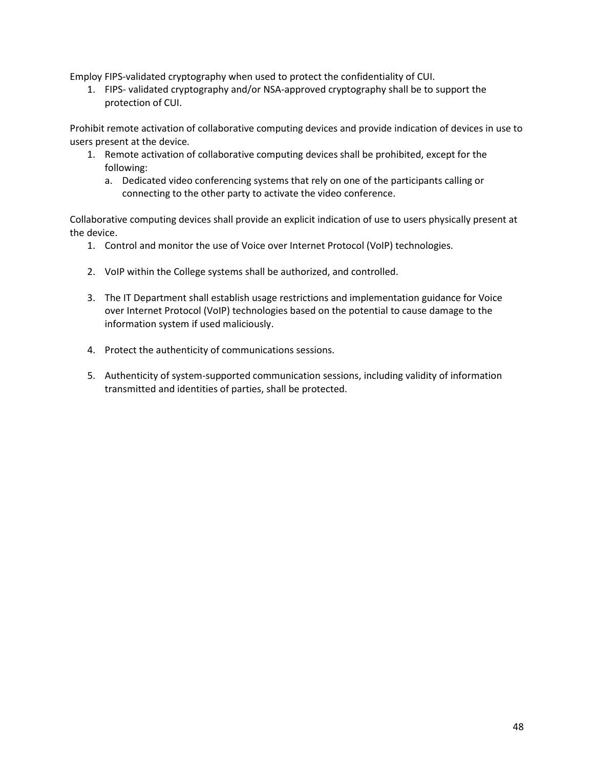Employ FIPS-validated cryptography when used to protect the confidentiality of CUI.

1. FIPS- validated cryptography and/or NSA-approved cryptography shall be to support the protection of CUI.

Prohibit remote activation of collaborative computing devices and provide indication of devices in use to users present at the device.

- 1. Remote activation of collaborative computing devices shall be prohibited, except for the following:
	- a. Dedicated video conferencing systems that rely on one of the participants calling or connecting to the other party to activate the video conference.

Collaborative computing devices shall provide an explicit indication of use to users physically present at the device.

- 1. Control and monitor the use of Voice over Internet Protocol (VoIP) technologies.
- 2. VoIP within the College systems shall be authorized, and controlled.
- 3. The IT Department shall establish usage restrictions and implementation guidance for Voice over Internet Protocol (VoIP) technologies based on the potential to cause damage to the information system if used maliciously.
- 4. Protect the authenticity of communications sessions.
- 5. Authenticity of system-supported communication sessions, including validity of information transmitted and identities of parties, shall be protected.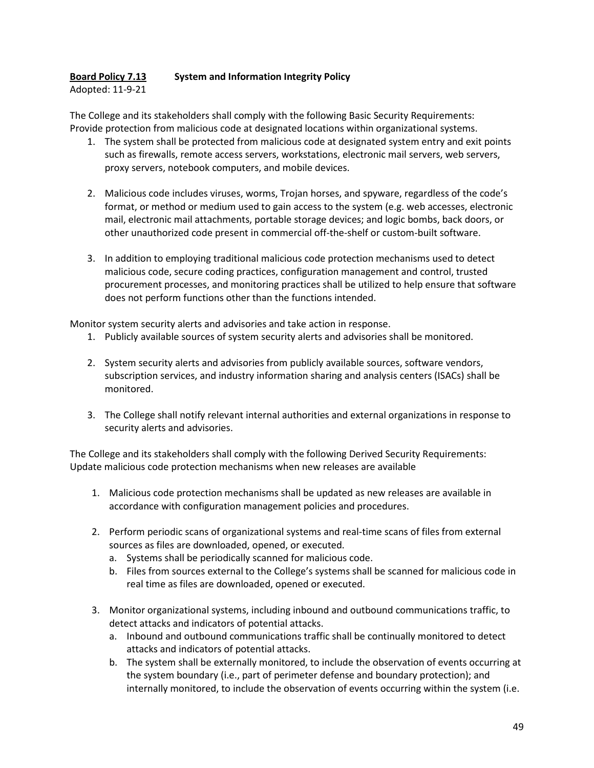## **Board Policy 7.13 System and Information Integrity Policy**

Adopted: 11-9-21

The College and its stakeholders shall comply with the following Basic Security Requirements: Provide protection from malicious code at designated locations within organizational systems.

- 1. The system shall be protected from malicious code at designated system entry and exit points such as firewalls, remote access servers, workstations, electronic mail servers, web servers, proxy servers, notebook computers, and mobile devices.
- 2. Malicious code includes viruses, worms, Trojan horses, and spyware, regardless of the code's format, or method or medium used to gain access to the system (e.g. web accesses, electronic mail, electronic mail attachments, portable storage devices; and logic bombs, back doors, or other unauthorized code present in commercial off-the-shelf or custom-built software.
- 3. In addition to employing traditional malicious code protection mechanisms used to detect malicious code, secure coding practices, configuration management and control, trusted procurement processes, and monitoring practices shall be utilized to help ensure that software does not perform functions other than the functions intended.

Monitor system security alerts and advisories and take action in response.

- 1. Publicly available sources of system security alerts and advisories shall be monitored.
- 2. System security alerts and advisories from publicly available sources, software vendors, subscription services, and industry information sharing and analysis centers (ISACs) shall be monitored.
- 3. The College shall notify relevant internal authorities and external organizations in response to security alerts and advisories.

The College and its stakeholders shall comply with the following Derived Security Requirements: Update malicious code protection mechanisms when new releases are available

- 1. Malicious code protection mechanisms shall be updated as new releases are available in accordance with configuration management policies and procedures.
- 2. Perform periodic scans of organizational systems and real-time scans of files from external sources as files are downloaded, opened, or executed.
	- a. Systems shall be periodically scanned for malicious code.
	- b. Files from sources external to the College's systems shall be scanned for malicious code in real time as files are downloaded, opened or executed.
- 3. Monitor organizational systems, including inbound and outbound communications traffic, to detect attacks and indicators of potential attacks.
	- a. Inbound and outbound communications traffic shall be continually monitored to detect attacks and indicators of potential attacks.
	- b. The system shall be externally monitored, to include the observation of events occurring at the system boundary (i.e., part of perimeter defense and boundary protection); and internally monitored, to include the observation of events occurring within the system (i.e.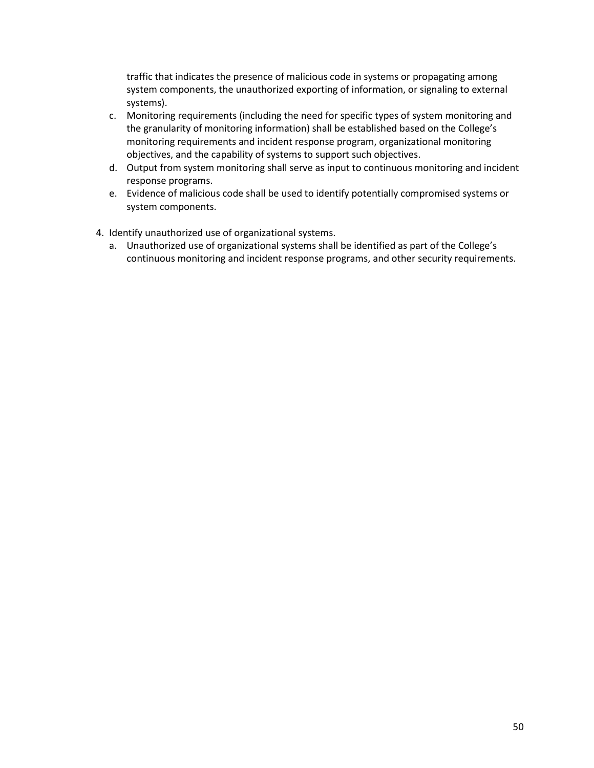traffic that indicates the presence of malicious code in systems or propagating among system components, the unauthorized exporting of information, or signaling to external systems).

- c. Monitoring requirements (including the need for specific types of system monitoring and the granularity of monitoring information) shall be established based on the College's monitoring requirements and incident response program, organizational monitoring objectives, and the capability of systems to support such objectives.
- d. Output from system monitoring shall serve as input to continuous monitoring and incident response programs.
- e. Evidence of malicious code shall be used to identify potentially compromised systems or system components.
- 4. Identify unauthorized use of organizational systems.
	- a. Unauthorized use of organizational systems shall be identified as part of the College's continuous monitoring and incident response programs, and other security requirements.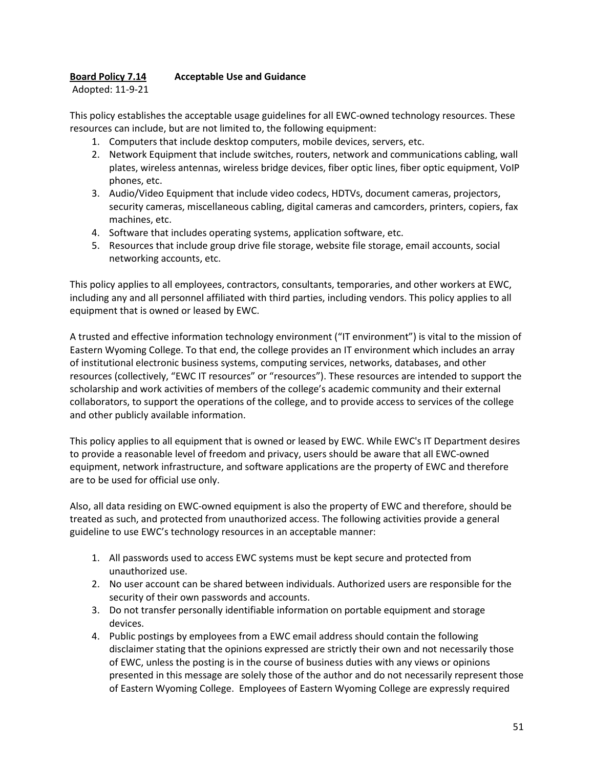## **Board Policy 7.14 Acceptable Use and Guidance**

Adopted: 11-9-21

This policy establishes the acceptable usage guidelines for all EWC-owned technology resources. These resources can include, but are not limited to, the following equipment:

- 1. Computers that include desktop computers, mobile devices, servers, etc.
- 2. Network Equipment that include switches, routers, network and communications cabling, wall plates, wireless antennas, wireless bridge devices, fiber optic lines, fiber optic equipment, VoIP phones, etc.
- 3. Audio/Video Equipment that include video codecs, HDTVs, document cameras, projectors, security cameras, miscellaneous cabling, digital cameras and camcorders, printers, copiers, fax machines, etc.
- 4. Software that includes operating systems, application software, etc.
- 5. Resources that include group drive file storage, website file storage, email accounts, social networking accounts, etc.

This policy applies to all employees, contractors, consultants, temporaries, and other workers at EWC, including any and all personnel affiliated with third parties, including vendors. This policy applies to all equipment that is owned or leased by EWC.

A trusted and effective information technology environment ("IT environment") is vital to the mission of Eastern Wyoming College. To that end, the college provides an IT environment which includes an array of institutional electronic business systems, computing services, networks, databases, and other resources (collectively, "EWC IT resources" or "resources"). These resources are intended to support the scholarship and work activities of members of the college's academic community and their external collaborators, to support the operations of the college, and to provide access to services of the college and other publicly available information.

This policy applies to all equipment that is owned or leased by EWC. While EWC's IT Department desires to provide a reasonable level of freedom and privacy, users should be aware that all EWC-owned equipment, network infrastructure, and software applications are the property of EWC and therefore are to be used for official use only.

Also, all data residing on EWC-owned equipment is also the property of EWC and therefore, should be treated as such, and protected from unauthorized access. The following activities provide a general guideline to use EWC's technology resources in an acceptable manner:

- 1. All passwords used to access EWC systems must be kept secure and protected from unauthorized use.
- 2. No user account can be shared between individuals. Authorized users are responsible for the security of their own passwords and accounts.
- 3. Do not transfer personally identifiable information on portable equipment and storage devices.
- 4. Public postings by employees from a EWC email address should contain the following disclaimer stating that the opinions expressed are strictly their own and not necessarily those of EWC, unless the posting is in the course of business duties with any views or opinions presented in this message are solely those of the author and do not necessarily represent those of Eastern Wyoming College. Employees of Eastern Wyoming College are expressly required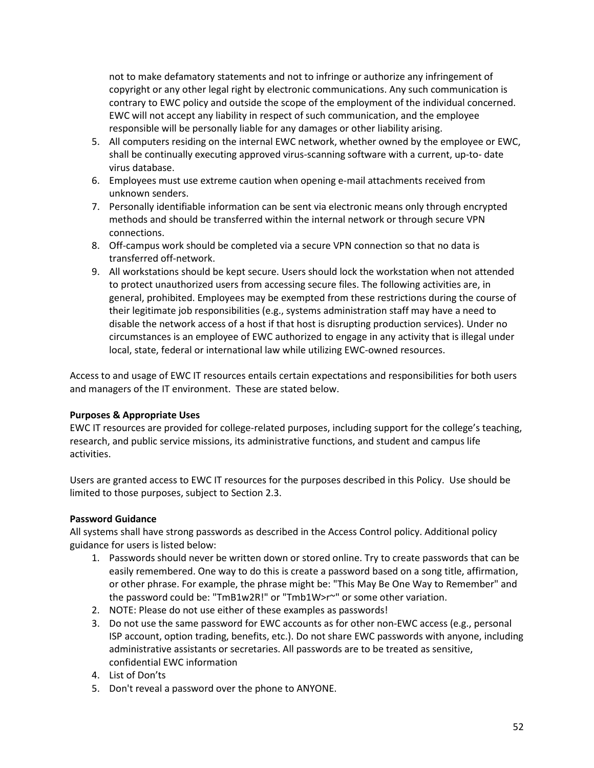not to make defamatory statements and not to infringe or authorize any infringement of copyright or any other legal right by electronic communications. Any such communication is contrary to EWC policy and outside the scope of the employment of the individual concerned. EWC will not accept any liability in respect of such communication, and the employee responsible will be personally liable for any damages or other liability arising.

- 5. All computers residing on the internal EWC network, whether owned by the employee or EWC, shall be continually executing approved virus-scanning software with a current, up-to- date virus database.
- 6. Employees must use extreme caution when opening e-mail attachments received from unknown senders.
- 7. Personally identifiable information can be sent via electronic means only through encrypted methods and should be transferred within the internal network or through secure VPN connections.
- 8. Off-campus work should be completed via a secure VPN connection so that no data is transferred off-network.
- 9. All workstations should be kept secure. Users should lock the workstation when not attended to protect unauthorized users from accessing secure files. The following activities are, in general, prohibited. Employees may be exempted from these restrictions during the course of their legitimate job responsibilities (e.g., systems administration staff may have a need to disable the network access of a host if that host is disrupting production services). Under no circumstances is an employee of EWC authorized to engage in any activity that is illegal under local, state, federal or international law while utilizing EWC-owned resources.

Access to and usage of EWC IT resources entails certain expectations and responsibilities for both users and managers of the IT environment. These are stated below.

## **Purposes & Appropriate Uses**

EWC IT resources are provided for college-related purposes, including support for the college's teaching, research, and public service missions, its administrative functions, and student and campus life activities.

Users are granted access to EWC IT resources for the purposes described in this Policy. Use should be limited to those purposes, subject to Section 2.3.

#### **Password Guidance**

All systems shall have strong passwords as described in the Access Control policy. Additional policy guidance for users is listed below:

- 1. Passwords should never be written down or stored online. Try to create passwords that can be easily remembered. One way to do this is create a password based on a song title, affirmation, or other phrase. For example, the phrase might be: "This May Be One Way to Remember" and the password could be: "TmB1w2R!" or "Tmb1W>r~" or some other variation.
- 2. NOTE: Please do not use either of these examples as passwords!
- 3. Do not use the same password for EWC accounts as for other non-EWC access (e.g., personal ISP account, option trading, benefits, etc.). Do not share EWC passwords with anyone, including administrative assistants or secretaries. All passwords are to be treated as sensitive, confidential EWC information
- 4. List of Don'ts
- 5. Don't reveal a password over the phone to ANYONE.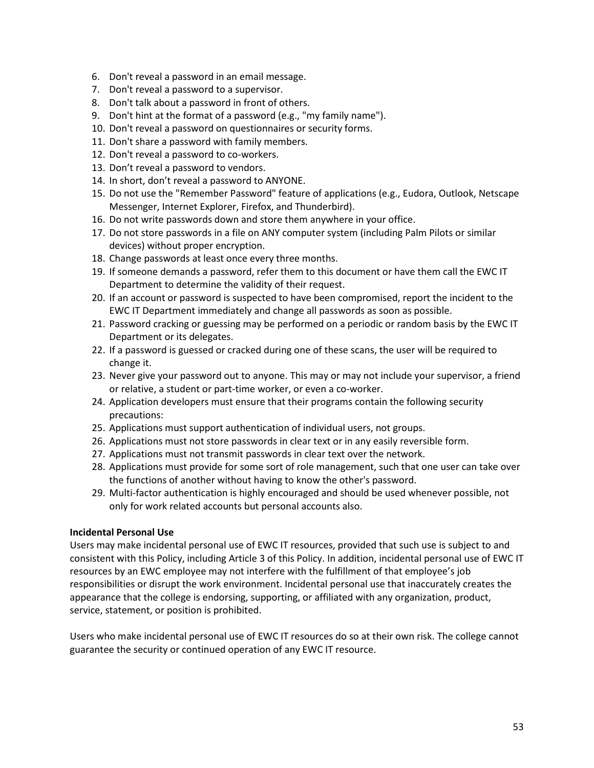- 6. Don't reveal a password in an email message.
- 7. Don't reveal a password to a supervisor.
- 8. Don't talk about a password in front of others.
- 9. Don't hint at the format of a password (e.g., "my family name").
- 10. Don't reveal a password on questionnaires or security forms.
- 11. Don't share a password with family members.
- 12. Don't reveal a password to co-workers.
- 13. Don't reveal a password to vendors.
- 14. In short, don't reveal a password to ANYONE.
- 15. Do not use the "Remember Password" feature of applications (e.g., Eudora, Outlook, Netscape Messenger, Internet Explorer, Firefox, and Thunderbird).
- 16. Do not write passwords down and store them anywhere in your office.
- 17. Do not store passwords in a file on ANY computer system (including Palm Pilots or similar devices) without proper encryption.
- 18. Change passwords at least once every three months.
- 19. If someone demands a password, refer them to this document or have them call the EWC IT Department to determine the validity of their request.
- 20. If an account or password is suspected to have been compromised, report the incident to the EWC IT Department immediately and change all passwords as soon as possible.
- 21. Password cracking or guessing may be performed on a periodic or random basis by the EWC IT Department or its delegates.
- 22. If a password is guessed or cracked during one of these scans, the user will be required to change it.
- 23. Never give your password out to anyone. This may or may not include your supervisor, a friend or relative, a student or part-time worker, or even a co-worker.
- 24. Application developers must ensure that their programs contain the following security precautions:
- 25. Applications must support authentication of individual users, not groups.
- 26. Applications must not store passwords in clear text or in any easily reversible form.
- 27. Applications must not transmit passwords in clear text over the network.
- 28. Applications must provide for some sort of role management, such that one user can take over the functions of another without having to know the other's password.
- 29. Multi-factor authentication is highly encouraged and should be used whenever possible, not only for work related accounts but personal accounts also.

#### **Incidental Personal Use**

Users may make incidental personal use of EWC IT resources, provided that such use is subject to and consistent with this Policy, including Article 3 of this Policy. In addition, incidental personal use of EWC IT resources by an EWC employee may not interfere with the fulfillment of that employee's job responsibilities or disrupt the work environment. Incidental personal use that inaccurately creates the appearance that the college is endorsing, supporting, or affiliated with any organization, product, service, statement, or position is prohibited.

Users who make incidental personal use of EWC IT resources do so at their own risk. The college cannot guarantee the security or continued operation of any EWC IT resource.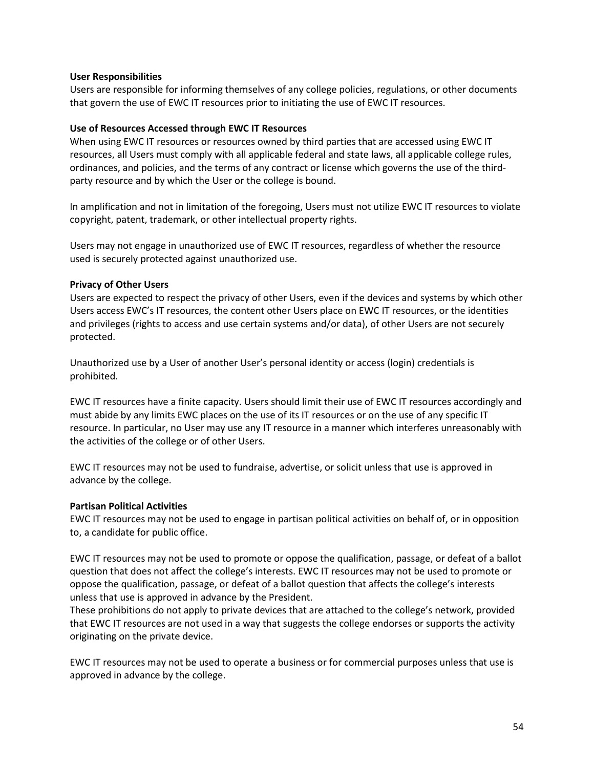#### **User Responsibilities**

Users are responsible for informing themselves of any college policies, regulations, or other documents that govern the use of EWC IT resources prior to initiating the use of EWC IT resources.

#### **Use of Resources Accessed through EWC IT Resources**

When using EWC IT resources or resources owned by third parties that are accessed using EWC IT resources, all Users must comply with all applicable federal and state laws, all applicable college rules, ordinances, and policies, and the terms of any contract or license which governs the use of the thirdparty resource and by which the User or the college is bound.

In amplification and not in limitation of the foregoing, Users must not utilize EWC IT resources to violate copyright, patent, trademark, or other intellectual property rights.

Users may not engage in unauthorized use of EWC IT resources, regardless of whether the resource used is securely protected against unauthorized use.

#### **Privacy of Other Users**

Users are expected to respect the privacy of other Users, even if the devices and systems by which other Users access EWC's IT resources, the content other Users place on EWC IT resources, or the identities and privileges (rights to access and use certain systems and/or data), of other Users are not securely protected.

Unauthorized use by a User of another User's personal identity or access (login) credentials is prohibited.

EWC IT resources have a finite capacity. Users should limit their use of EWC IT resources accordingly and must abide by any limits EWC places on the use of its IT resources or on the use of any specific IT resource. In particular, no User may use any IT resource in a manner which interferes unreasonably with the activities of the college or of other Users.

EWC IT resources may not be used to fundraise, advertise, or solicit unless that use is approved in advance by the college.

#### **Partisan Political Activities**

EWC IT resources may not be used to engage in partisan political activities on behalf of, or in opposition to, a candidate for public office.

EWC IT resources may not be used to promote or oppose the qualification, passage, or defeat of a ballot question that does not affect the college's interests. EWC IT resources may not be used to promote or oppose the qualification, passage, or defeat of a ballot question that affects the college's interests unless that use is approved in advance by the President.

These prohibitions do not apply to private devices that are attached to the college's network, provided that EWC IT resources are not used in a way that suggests the college endorses or supports the activity originating on the private device.

EWC IT resources may not be used to operate a business or for commercial purposes unless that use is approved in advance by the college.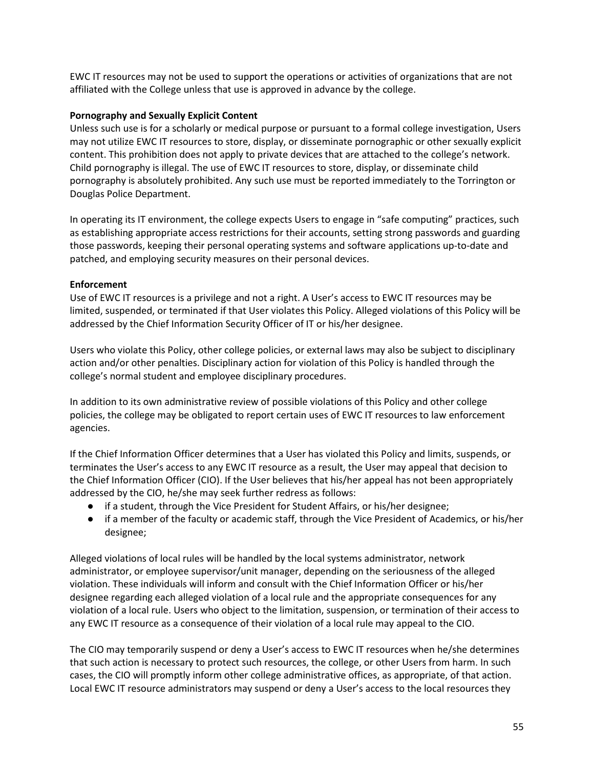EWC IT resources may not be used to support the operations or activities of organizations that are not affiliated with the College unless that use is approved in advance by the college.

#### **Pornography and Sexually Explicit Content**

Unless such use is for a scholarly or medical purpose or pursuant to a formal college investigation, Users may not utilize EWC IT resources to store, display, or disseminate pornographic or other sexually explicit content. This prohibition does not apply to private devices that are attached to the college's network. Child pornography is illegal. The use of EWC IT resources to store, display, or disseminate child pornography is absolutely prohibited. Any such use must be reported immediately to the Torrington or Douglas Police Department.

In operating its IT environment, the college expects Users to engage in "safe computing" practices, such as establishing appropriate access restrictions for their accounts, setting strong passwords and guarding those passwords, keeping their personal operating systems and software applications up-to-date and patched, and employing security measures on their personal devices.

#### **Enforcement**

Use of EWC IT resources is a privilege and not a right. A User's access to EWC IT resources may be limited, suspended, or terminated if that User violates this Policy. Alleged violations of this Policy will be addressed by the Chief Information Security Officer of IT or his/her designee.

Users who violate this Policy, other college policies, or external laws may also be subject to disciplinary action and/or other penalties. Disciplinary action for violation of this Policy is handled through the college's normal student and employee disciplinary procedures.

In addition to its own administrative review of possible violations of this Policy and other college policies, the college may be obligated to report certain uses of EWC IT resources to law enforcement agencies.

If the Chief Information Officer determines that a User has violated this Policy and limits, suspends, or terminates the User's access to any EWC IT resource as a result, the User may appeal that decision to the Chief Information Officer (CIO). If the User believes that his/her appeal has not been appropriately addressed by the CIO, he/she may seek further redress as follows:

- if a student, through the Vice President for Student Affairs, or his/her designee;
- if a member of the faculty or academic staff, through the Vice President of Academics, or his/her designee;

Alleged violations of local rules will be handled by the local systems administrator, network administrator, or employee supervisor/unit manager, depending on the seriousness of the alleged violation. These individuals will inform and consult with the Chief Information Officer or his/her designee regarding each alleged violation of a local rule and the appropriate consequences for any violation of a local rule. Users who object to the limitation, suspension, or termination of their access to any EWC IT resource as a consequence of their violation of a local rule may appeal to the CIO.

The CIO may temporarily suspend or deny a User's access to EWC IT resources when he/she determines that such action is necessary to protect such resources, the college, or other Users from harm. In such cases, the CIO will promptly inform other college administrative offices, as appropriate, of that action. Local EWC IT resource administrators may suspend or deny a User's access to the local resources they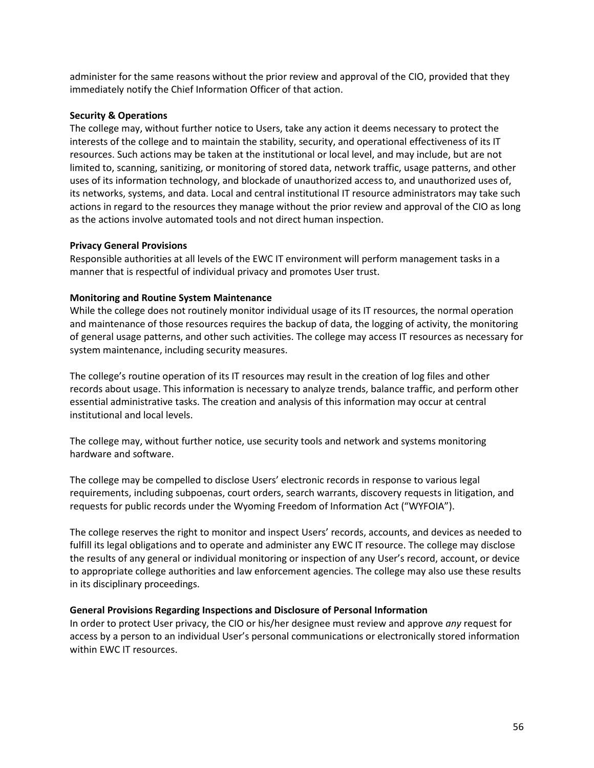administer for the same reasons without the prior review and approval of the CIO, provided that they immediately notify the Chief Information Officer of that action.

#### **Security & Operations**

The college may, without further notice to Users, take any action it deems necessary to protect the interests of the college and to maintain the stability, security, and operational effectiveness of its IT resources. Such actions may be taken at the institutional or local level, and may include, but are not limited to, scanning, sanitizing, or monitoring of stored data, network traffic, usage patterns, and other uses of its information technology, and blockade of unauthorized access to, and unauthorized uses of, its networks, systems, and data. Local and central institutional IT resource administrators may take such actions in regard to the resources they manage without the prior review and approval of the CIO as long as the actions involve automated tools and not direct human inspection.

#### **Privacy General Provisions**

Responsible authorities at all levels of the EWC IT environment will perform management tasks in a manner that is respectful of individual privacy and promotes User trust.

#### **Monitoring and Routine System Maintenance**

While the college does not routinely monitor individual usage of its IT resources, the normal operation and maintenance of those resources requires the backup of data, the logging of activity, the monitoring of general usage patterns, and other such activities. The college may access IT resources as necessary for system maintenance, including security measures.

The college's routine operation of its IT resources may result in the creation of log files and other records about usage. This information is necessary to analyze trends, balance traffic, and perform other essential administrative tasks. The creation and analysis of this information may occur at central institutional and local levels.

The college may, without further notice, use security tools and network and systems monitoring hardware and software.

The college may be compelled to disclose Users' electronic records in response to various legal requirements, including subpoenas, court orders, search warrants, discovery requests in litigation, and requests for public records under the Wyoming Freedom of Information Act ("WYFOIA").

The college reserves the right to monitor and inspect Users' records, accounts, and devices as needed to fulfill its legal obligations and to operate and administer any EWC IT resource. The college may disclose the results of any general or individual monitoring or inspection of any User's record, account, or device to appropriate college authorities and law enforcement agencies. The college may also use these results in its disciplinary proceedings.

#### **General Provisions Regarding Inspections and Disclosure of Personal Information**

In order to protect User privacy, the CIO or his/her designee must review and approve *any* request for access by a person to an individual User's personal communications or electronically stored information within EWC IT resources.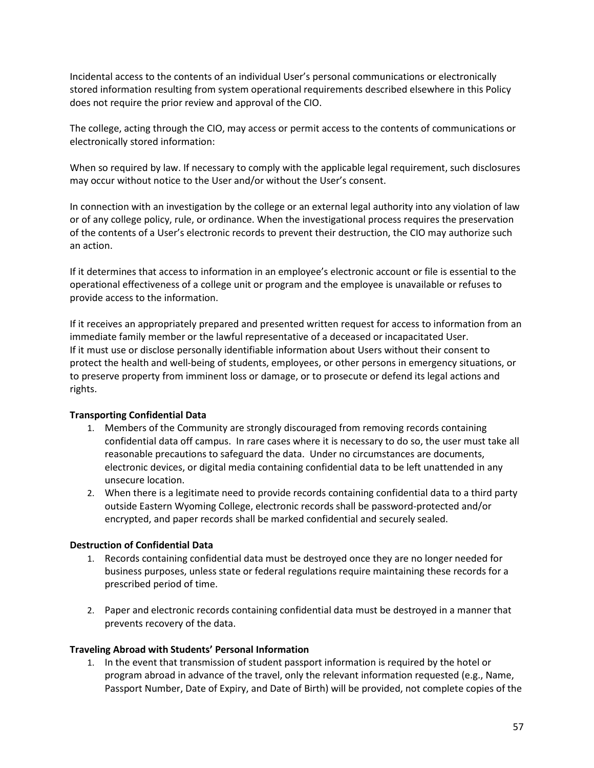Incidental access to the contents of an individual User's personal communications or electronically stored information resulting from system operational requirements described elsewhere in this Policy does not require the prior review and approval of the CIO.

The college, acting through the CIO, may access or permit access to the contents of communications or electronically stored information:

When so required by law. If necessary to comply with the applicable legal requirement, such disclosures may occur without notice to the User and/or without the User's consent.

In connection with an investigation by the college or an external legal authority into any violation of law or of any college policy, rule, or ordinance. When the investigational process requires the preservation of the contents of a User's electronic records to prevent their destruction, the CIO may authorize such an action.

If it determines that access to information in an employee's electronic account or file is essential to the operational effectiveness of a college unit or program and the employee is unavailable or refuses to provide access to the information.

If it receives an appropriately prepared and presented written request for access to information from an immediate family member or the lawful representative of a deceased or incapacitated User. If it must use or disclose personally identifiable information about Users without their consent to protect the health and well-being of students, employees, or other persons in emergency situations, or to preserve property from imminent loss or damage, or to prosecute or defend its legal actions and rights.

#### **Transporting Confidential Data**

- 1. Members of the Community are strongly discouraged from removing records containing confidential data off campus. In rare cases where it is necessary to do so, the user must take all reasonable precautions to safeguard the data. Under no circumstances are documents, electronic devices, or digital media containing confidential data to be left unattended in any unsecure location.
- 2. When there is a legitimate need to provide records containing confidential data to a third party outside Eastern Wyoming College, electronic records shall be password-protected and/or encrypted, and paper records shall be marked confidential and securely sealed.

#### **Destruction of Confidential Data**

- 1. Records containing confidential data must be destroyed once they are no longer needed for business purposes, unless state or federal regulations require maintaining these records for a prescribed period of time.
- 2. Paper and electronic records containing confidential data must be destroyed in a manner that prevents recovery of the data.

#### **Traveling Abroad with Students' Personal Information**

1. In the event that transmission of student passport information is required by the hotel or program abroad in advance of the travel, only the relevant information requested (e.g., Name, Passport Number, Date of Expiry, and Date of Birth) will be provided, not complete copies of the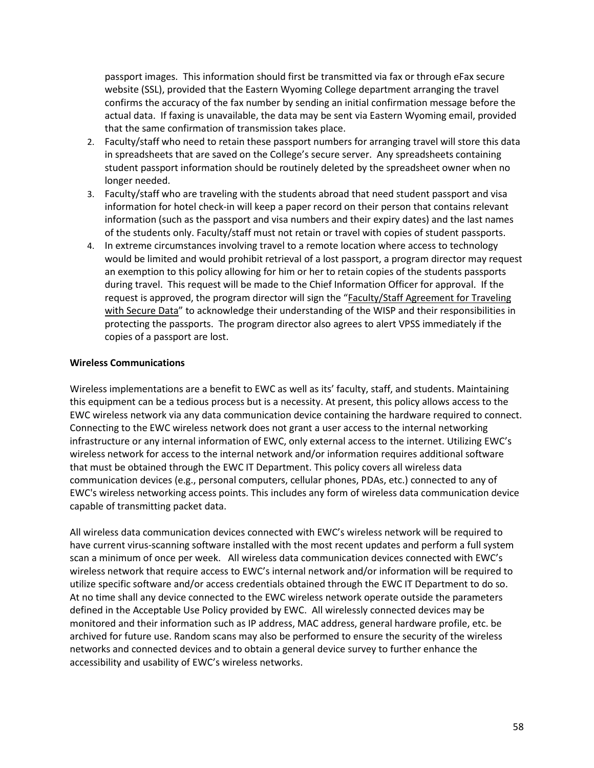passport images. This information should first be transmitted via fax or through eFax secure website (SSL), provided that the Eastern Wyoming College department arranging the travel confirms the accuracy of the fax number by sending an initial confirmation message before the actual data. If faxing is unavailable, the data may be sent via Eastern Wyoming email, provided that the same confirmation of transmission takes place.

- 2. Faculty/staff who need to retain these passport numbers for arranging travel will store this data in spreadsheets that are saved on the College's secure server. Any spreadsheets containing student passport information should be routinely deleted by the spreadsheet owner when no longer needed.
- 3. Faculty/staff who are traveling with the students abroad that need student passport and visa information for hotel check-in will keep a paper record on their person that contains relevant information (such as the passport and visa numbers and their expiry dates) and the last names of the students only. Faculty/staff must not retain or travel with copies of student passports.
- 4. In extreme circumstances involving travel to a remote location where access to technology would be limited and would prohibit retrieval of a lost passport, a program director may request an exemption to this policy allowing for him or her to retain copies of the students passports during travel. This request will be made to the Chief Information Officer for approval. If the request is approved, the program director will sign the ["Faculty/Staff Agreement for Traveling](https://docs.google.com/a/wellesley.edu/forms/d/1BhXIwCxoxUoJ2il8Fh4VZsbNb84y4bE82x_wyOyaH9s/viewform)  [with Secure Data"](https://docs.google.com/a/wellesley.edu/forms/d/1BhXIwCxoxUoJ2il8Fh4VZsbNb84y4bE82x_wyOyaH9s/viewform) to acknowledge their understanding of the WISP and their responsibilities in protecting the passports. The program director also agrees to alert VPSS immediately if the copies of a passport are lost.

#### **Wireless Communications**

Wireless implementations are a benefit to EWC as well as its' faculty, staff, and students. Maintaining this equipment can be a tedious process but is a necessity. At present, this policy allows access to the EWC wireless network via any data communication device containing the hardware required to connect. Connecting to the EWC wireless network does not grant a user access to the internal networking infrastructure or any internal information of EWC, only external access to the internet. Utilizing EWC's wireless network for access to the internal network and/or information requires additional software that must be obtained through the EWC IT Department. This policy covers all wireless data communication devices (e.g., personal computers, cellular phones, PDAs, etc.) connected to any of EWC's wireless networking access points. This includes any form of wireless data communication device capable of transmitting packet data.

All wireless data communication devices connected with EWC's wireless network will be required to have current virus-scanning software installed with the most recent updates and perform a full system scan a minimum of once per week. All wireless data communication devices connected with EWC's wireless network that require access to EWC's internal network and/or information will be required to utilize specific software and/or access credentials obtained through the EWC IT Department to do so. At no time shall any device connected to the EWC wireless network operate outside the parameters defined in the Acceptable Use Policy provided by EWC. All wirelessly connected devices may be monitored and their information such as IP address, MAC address, general hardware profile, etc. be archived for future use. Random scans may also be performed to ensure the security of the wireless networks and connected devices and to obtain a general device survey to further enhance the accessibility and usability of EWC's wireless networks.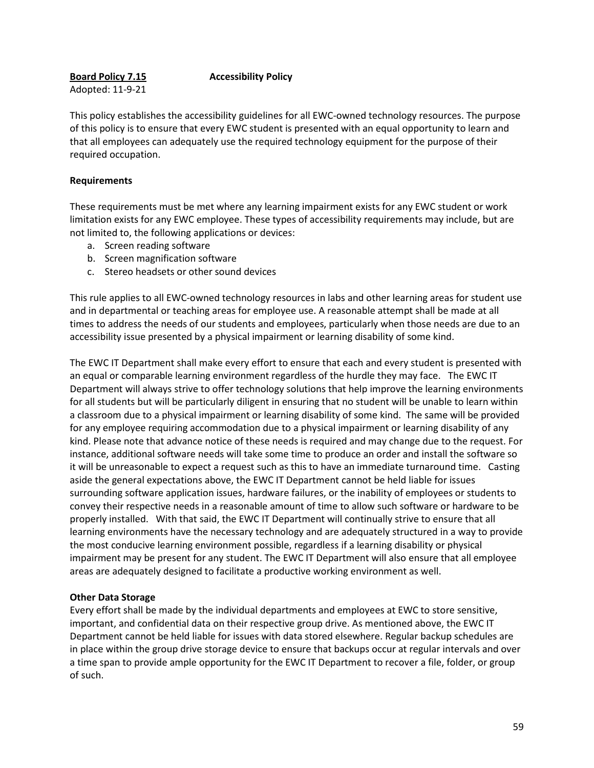**Board Policy 7.15 Accessibility Policy**  Adopted: 11-9-21

This policy establishes the accessibility guidelines for all EWC-owned technology resources. The purpose of this policy is to ensure that every EWC student is presented with an equal opportunity to learn and that all employees can adequately use the required technology equipment for the purpose of their required occupation.

#### **Requirements**

These requirements must be met where any learning impairment exists for any EWC student or work limitation exists for any EWC employee. These types of accessibility requirements may include, but are not limited to, the following applications or devices:

- a. Screen reading software
- b. Screen magnification software
- c. Stereo headsets or other sound devices

This rule applies to all EWC-owned technology resources in labs and other learning areas for student use and in departmental or teaching areas for employee use. A reasonable attempt shall be made at all times to address the needs of our students and employees, particularly when those needs are due to an accessibility issue presented by a physical impairment or learning disability of some kind.

The EWC IT Department shall make every effort to ensure that each and every student is presented with an equal or comparable learning environment regardless of the hurdle they may face. The EWC IT Department will always strive to offer technology solutions that help improve the learning environments for all students but will be particularly diligent in ensuring that no student will be unable to learn within a classroom due to a physical impairment or learning disability of some kind. The same will be provided for any employee requiring accommodation due to a physical impairment or learning disability of any kind. Please note that advance notice of these needs is required and may change due to the request. For instance, additional software needs will take some time to produce an order and install the software so it will be unreasonable to expect a request such as this to have an immediate turnaround time. Casting aside the general expectations above, the EWC IT Department cannot be held liable for issues surrounding software application issues, hardware failures, or the inability of employees or students to convey their respective needs in a reasonable amount of time to allow such software or hardware to be properly installed. With that said, the EWC IT Department will continually strive to ensure that all learning environments have the necessary technology and are adequately structured in a way to provide the most conducive learning environment possible, regardless if a learning disability or physical impairment may be present for any student. The EWC IT Department will also ensure that all employee areas are adequately designed to facilitate a productive working environment as well.

#### **Other Data Storage**

Every effort shall be made by the individual departments and employees at EWC to store sensitive, important, and confidential data on their respective group drive. As mentioned above, the EWC IT Department cannot be held liable for issues with data stored elsewhere. Regular backup schedules are in place within the group drive storage device to ensure that backups occur at regular intervals and over a time span to provide ample opportunity for the EWC IT Department to recover a file, folder, or group of such.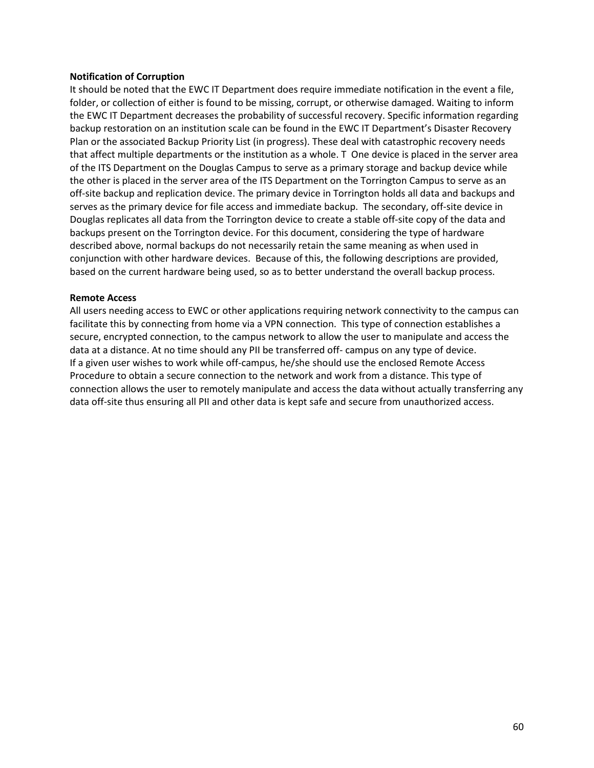#### **Notification of Corruption**

It should be noted that the EWC IT Department does require immediate notification in the event a file, folder, or collection of either is found to be missing, corrupt, or otherwise damaged. Waiting to inform the EWC IT Department decreases the probability of successful recovery. Specific information regarding backup restoration on an institution scale can be found in the EWC IT Department's Disaster Recovery Plan or the associated Backup Priority List (in progress). These deal with catastrophic recovery needs that affect multiple departments or the institution as a whole. T One device is placed in the server area of the ITS Department on the Douglas Campus to serve as a primary storage and backup device while the other is placed in the server area of the ITS Department on the Torrington Campus to serve as an off-site backup and replication device. The primary device in Torrington holds all data and backups and serves as the primary device for file access and immediate backup. The secondary, off-site device in Douglas replicates all data from the Torrington device to create a stable off-site copy of the data and backups present on the Torrington device. For this document, considering the type of hardware described above, normal backups do not necessarily retain the same meaning as when used in conjunction with other hardware devices. Because of this, the following descriptions are provided, based on the current hardware being used, so as to better understand the overall backup process.

#### **Remote Access**

All users needing access to EWC or other applications requiring network connectivity to the campus can facilitate this by connecting from home via a VPN connection. This type of connection establishes a secure, encrypted connection, to the campus network to allow the user to manipulate and access the data at a distance. At no time should any PII be transferred off- campus on any type of device. If a given user wishes to work while off-campus, he/she should use the enclosed Remote Access Procedure to obtain a secure connection to the network and work from a distance. This type of connection allows the user to remotely manipulate and access the data without actually transferring any data off-site thus ensuring all PII and other data is kept safe and secure from unauthorized access.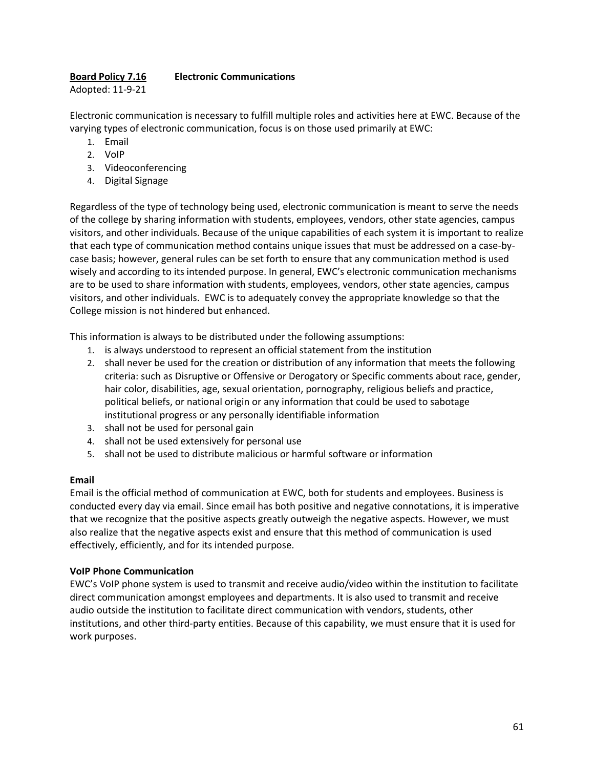## **Board Policy 7.16 Electronic Communications**

Adopted: 11-9-21

Electronic communication is necessary to fulfill multiple roles and activities here at EWC. Because of the varying types of electronic communication, focus is on those used primarily at EWC:

- 1. Email
- 2. VoIP
- 3. Videoconferencing
- 4. Digital Signage

Regardless of the type of technology being used, electronic communication is meant to serve the needs of the college by sharing information with students, employees, vendors, other state agencies, campus visitors, and other individuals. Because of the unique capabilities of each system it is important to realize that each type of communication method contains unique issues that must be addressed on a case-bycase basis; however, general rules can be set forth to ensure that any communication method is used wisely and according to its intended purpose. In general, EWC's electronic communication mechanisms are to be used to share information with students, employees, vendors, other state agencies, campus visitors, and other individuals. EWC is to adequately convey the appropriate knowledge so that the College mission is not hindered but enhanced.

This information is always to be distributed under the following assumptions:

- 1. is always understood to represent an official statement from the institution
- 2. shall never be used for the creation or distribution of any information that meets the following criteria: such as Disruptive or Offensive or Derogatory or Specific comments about race, gender, hair color, disabilities, age, sexual orientation, pornography, religious beliefs and practice, political beliefs, or national origin or any information that could be used to sabotage institutional progress or any personally identifiable information
- 3. shall not be used for personal gain
- 4. shall not be used extensively for personal use
- 5. shall not be used to distribute malicious or harmful software or information

#### **Email**

Email is the official method of communication at EWC, both for students and employees. Business is conducted every day via email. Since email has both positive and negative connotations, it is imperative that we recognize that the positive aspects greatly outweigh the negative aspects. However, we must also realize that the negative aspects exist and ensure that this method of communication is used effectively, efficiently, and for its intended purpose.

#### **VoIP Phone Communication**

EWC's VoIP phone system is used to transmit and receive audio/video within the institution to facilitate direct communication amongst employees and departments. It is also used to transmit and receive audio outside the institution to facilitate direct communication with vendors, students, other institutions, and other third-party entities. Because of this capability, we must ensure that it is used for work purposes.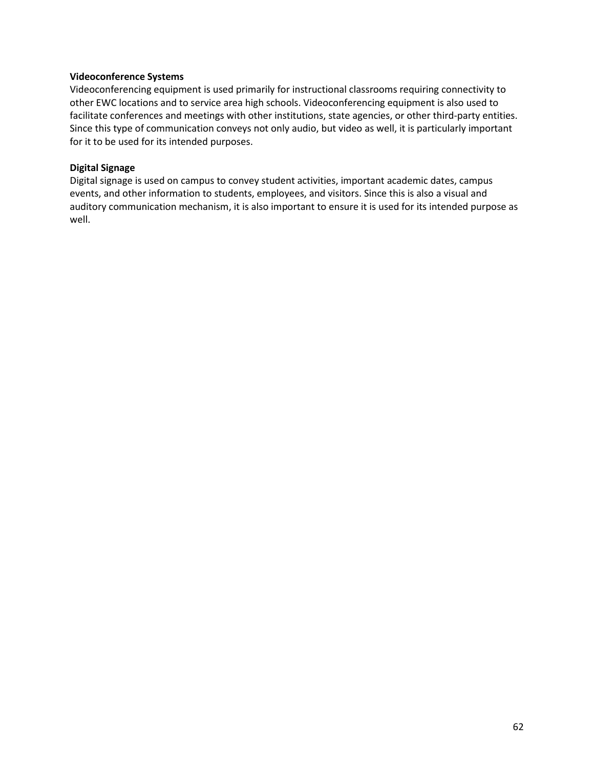#### **Videoconference Systems**

Videoconferencing equipment is used primarily for instructional classrooms requiring connectivity to other EWC locations and to service area high schools. Videoconferencing equipment is also used to facilitate conferences and meetings with other institutions, state agencies, or other third-party entities. Since this type of communication conveys not only audio, but video as well, it is particularly important for it to be used for its intended purposes.

#### **Digital Signage**

Digital signage is used on campus to convey student activities, important academic dates, campus events, and other information to students, employees, and visitors. Since this is also a visual and auditory communication mechanism, it is also important to ensure it is used for its intended purpose as well.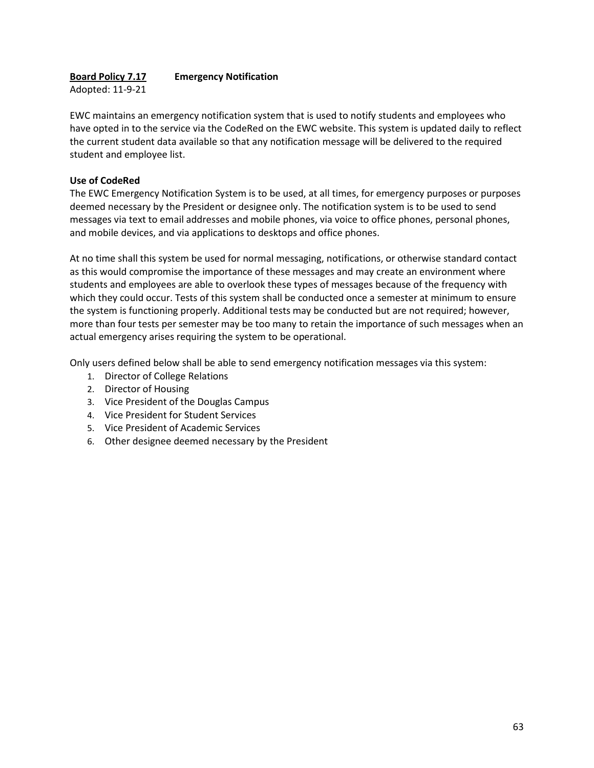**Board Policy 7.17 Emergency Notification** Adopted: 11-9-21

EWC maintains an emergency notification system that is used to notify students and employees who have opted in to the service via the CodeRed on the EWC website. This system is updated daily to reflect the current student data available so that any notification message will be delivered to the required student and employee list.

## **Use of CodeRed**

The EWC Emergency Notification System is to be used, at all times, for emergency purposes or purposes deemed necessary by the President or designee only. The notification system is to be used to send messages via text to email addresses and mobile phones, via voice to office phones, personal phones, and mobile devices, and via applications to desktops and office phones.

At no time shall this system be used for normal messaging, notifications, or otherwise standard contact as this would compromise the importance of these messages and may create an environment where students and employees are able to overlook these types of messages because of the frequency with which they could occur. Tests of this system shall be conducted once a semester at minimum to ensure the system is functioning properly. Additional tests may be conducted but are not required; however, more than four tests per semester may be too many to retain the importance of such messages when an actual emergency arises requiring the system to be operational.

Only users defined below shall be able to send emergency notification messages via this system:

- 1. Director of College Relations
- 2. Director of Housing
- 3. Vice President of the Douglas Campus
- 4. Vice President for Student Services
- 5. Vice President of Academic Services
- 6. Other designee deemed necessary by the President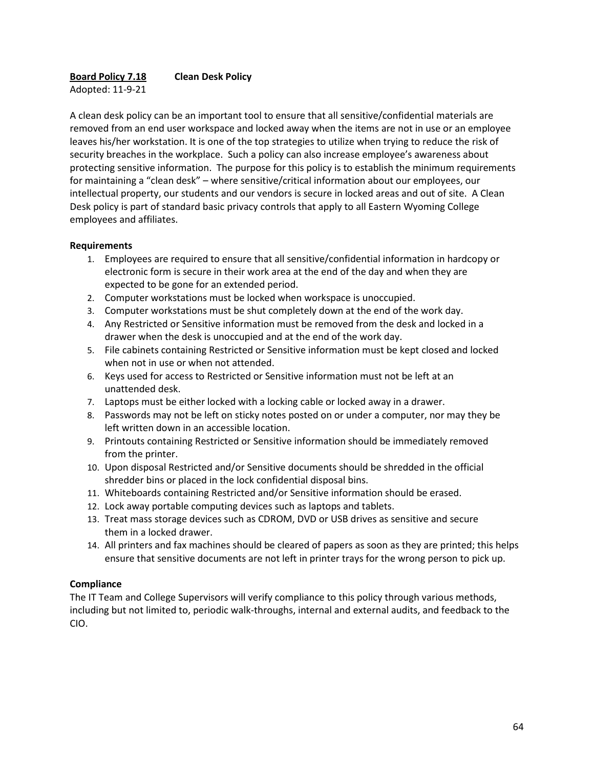**Board Policy 7.18 Clean Desk Policy**  Adopted: 11-9-21

A clean desk policy can be an important tool to ensure that all sensitive/confidential materials are removed from an end user workspace and locked away when the items are not in use or an employee leaves his/her workstation. It is one of the top strategies to utilize when trying to reduce the risk of security breaches in the workplace. Such a policy can also increase employee's awareness about protecting sensitive information. The purpose for this policy is to establish the minimum requirements for maintaining a "clean desk" – where sensitive/critical information about our employees, our intellectual property, our students and our vendors is secure in locked areas and out of site. A Clean Desk policy is part of standard basic privacy controls that apply to all Eastern Wyoming College employees and affiliates.

#### **Requirements**

- 1. Employees are required to ensure that all sensitive/confidential information in hardcopy or electronic form is secure in their work area at the end of the day and when they are expected to be gone for an extended period.
- 2. Computer workstations must be locked when workspace is unoccupied.
- 3. Computer workstations must be shut completely down at the end of the work day.
- 4. Any Restricted or Sensitive information must be removed from the desk and locked in a drawer when the desk is unoccupied and at the end of the work day.
- 5. File cabinets containing Restricted or Sensitive information must be kept closed and locked when not in use or when not attended.
- 6. Keys used for access to Restricted or Sensitive information must not be left at an unattended desk.
- 7. Laptops must be either locked with a locking cable or locked away in a drawer.
- 8. Passwords may not be left on sticky notes posted on or under a computer, nor may they be left written down in an accessible location.
- 9. Printouts containing Restricted or Sensitive information should be immediately removed from the printer.
- 10. Upon disposal Restricted and/or Sensitive documents should be shredded in the official shredder bins or placed in the lock confidential disposal bins.
- 11. Whiteboards containing Restricted and/or Sensitive information should be erased.
- 12. Lock away portable computing devices such as laptops and tablets.
- 13. Treat mass storage devices such as CDROM, DVD or USB drives as sensitive and secure them in a locked drawer.
- 14. All printers and fax machines should be cleared of papers as soon as they are printed; this helps ensure that sensitive documents are not left in printer trays for the wrong person to pick up.

## **Compliance**

The IT Team and College Supervisors will verify compliance to this policy through various methods, including but not limited to, periodic walk-throughs, internal and external audits, and feedback to the CIO.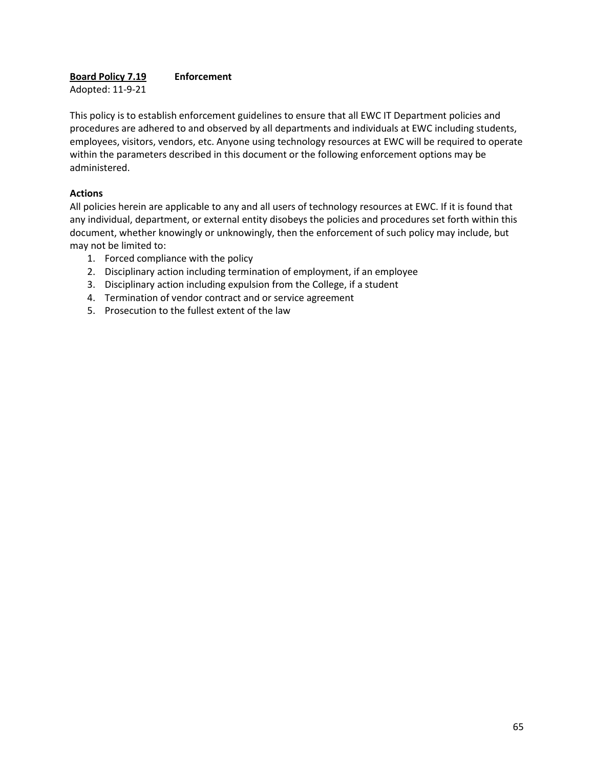**Board Policy 7.19 Enforcement**

Adopted: 11-9-21

This policy is to establish enforcement guidelines to ensure that all EWC IT Department policies and procedures are adhered to and observed by all departments and individuals at EWC including students, employees, visitors, vendors, etc. Anyone using technology resources at EWC will be required to operate within the parameters described in this document or the following enforcement options may be administered.

## **Actions**

All policies herein are applicable to any and all users of technology resources at EWC. If it is found that any individual, department, or external entity disobeys the policies and procedures set forth within this document, whether knowingly or unknowingly, then the enforcement of such policy may include, but may not be limited to:

- 1. Forced compliance with the policy
- 2. Disciplinary action including termination of employment, if an employee
- 3. Disciplinary action including expulsion from the College, if a student
- 4. Termination of vendor contract and or service agreement
- 5. Prosecution to the fullest extent of the law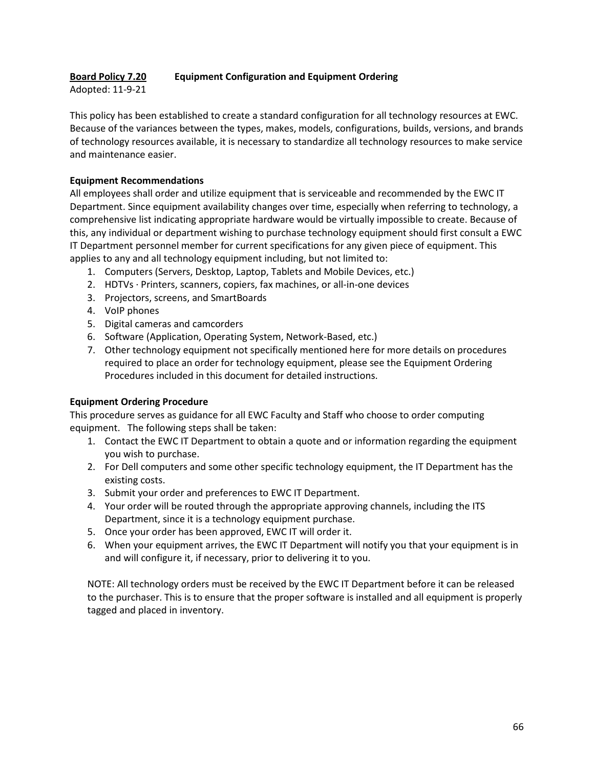## **Board Policy 7.20 Equipment Configuration and Equipment Ordering**

Adopted: 11-9-21

This policy has been established to create a standard configuration for all technology resources at EWC. Because of the variances between the types, makes, models, configurations, builds, versions, and brands of technology resources available, it is necessary to standardize all technology resources to make service and maintenance easier.

## **Equipment Recommendations**

All employees shall order and utilize equipment that is serviceable and recommended by the EWC IT Department. Since equipment availability changes over time, especially when referring to technology, a comprehensive list indicating appropriate hardware would be virtually impossible to create. Because of this, any individual or department wishing to purchase technology equipment should first consult a EWC IT Department personnel member for current specifications for any given piece of equipment. This applies to any and all technology equipment including, but not limited to:

- 1. Computers (Servers, Desktop, Laptop, Tablets and Mobile Devices, etc.)
- 2. HDTVs ∙ Printers, scanners, copiers, fax machines, or all-in-one devices
- 3. Projectors, screens, and SmartBoards
- 4. VoIP phones
- 5. Digital cameras and camcorders
- 6. Software (Application, Operating System, Network-Based, etc.)
- 7. Other technology equipment not specifically mentioned here for more details on procedures required to place an order for technology equipment, please see the Equipment Ordering Procedures included in this document for detailed instructions.

#### **Equipment Ordering Procedure**

This procedure serves as guidance for all EWC Faculty and Staff who choose to order computing equipment. The following steps shall be taken:

- 1. Contact the EWC IT Department to obtain a quote and or information regarding the equipment you wish to purchase.
- 2. For Dell computers and some other specific technology equipment, the IT Department has the existing costs.
- 3. Submit your order and preferences to EWC IT Department.
- 4. Your order will be routed through the appropriate approving channels, including the ITS Department, since it is a technology equipment purchase.
- 5. Once your order has been approved, EWC IT will order it.
- 6. When your equipment arrives, the EWC IT Department will notify you that your equipment is in and will configure it, if necessary, prior to delivering it to you.

NOTE: All technology orders must be received by the EWC IT Department before it can be released to the purchaser. This is to ensure that the proper software is installed and all equipment is properly tagged and placed in inventory.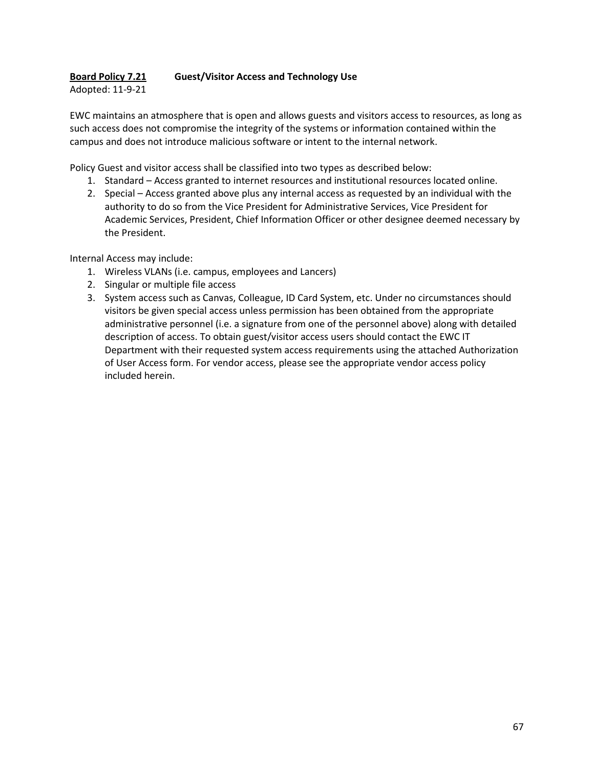## **Board Policy 7.21 Guest/Visitor Access and Technology Use**

### Adopted: 11-9-21

EWC maintains an atmosphere that is open and allows guests and visitors access to resources, as long as such access does not compromise the integrity of the systems or information contained within the campus and does not introduce malicious software or intent to the internal network.

Policy Guest and visitor access shall be classified into two types as described below:

- 1. Standard Access granted to internet resources and institutional resources located online.
- 2. Special Access granted above plus any internal access as requested by an individual with the authority to do so from the Vice President for Administrative Services, Vice President for Academic Services, President, Chief Information Officer or other designee deemed necessary by the President.

Internal Access may include:

- 1. Wireless VLANs (i.e. campus, employees and Lancers)
- 2. Singular or multiple file access
- 3. System access such as Canvas, Colleague, ID Card System, etc. Under no circumstances should visitors be given special access unless permission has been obtained from the appropriate administrative personnel (i.e. a signature from one of the personnel above) along with detailed description of access. To obtain guest/visitor access users should contact the EWC IT Department with their requested system access requirements using the attached Authorization of User Access form. For vendor access, please see the appropriate vendor access policy included herein.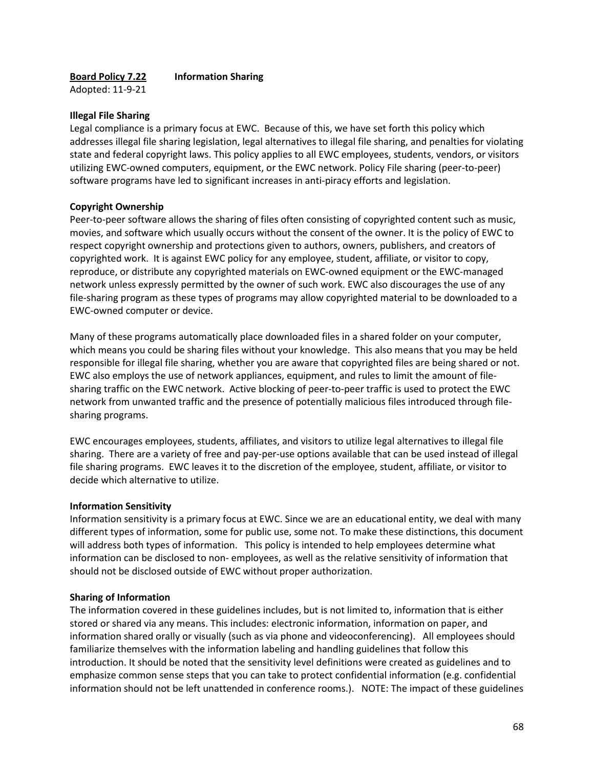| <b>Board Policy 7.22</b> | <b>Information Sharing</b> |
|--------------------------|----------------------------|
| Adopted: 11-9-21         |                            |

#### **Illegal File Sharing**

Legal compliance is a primary focus at EWC. Because of this, we have set forth this policy which addresses illegal file sharing legislation, legal alternatives to illegal file sharing, and penalties for violating state and federal copyright laws. This policy applies to all EWC employees, students, vendors, or visitors utilizing EWC-owned computers, equipment, or the EWC network. Policy File sharing (peer-to-peer) software programs have led to significant increases in anti-piracy efforts and legislation.

#### **Copyright Ownership**

Peer-to-peer software allows the sharing of files often consisting of copyrighted content such as music, movies, and software which usually occurs without the consent of the owner. It is the policy of EWC to respect copyright ownership and protections given to authors, owners, publishers, and creators of copyrighted work. It is against EWC policy for any employee, student, affiliate, or visitor to copy, reproduce, or distribute any copyrighted materials on EWC-owned equipment or the EWC-managed network unless expressly permitted by the owner of such work. EWC also discourages the use of any file-sharing program as these types of programs may allow copyrighted material to be downloaded to a EWC-owned computer or device.

Many of these programs automatically place downloaded files in a shared folder on your computer, which means you could be sharing files without your knowledge. This also means that you may be held responsible for illegal file sharing, whether you are aware that copyrighted files are being shared or not. EWC also employs the use of network appliances, equipment, and rules to limit the amount of filesharing traffic on the EWC network. Active blocking of peer-to-peer traffic is used to protect the EWC network from unwanted traffic and the presence of potentially malicious files introduced through filesharing programs.

EWC encourages employees, students, affiliates, and visitors to utilize legal alternatives to illegal file sharing. There are a variety of free and pay-per-use options available that can be used instead of illegal file sharing programs. EWC leaves it to the discretion of the employee, student, affiliate, or visitor to decide which alternative to utilize.

#### **Information Sensitivity**

Information sensitivity is a primary focus at EWC. Since we are an educational entity, we deal with many different types of information, some for public use, some not. To make these distinctions, this document will address both types of information. This policy is intended to help employees determine what information can be disclosed to non- employees, as well as the relative sensitivity of information that should not be disclosed outside of EWC without proper authorization.

#### **Sharing of Information**

The information covered in these guidelines includes, but is not limited to, information that is either stored or shared via any means. This includes: electronic information, information on paper, and information shared orally or visually (such as via phone and videoconferencing). All employees should familiarize themselves with the information labeling and handling guidelines that follow this introduction. It should be noted that the sensitivity level definitions were created as guidelines and to emphasize common sense steps that you can take to protect confidential information (e.g. confidential information should not be left unattended in conference rooms.). NOTE: The impact of these guidelines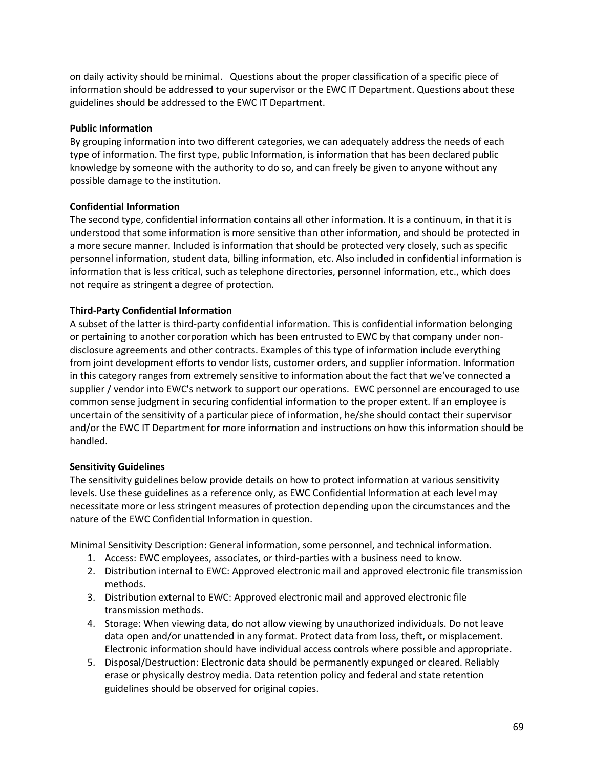on daily activity should be minimal. Questions about the proper classification of a specific piece of information should be addressed to your supervisor or the EWC IT Department. Questions about these guidelines should be addressed to the EWC IT Department.

#### **Public Information**

By grouping information into two different categories, we can adequately address the needs of each type of information. The first type, public Information, is information that has been declared public knowledge by someone with the authority to do so, and can freely be given to anyone without any possible damage to the institution.

## **Confidential Information**

The second type, confidential information contains all other information. It is a continuum, in that it is understood that some information is more sensitive than other information, and should be protected in a more secure manner. Included is information that should be protected very closely, such as specific personnel information, student data, billing information, etc. Also included in confidential information is information that is less critical, such as telephone directories, personnel information, etc., which does not require as stringent a degree of protection.

### **Third-Party Confidential Information**

A subset of the latter is third-party confidential information. This is confidential information belonging or pertaining to another corporation which has been entrusted to EWC by that company under nondisclosure agreements and other contracts. Examples of this type of information include everything from joint development efforts to vendor lists, customer orders, and supplier information. Information in this category ranges from extremely sensitive to information about the fact that we've connected a supplier / vendor into EWC's network to support our operations. EWC personnel are encouraged to use common sense judgment in securing confidential information to the proper extent. If an employee is uncertain of the sensitivity of a particular piece of information, he/she should contact their supervisor and/or the EWC IT Department for more information and instructions on how this information should be handled.

#### **Sensitivity Guidelines**

The sensitivity guidelines below provide details on how to protect information at various sensitivity levels. Use these guidelines as a reference only, as EWC Confidential Information at each level may necessitate more or less stringent measures of protection depending upon the circumstances and the nature of the EWC Confidential Information in question.

Minimal Sensitivity Description: General information, some personnel, and technical information.

- 1. Access: EWC employees, associates, or third-parties with a business need to know.
- 2. Distribution internal to EWC: Approved electronic mail and approved electronic file transmission methods.
- 3. Distribution external to EWC: Approved electronic mail and approved electronic file transmission methods.
- 4. Storage: When viewing data, do not allow viewing by unauthorized individuals. Do not leave data open and/or unattended in any format. Protect data from loss, theft, or misplacement. Electronic information should have individual access controls where possible and appropriate.
- 5. Disposal/Destruction: Electronic data should be permanently expunged or cleared. Reliably erase or physically destroy media. Data retention policy and federal and state retention guidelines should be observed for original copies.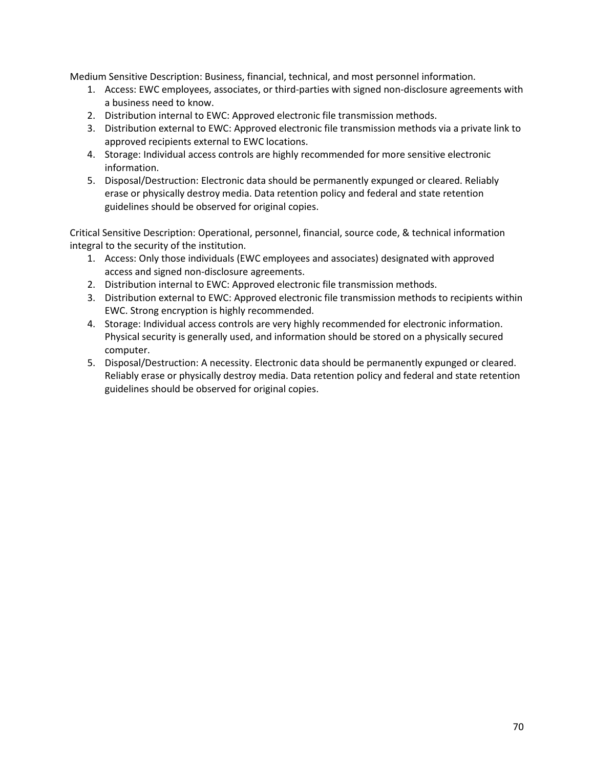Medium Sensitive Description: Business, financial, technical, and most personnel information.

- 1. Access: EWC employees, associates, or third-parties with signed non-disclosure agreements with a business need to know.
- 2. Distribution internal to EWC: Approved electronic file transmission methods.
- 3. Distribution external to EWC: Approved electronic file transmission methods via a private link to approved recipients external to EWC locations.
- 4. Storage: Individual access controls are highly recommended for more sensitive electronic information.
- 5. Disposal/Destruction: Electronic data should be permanently expunged or cleared. Reliably erase or physically destroy media. Data retention policy and federal and state retention guidelines should be observed for original copies.

Critical Sensitive Description: Operational, personnel, financial, source code, & technical information integral to the security of the institution.

- 1. Access: Only those individuals (EWC employees and associates) designated with approved access and signed non-disclosure agreements.
- 2. Distribution internal to EWC: Approved electronic file transmission methods.
- 3. Distribution external to EWC: Approved electronic file transmission methods to recipients within EWC. Strong encryption is highly recommended.
- 4. Storage: Individual access controls are very highly recommended for electronic information. Physical security is generally used, and information should be stored on a physically secured computer.
- 5. Disposal/Destruction: A necessity. Electronic data should be permanently expunged or cleared. Reliably erase or physically destroy media. Data retention policy and federal and state retention guidelines should be observed for original copies.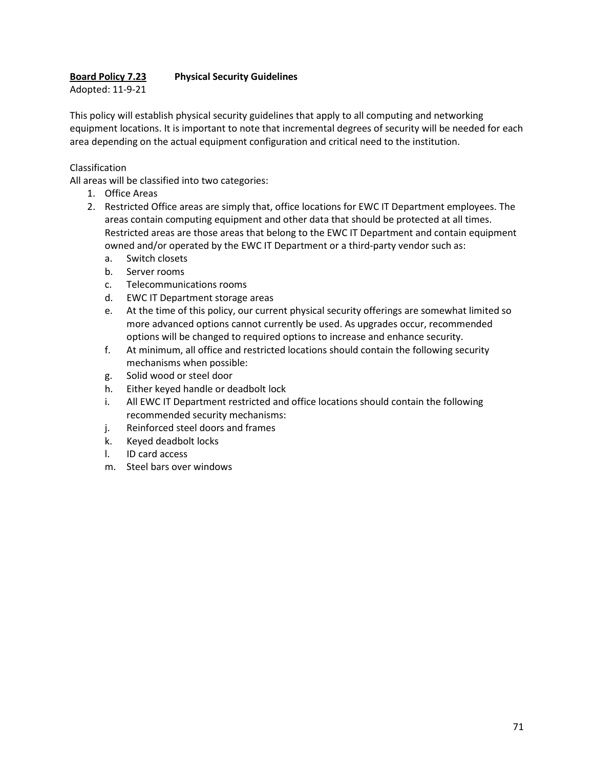## **Board Policy 7.23 Physical Security Guidelines**

Adopted: 11-9-21

This policy will establish physical security guidelines that apply to all computing and networking equipment locations. It is important to note that incremental degrees of security will be needed for each area depending on the actual equipment configuration and critical need to the institution.

## Classification

All areas will be classified into two categories:

- 1. Office Areas
- 2. Restricted Office areas are simply that, office locations for EWC IT Department employees. The areas contain computing equipment and other data that should be protected at all times. Restricted areas are those areas that belong to the EWC IT Department and contain equipment owned and/or operated by the EWC IT Department or a third-party vendor such as:
	- a. Switch closets
	- b. Server rooms
	- c. Telecommunications rooms
	- d. EWC IT Department storage areas
	- e. At the time of this policy, our current physical security offerings are somewhat limited so more advanced options cannot currently be used. As upgrades occur, recommended options will be changed to required options to increase and enhance security.
	- f. At minimum, all office and restricted locations should contain the following security mechanisms when possible:
	- g. Solid wood or steel door
	- h. Either keyed handle or deadbolt lock
	- i. All EWC IT Department restricted and office locations should contain the following recommended security mechanisms:
	- j. Reinforced steel doors and frames
	- k. Keyed deadbolt locks
	- l. ID card access
	- m. Steel bars over windows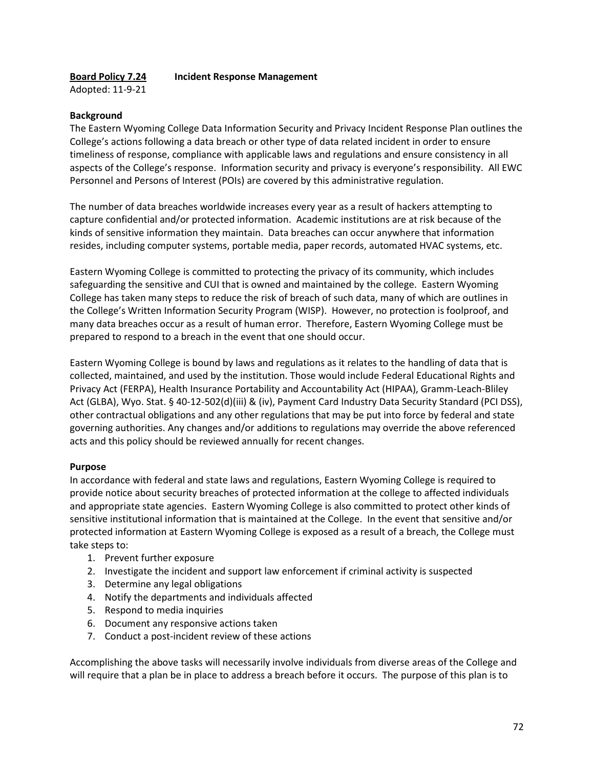## **Board Policy 7.24 Incident Response Management**

Adopted: 11-9-21

#### **Background**

The Eastern Wyoming College Data Information Security and Privacy Incident Response Plan outlines the College's actions following a data breach or other type of data related incident in order to ensure timeliness of response, compliance with applicable laws and regulations and ensure consistency in all aspects of the College's response. Information security and privacy is everyone's responsibility. All EWC Personnel and Persons of Interest (POIs) are covered by this administrative regulation.

The number of data breaches worldwide increases every year as a result of hackers attempting to capture confidential and/or protected information. Academic institutions are at risk because of the kinds of sensitive information they maintain. Data breaches can occur anywhere that information resides, including computer systems, portable media, paper records, automated HVAC systems, etc.

Eastern Wyoming College is committed to protecting the privacy of its community, which includes safeguarding the sensitive and CUI that is owned and maintained by the college. Eastern Wyoming College has taken many steps to reduce the risk of breach of such data, many of which are outlines in the College's Written Information Security Program (WISP). However, no protection is foolproof, and many data breaches occur as a result of human error. Therefore, Eastern Wyoming College must be prepared to respond to a breach in the event that one should occur.

Eastern Wyoming College is bound by laws and regulations as it relates to the handling of data that is collected, maintained, and used by the institution. Those would include Federal Educational Rights and Privacy Act (FERPA), Health Insurance Portability and Accountability Act (HIPAA), Gramm-Leach-Bliley Act (GLBA), Wyo. Stat. § 40-12-502(d)(iii) & (iv), Payment Card Industry Data Security Standard (PCI DSS), other contractual obligations and any other regulations that may be put into force by federal and state governing authorities. Any changes and/or additions to regulations may override the above referenced acts and this policy should be reviewed annually for recent changes.

## **Purpose**

In accordance with federal and state laws and regulations, Eastern Wyoming College is required to provide notice about security breaches of protected information at the college to affected individuals and appropriate state agencies. Eastern Wyoming College is also committed to protect other kinds of sensitive institutional information that is maintained at the College. In the event that sensitive and/or protected information at Eastern Wyoming College is exposed as a result of a breach, the College must take steps to:

- 1. Prevent further exposure
- 2. Investigate the incident and support law enforcement if criminal activity is suspected
- 3. Determine any legal obligations
- 4. Notify the departments and individuals affected
- 5. Respond to media inquiries
- 6. Document any responsive actions taken
- 7. Conduct a post-incident review of these actions

Accomplishing the above tasks will necessarily involve individuals from diverse areas of the College and will require that a plan be in place to address a breach before it occurs. The purpose of this plan is to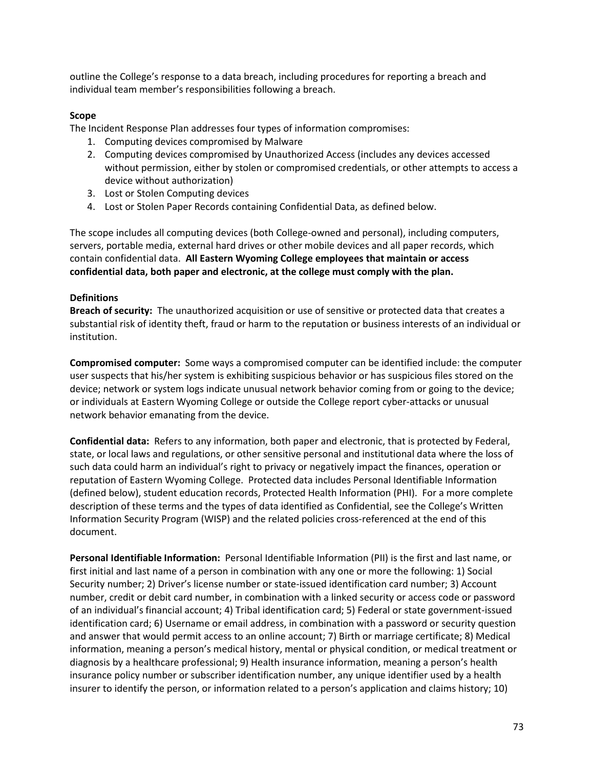outline the College's response to a data breach, including procedures for reporting a breach and individual team member's responsibilities following a breach.

#### **Scope**

The Incident Response Plan addresses four types of information compromises:

- 1. Computing devices compromised by Malware
- 2. Computing devices compromised by Unauthorized Access (includes any devices accessed without permission, either by stolen or compromised credentials, or other attempts to access a device without authorization)
- 3. Lost or Stolen Computing devices
- 4. Lost or Stolen Paper Records containing Confidential Data, as defined below.

The scope includes all computing devices (both College-owned and personal), including computers, servers, portable media, external hard drives or other mobile devices and all paper records, which contain confidential data. **All Eastern Wyoming College employees that maintain or access confidential data, both paper and electronic, at the college must comply with the plan.** 

#### **Definitions**

**Breach of security:** The unauthorized acquisition or use of sensitive or protected data that creates a substantial risk of identity theft, fraud or harm to the reputation or business interests of an individual or institution.

**Compromised computer:** Some ways a compromised computer can be identified include: the computer user suspects that his/her system is exhibiting suspicious behavior or has suspicious files stored on the device; network or system logs indicate unusual network behavior coming from or going to the device; or individuals at Eastern Wyoming College or outside the College report cyber-attacks or unusual network behavior emanating from the device.

**Confidential data:** Refers to any information, both paper and electronic, that is protected by Federal, state, or local laws and regulations, or other sensitive personal and institutional data where the loss of such data could harm an individual's right to privacy or negatively impact the finances, operation or reputation of Eastern Wyoming College. Protected data includes Personal Identifiable Information (defined below), student education records, Protected Health Information (PHI). For a more complete description of these terms and the types of data identified as Confidential, see the College's Written Information Security Program (WISP) and the related policies cross-referenced at the end of this document.

**Personal Identifiable Information:** Personal Identifiable Information (PII) is the first and last name, or first initial and last name of a person in combination with any one or more the following: 1) Social Security number; 2) Driver's license number or state-issued identification card number; 3) Account number, credit or debit card number, in combination with a linked security or access code or password of an individual's financial account; 4) Tribal identification card; 5) Federal or state government-issued identification card; 6) Username or email address, in combination with a password or security question and answer that would permit access to an online account; 7) Birth or marriage certificate; 8) Medical information, meaning a person's medical history, mental or physical condition, or medical treatment or diagnosis by a healthcare professional; 9) Health insurance information, meaning a person's health insurance policy number or subscriber identification number, any unique identifier used by a health insurer to identify the person, or information related to a person's application and claims history; 10)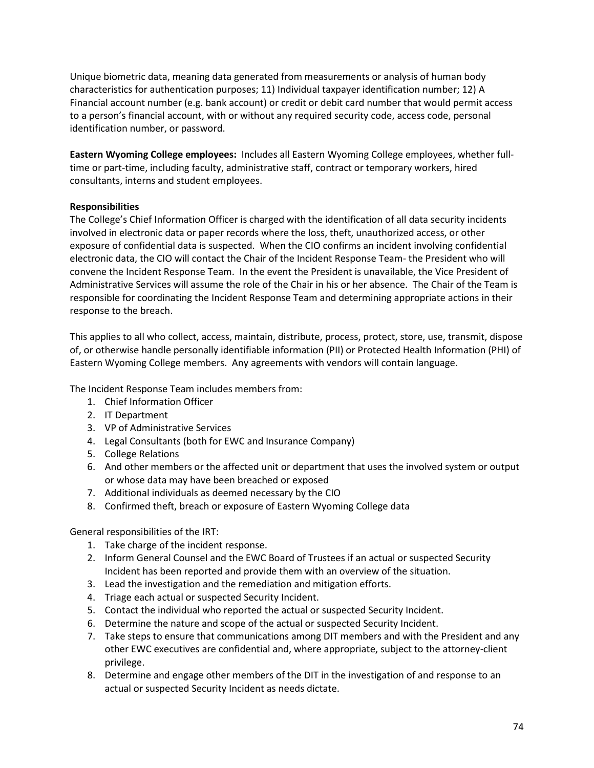Unique biometric data, meaning data generated from measurements or analysis of human body characteristics for authentication purposes; 11) Individual taxpayer identification number; 12) A Financial account number (e.g. bank account) or credit or debit card number that would permit access to a person's financial account, with or without any required security code, access code, personal identification number, or password.

**Eastern Wyoming College employees:** Includes all Eastern Wyoming College employees, whether fulltime or part-time, including faculty, administrative staff, contract or temporary workers, hired consultants, interns and student employees.

## **Responsibilities**

The College's Chief Information Officer is charged with the identification of all data security incidents involved in electronic data or paper records where the loss, theft, unauthorized access, or other exposure of confidential data is suspected. When the CIO confirms an incident involving confidential electronic data, the CIO will contact the Chair of the Incident Response Team- the President who will convene the Incident Response Team. In the event the President is unavailable, the Vice President of Administrative Services will assume the role of the Chair in his or her absence. The Chair of the Team is responsible for coordinating the Incident Response Team and determining appropriate actions in their response to the breach.

This applies to all who collect, access, maintain, distribute, process, protect, store, use, transmit, dispose of, or otherwise handle personally identifiable information (PII) or Protected Health Information (PHI) of Eastern Wyoming College members. Any agreements with vendors will contain language.

The Incident Response Team includes members from:

- 1. Chief Information Officer
- 2. IT Department
- 3. VP of Administrative Services
- 4. Legal Consultants (both for EWC and Insurance Company)
- 5. College Relations
- 6. And other members or the affected unit or department that uses the involved system or output or whose data may have been breached or exposed
- 7. Additional individuals as deemed necessary by the CIO
- 8. Confirmed theft, breach or exposure of Eastern Wyoming College data

General responsibilities of the IRT:

- 1. Take charge of the incident response.
- 2. Inform General Counsel and the EWC Board of Trustees if an actual or suspected Security Incident has been reported and provide them with an overview of the situation.
- 3. Lead the investigation and the remediation and mitigation efforts.
- 4. Triage each actual or suspected Security Incident.
- 5. Contact the individual who reported the actual or suspected Security Incident.
- 6. Determine the nature and scope of the actual or suspected Security Incident.
- 7. Take steps to ensure that communications among DIT members and with the President and any other EWC executives are confidential and, where appropriate, subject to the attorney-client privilege.
- 8. Determine and engage other members of the DIT in the investigation of and response to an actual or suspected Security Incident as needs dictate.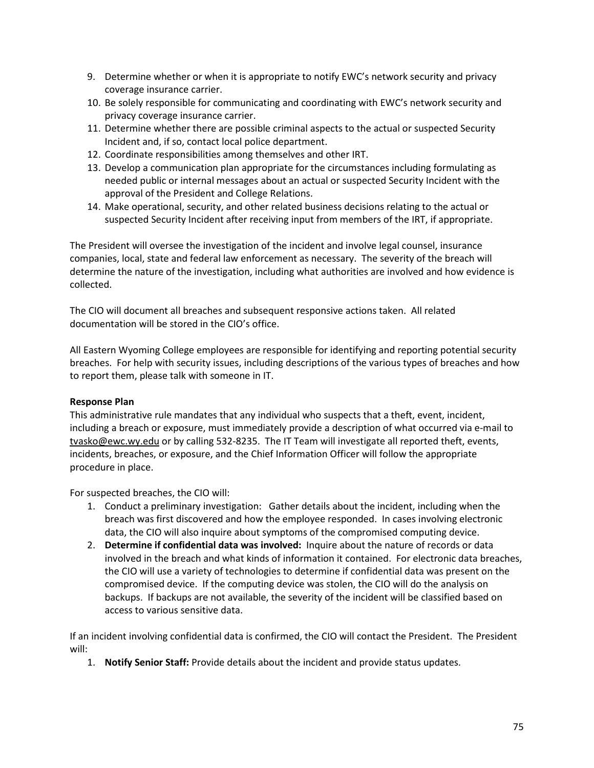- 9. Determine whether or when it is appropriate to notify EWC's network security and privacy coverage insurance carrier.
- 10. Be solely responsible for communicating and coordinating with EWC's network security and privacy coverage insurance carrier.
- 11. Determine whether there are possible criminal aspects to the actual or suspected Security Incident and, if so, contact local police department.
- 12. Coordinate responsibilities among themselves and other IRT.
- 13. Develop a communication plan appropriate for the circumstances including formulating as needed public or internal messages about an actual or suspected Security Incident with the approval of the President and College Relations.
- 14. Make operational, security, and other related business decisions relating to the actual or suspected Security Incident after receiving input from members of the IRT, if appropriate.

The President will oversee the investigation of the incident and involve legal counsel, insurance companies, local, state and federal law enforcement as necessary. The severity of the breach will determine the nature of the investigation, including what authorities are involved and how evidence is collected.

The CIO will document all breaches and subsequent responsive actions taken. All related documentation will be stored in the CIO's office.

All Eastern Wyoming College employees are responsible for identifying and reporting potential security breaches. For help with security issues, including descriptions of the various types of breaches and how to report them, please talk with someone in IT.

#### **Response Plan**

This administrative rule mandates that any individual who suspects that a theft, event, incident, including a breach or exposure, must immediately provide a description of what occurred via e-mail to [tvasko@ewc.wy.edu](mailto:tvasko@ewc.wy.edu) or by calling 532-8235. The IT Team will investigate all reported theft, events, incidents, breaches, or exposure, and the Chief Information Officer will follow the appropriate procedure in place.

For suspected breaches, the CIO will:

- 1. Conduct a preliminary investigation: Gather details about the incident, including when the breach was first discovered and how the employee responded. In cases involving electronic data, the CIO will also inquire about symptoms of the compromised computing device.
- 2. **Determine if confidential data was involved:** Inquire about the nature of records or data involved in the breach and what kinds of information it contained. For electronic data breaches, the CIO will use a variety of technologies to determine if confidential data was present on the compromised device. If the computing device was stolen, the CIO will do the analysis on backups. If backups are not available, the severity of the incident will be classified based on access to various sensitive data.

If an incident involving confidential data is confirmed, the CIO will contact the President. The President will:

1. **Notify Senior Staff:** Provide details about the incident and provide status updates.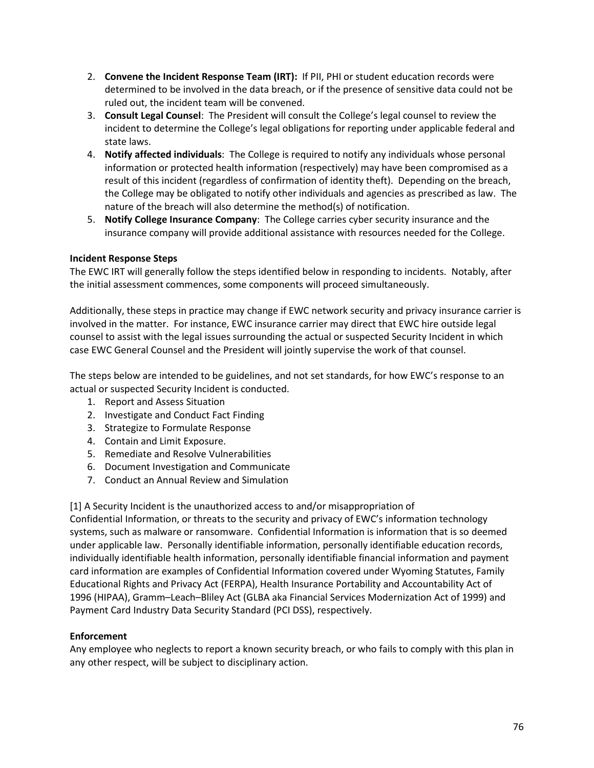- 2. **Convene the Incident Response Team (IRT):** If PII, PHI or student education records were determined to be involved in the data breach, or if the presence of sensitive data could not be ruled out, the incident team will be convened.
- 3. **Consult Legal Counsel**: The President will consult the College's legal counsel to review the incident to determine the College's legal obligations for reporting under applicable federal and state laws.
- 4. **Notify affected individuals**: The College is required to notify any individuals whose personal information or protected health information (respectively) may have been compromised as a result of this incident (regardless of confirmation of identity theft). Depending on the breach, the College may be obligated to notify other individuals and agencies as prescribed as law. The nature of the breach will also determine the method(s) of notification.
- 5. **Notify College Insurance Company**: The College carries cyber security insurance and the insurance company will provide additional assistance with resources needed for the College.

#### **Incident Response Steps**

The EWC IRT will generally follow the steps identified below in responding to incidents. Notably, after the initial assessment commences, some components will proceed simultaneously.

Additionally, these steps in practice may change if EWC network security and privacy insurance carrier is involved in the matter. For instance, EWC insurance carrier may direct that EWC hire outside legal counsel to assist with the legal issues surrounding the actual or suspected Security Incident in which case EWC General Counsel and the President will jointly supervise the work of that counsel.

The steps below are intended to be guidelines, and not set standards, for how EWC's response to an actual or suspected Security Incident is conducted.

- 1. Report and Assess Situation
- 2. Investigate and Conduct Fact Finding
- 3. Strategize to Formulate Response
- 4. Contain and Limit Exposure.
- 5. Remediate and Resolve Vulnerabilities
- 6. Document Investigation and Communicate
- 7. Conduct an Annual Review and Simulation

[1] A Security Incident is the unauthorized access to and/or misappropriation of

Confidential Information, or threats to the security and privacy of EWC's information technology systems, such as malware or ransomware. Confidential Information is information that is so deemed under applicable law. Personally identifiable information, personally identifiable education records, individually identifiable health information, personally identifiable financial information and payment card information are examples of Confidential Information covered under Wyoming Statutes, Family Educational Rights and Privacy Act (FERPA), Health Insurance Portability and Accountability Act of 1996 (HIPAA), Gramm–Leach–Bliley Act (GLBA aka Financial Services Modernization Act of 1999) and Payment Card Industry Data Security Standard (PCI DSS), respectively.

#### **Enforcement**

Any employee who neglects to report a known security breach, or who fails to comply with this plan in any other respect, will be subject to disciplinary action.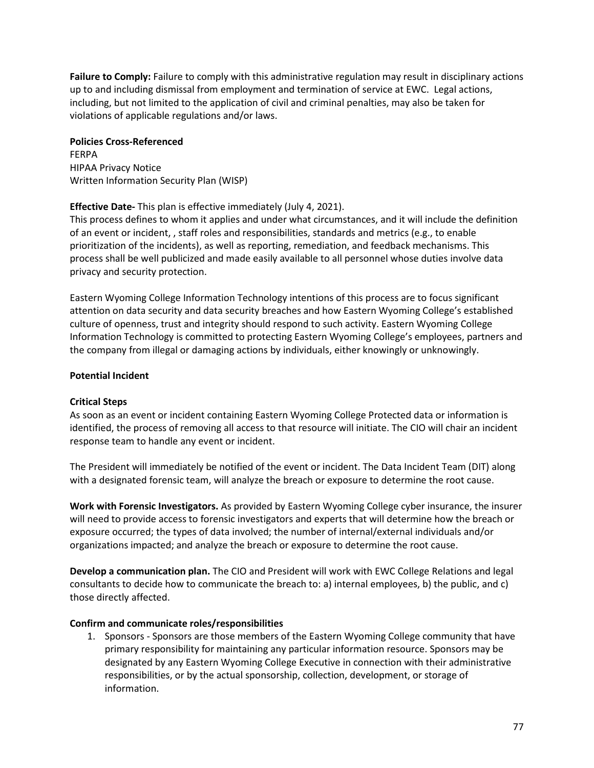**Failure to Comply:** Failure to comply with this administrative regulation may result in disciplinary actions up to and including dismissal from employment and termination of service at EWC. Legal actions, including, but not limited to the application of civil and criminal penalties, may also be taken for violations of applicable regulations and/or laws.

# **Policies Cross-Referenced**

FERPA HIPAA Privacy Notice Written Information Security Plan (WISP)

## **Effective Date-** This plan is effective immediately (July 4, 2021).

This process defines to whom it applies and under what circumstances, and it will include the definition of an event or incident, , staff roles and responsibilities, standards and metrics (e.g., to enable prioritization of the incidents), as well as reporting, remediation, and feedback mechanisms. This process shall be well publicized and made easily available to all personnel whose duties involve data privacy and security protection.

Eastern Wyoming College Information Technology intentions of this process are to focus significant attention on data security and data security breaches and how Eastern Wyoming College's established culture of openness, trust and integrity should respond to such activity. Eastern Wyoming College Information Technology is committed to protecting Eastern Wyoming College's employees, partners and the company from illegal or damaging actions by individuals, either knowingly or unknowingly.

## **Potential Incident**

## **Critical Steps**

As soon as an event or incident containing Eastern Wyoming College Protected data or information is identified, the process of removing all access to that resource will initiate. The CIO will chair an incident response team to handle any event or incident.

The President will immediately be notified of the event or incident. The Data Incident Team (DIT) along with a designated forensic team, will analyze the breach or exposure to determine the root cause.

**Work with Forensic Investigators.** As provided by Eastern Wyoming College cyber insurance, the insurer will need to provide access to forensic investigators and experts that will determine how the breach or exposure occurred; the types of data involved; the number of internal/external individuals and/or organizations impacted; and analyze the breach or exposure to determine the root cause.

**Develop a communication plan.** The CIO and President will work with EWC College Relations and legal consultants to decide how to communicate the breach to: a) internal employees, b) the public, and c) those directly affected.

#### **Confirm and communicate roles/responsibilities**

1. Sponsors - Sponsors are those members of the Eastern Wyoming College community that have primary responsibility for maintaining any particular information resource. Sponsors may be designated by any Eastern Wyoming College Executive in connection with their administrative responsibilities, or by the actual sponsorship, collection, development, or storage of information.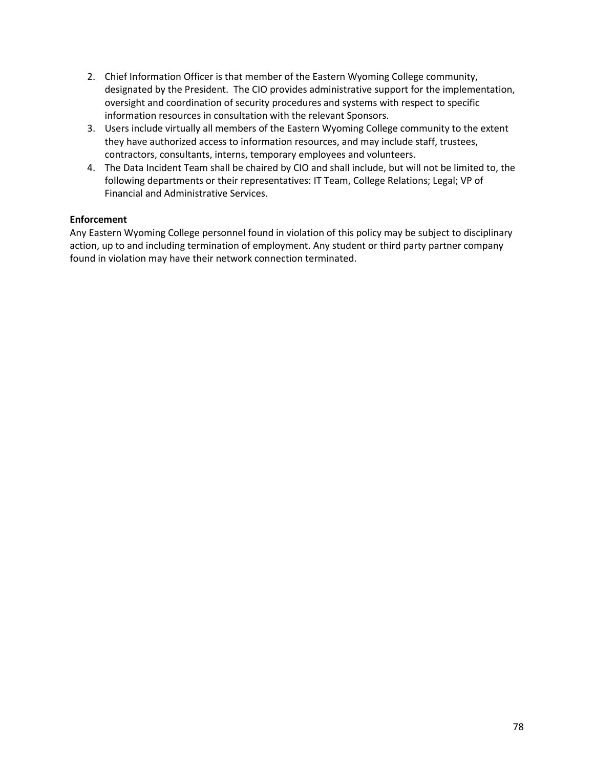- 2. Chief Information Officer is that member of the Eastern Wyoming College community, designated by the President. The CIO provides administrative support for the implementation, oversight and coordination of security procedures and systems with respect to specific information resources in consultation with the relevant Sponsors.
- 3. Users include virtually all members of the Eastern Wyoming College community to the extent they have authorized access to information resources, and may include staff, trustees, contractors, consultants, interns, temporary employees and volunteers.
- 4. The Data Incident Team shall be chaired by CIO and shall include, but will not be limited to, the following departments or their representatives: IT Team, College Relations; Legal; VP of Financial and Administrative Services.

### **Enforcement**

Any Eastern Wyoming College personnel found in violation of this policy may be subject to disciplinary action, up to and including termination of employment. Any student or third party partner company found in violation may have their network connection terminated.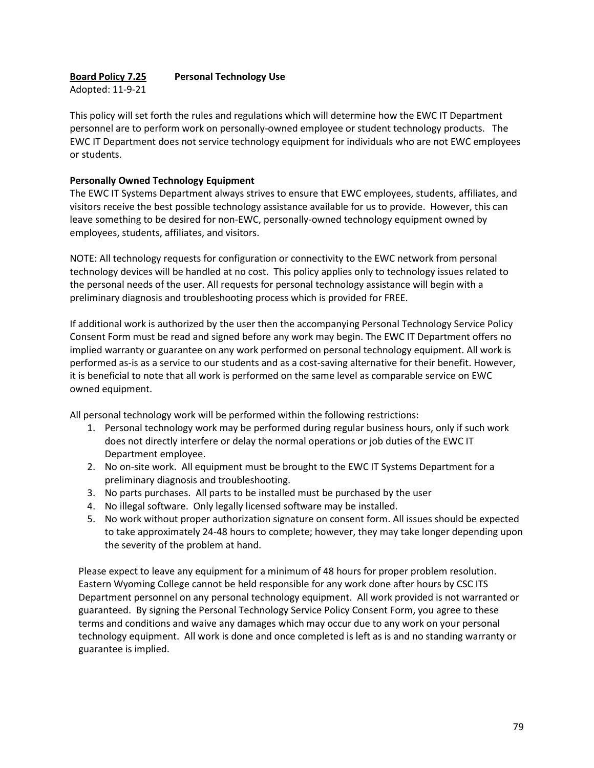## **Board Policy 7.25 Personal Technology Use**

Adopted: 11-9-21

This policy will set forth the rules and regulations which will determine how the EWC IT Department personnel are to perform work on personally-owned employee or student technology products. The EWC IT Department does not service technology equipment for individuals who are not EWC employees or students.

## **Personally Owned Technology Equipment**

The EWC IT Systems Department always strives to ensure that EWC employees, students, affiliates, and visitors receive the best possible technology assistance available for us to provide. However, this can leave something to be desired for non-EWC, personally-owned technology equipment owned by employees, students, affiliates, and visitors.

NOTE: All technology requests for configuration or connectivity to the EWC network from personal technology devices will be handled at no cost. This policy applies only to technology issues related to the personal needs of the user. All requests for personal technology assistance will begin with a preliminary diagnosis and troubleshooting process which is provided for FREE.

If additional work is authorized by the user then the accompanying Personal Technology Service Policy Consent Form must be read and signed before any work may begin. The EWC IT Department offers no implied warranty or guarantee on any work performed on personal technology equipment. All work is performed as-is as a service to our students and as a cost-saving alternative for their benefit. However, it is beneficial to note that all work is performed on the same level as comparable service on EWC owned equipment.

All personal technology work will be performed within the following restrictions:

- 1. Personal technology work may be performed during regular business hours, only if such work does not directly interfere or delay the normal operations or job duties of the EWC IT Department employee.
- 2. No on-site work. All equipment must be brought to the EWC IT Systems Department for a preliminary diagnosis and troubleshooting.
- 3. No parts purchases. All parts to be installed must be purchased by the user
- 4. No illegal software. Only legally licensed software may be installed.
- 5. No work without proper authorization signature on consent form. All issues should be expected to take approximately 24-48 hours to complete; however, they may take longer depending upon the severity of the problem at hand.

Please expect to leave any equipment for a minimum of 48 hours for proper problem resolution. Eastern Wyoming College cannot be held responsible for any work done after hours by CSC ITS Department personnel on any personal technology equipment. All work provided is not warranted or guaranteed. By signing the Personal Technology Service Policy Consent Form, you agree to these terms and conditions and waive any damages which may occur due to any work on your personal technology equipment. All work is done and once completed is left as is and no standing warranty or guarantee is implied.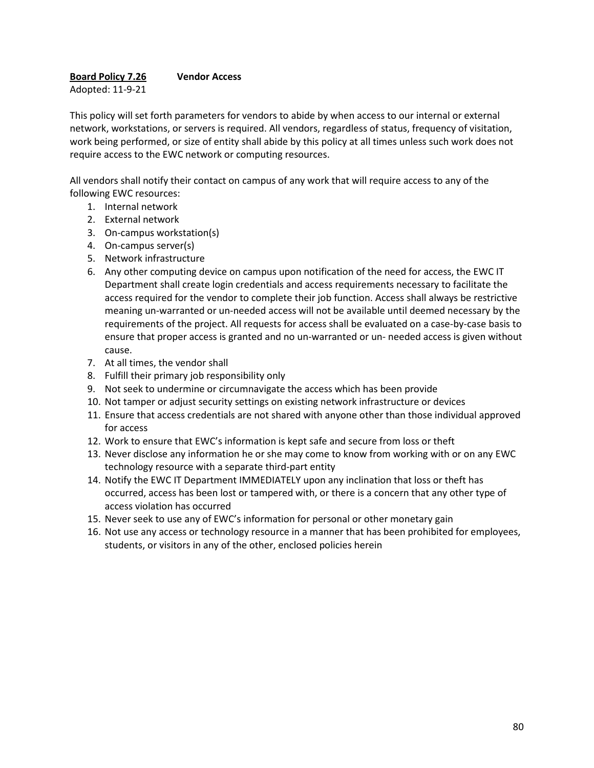**Board Policy 7.26 Vendor Access**  Adopted: 11-9-21

This policy will set forth parameters for vendors to abide by when access to our internal or external network, workstations, or servers is required. All vendors, regardless of status, frequency of visitation, work being performed, or size of entity shall abide by this policy at all times unless such work does not require access to the EWC network or computing resources.

All vendors shall notify their contact on campus of any work that will require access to any of the following EWC resources:

- 1. Internal network
- 2. External network
- 3. On-campus workstation(s)
- 4. On-campus server(s)
- 5. Network infrastructure
- 6. Any other computing device on campus upon notification of the need for access, the EWC IT Department shall create login credentials and access requirements necessary to facilitate the access required for the vendor to complete their job function. Access shall always be restrictive meaning un-warranted or un-needed access will not be available until deemed necessary by the requirements of the project. All requests for access shall be evaluated on a case-by-case basis to ensure that proper access is granted and no un-warranted or un- needed access is given without cause.
- 7. At all times, the vendor shall
- 8. Fulfill their primary job responsibility only
- 9. Not seek to undermine or circumnavigate the access which has been provide
- 10. Not tamper or adjust security settings on existing network infrastructure or devices
- 11. Ensure that access credentials are not shared with anyone other than those individual approved for access
- 12. Work to ensure that EWC's information is kept safe and secure from loss or theft
- 13. Never disclose any information he or she may come to know from working with or on any EWC technology resource with a separate third-part entity
- 14. Notify the EWC IT Department IMMEDIATELY upon any inclination that loss or theft has occurred, access has been lost or tampered with, or there is a concern that any other type of access violation has occurred
- 15. Never seek to use any of EWC's information for personal or other monetary gain
- 16. Not use any access or technology resource in a manner that has been prohibited for employees, students, or visitors in any of the other, enclosed policies herein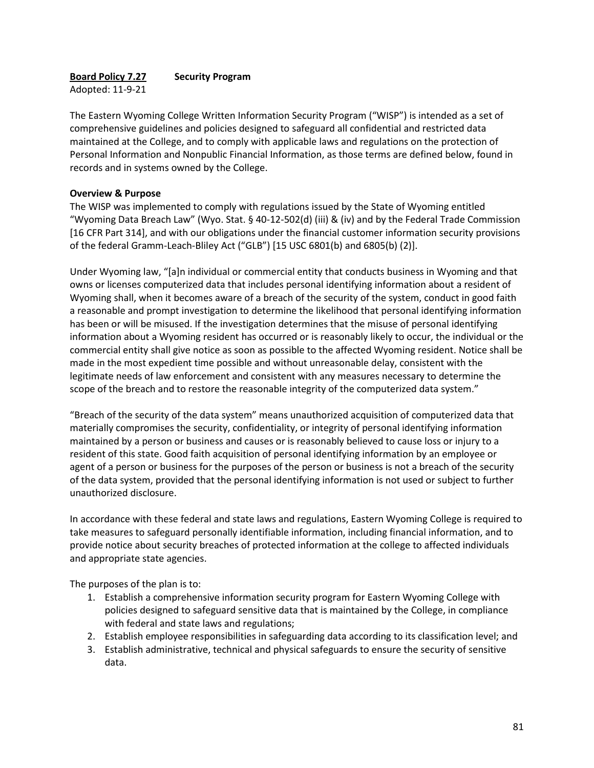**Board Policy 7.27 Security Program**  Adopted: 11-9-21

The Eastern Wyoming College Written Information Security Program ("WISP") is intended as a set of comprehensive guidelines and policies designed to safeguard all confidential and restricted data maintained at the College, and to comply with applicable laws and regulations on the protection of Personal Information and Nonpublic Financial Information, as those terms are defined below, found in records and in systems owned by the College.

### **Overview & Purpose**

The WISP was implemented to comply with regulations issued by the State of Wyoming entitled "Wyoming Data Breach Law" (Wyo. Stat. § 40-12-502(d) (iii) & (iv) and by the Federal Trade Commission [16 CFR Part 314], and with our obligations under the financial customer information security provisions of the federal Gramm-Leach-Bliley Act ("GLB") [15 USC 6801(b) and 6805(b) (2)].

Under Wyoming law, "[a]n individual or commercial entity that conducts business in Wyoming and that owns or licenses computerized data that includes personal identifying information about a resident of Wyoming shall, when it becomes aware of a breach of the security of the system, conduct in good faith a reasonable and prompt investigation to determine the likelihood that personal identifying information has been or will be misused. If the investigation determines that the misuse of personal identifying information about a Wyoming resident has occurred or is reasonably likely to occur, the individual or the commercial entity shall give notice as soon as possible to the affected Wyoming resident. Notice shall be made in the most expedient time possible and without unreasonable delay, consistent with the legitimate needs of law enforcement and consistent with any measures necessary to determine the scope of the breach and to restore the reasonable integrity of the computerized data system."

"Breach of the security of the data system" means unauthorized acquisition of computerized data that materially compromises the security, confidentiality, or integrity of personal identifying information maintained by a person or business and causes or is reasonably believed to cause loss or injury to a resident of this state. Good faith acquisition of personal identifying information by an employee or agent of a person or business for the purposes of the person or business is not a breach of the security of the data system, provided that the personal identifying information is not used or subject to further unauthorized disclosure.

In accordance with these federal and state laws and regulations, Eastern Wyoming College is required to take measures to safeguard personally identifiable information, including financial information, and to provide notice about security breaches of protected information at the college to affected individuals and appropriate state agencies.

The purposes of the plan is to:

- 1. Establish a comprehensive information security program for Eastern Wyoming College with policies designed to safeguard sensitive data that is maintained by the College, in compliance with federal and state laws and regulations;
- 2. Establish employee responsibilities in safeguarding data according to its classification level; and
- 3. Establish administrative, technical and physical safeguards to ensure the security of sensitive data.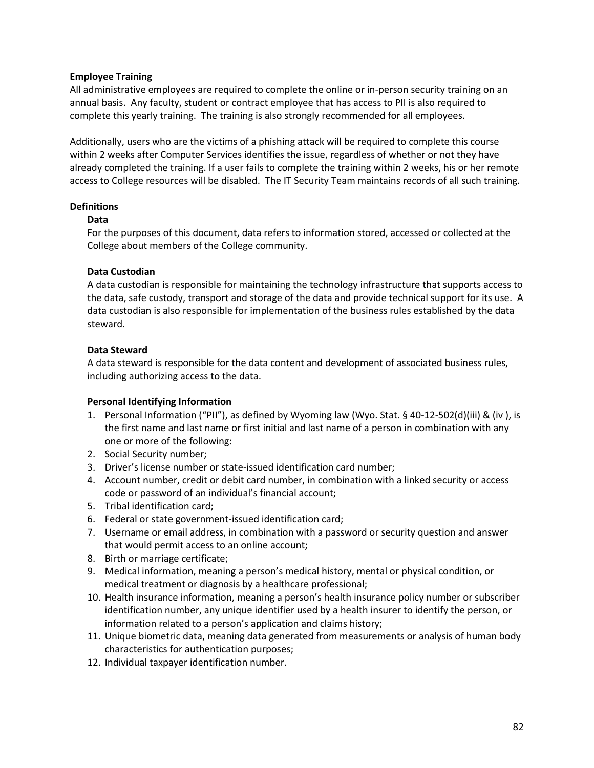#### **Employee Training**

All administrative employees are required to complete the online or in-person security training on an annual basis. Any faculty, student or contract employee that has access to PII is also required to complete this yearly training. The training is also strongly recommended for all employees.

Additionally, users who are the victims of a phishing attack will be required to complete this course within 2 weeks after Computer Services identifies the issue, regardless of whether or not they have already completed the training. If a user fails to complete the training within 2 weeks, his or her remote access to College resources will be disabled. The IT Security Team maintains records of all such training.

#### **Definitions**

#### **Data**

For the purposes of this document, data refers to information stored, accessed or collected at the College about members of the College community.

#### **Data Custodian**

A data custodian is responsible for maintaining the technology infrastructure that supports access to the data, safe custody, transport and storage of the data and provide technical support for its use. A data custodian is also responsible for implementation of the business rules established by the data steward.

#### **Data Steward**

A data steward is responsible for the data content and development of associated business rules, including authorizing access to the data.

#### **Personal Identifying Information**

- 1. Personal Information ("PII"), as defined by Wyoming law (Wyo. Stat. § 40-12-502(d)(iii) & (iv ), is the first name and last name or first initial and last name of a person in combination with any one or more of the following:
- 2. Social Security number;
- 3. Driver's license number or state-issued identification card number;
- 4. Account number, credit or debit card number, in combination with a linked security or access code or password of an individual's financial account;
- 5. Tribal identification card;
- 6. Federal or state government-issued identification card;
- 7. Username or email address, in combination with a password or security question and answer that would permit access to an online account;
- 8. Birth or marriage certificate;
- 9. Medical information, meaning a person's medical history, mental or physical condition, or medical treatment or diagnosis by a healthcare professional;
- 10. Health insurance information, meaning a person's health insurance policy number or subscriber identification number, any unique identifier used by a health insurer to identify the person, or information related to a person's application and claims history;
- 11. Unique biometric data, meaning data generated from measurements or analysis of human body characteristics for authentication purposes;
- 12. Individual taxpayer identification number.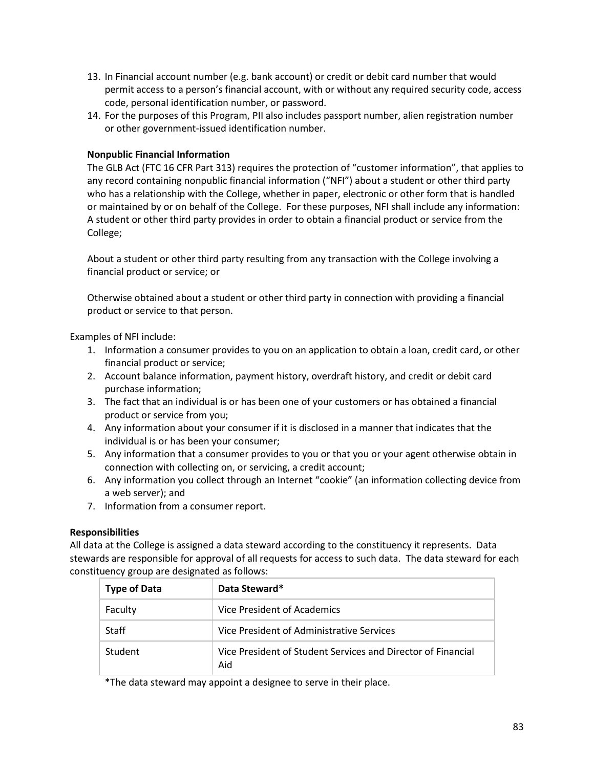- 13. In Financial account number (e.g. bank account) or credit or debit card number that would permit access to a person's financial account, with or without any required security code, access code, personal identification number, or password.
- 14. For the purposes of this Program, PII also includes passport number, alien registration number or other government-issued identification number.

## **Nonpublic Financial Information**

The GLB Act (FTC 16 CFR Part 313) requires the protection of "customer information", that applies to any record containing nonpublic financial information ("NFI") about a student or other third party who has a relationship with the College, whether in paper, electronic or other form that is handled or maintained by or on behalf of the College. For these purposes, NFI shall include any information: A student or other third party provides in order to obtain a financial product or service from the College;

About a student or other third party resulting from any transaction with the College involving a financial product or service; or

Otherwise obtained about a student or other third party in connection with providing a financial product or service to that person.

Examples of NFI include:

- 1. Information a consumer provides to you on an application to obtain a loan, credit card, or other financial product or service;
- 2. Account balance information, payment history, overdraft history, and credit or debit card purchase information;
- 3. The fact that an individual is or has been one of your customers or has obtained a financial product or service from you;
- 4. Any information about your consumer if it is disclosed in a manner that indicates that the individual is or has been your consumer;
- 5. Any information that a consumer provides to you or that you or your agent otherwise obtain in connection with collecting on, or servicing, a credit account;
- 6. Any information you collect through an Internet "cookie" (an information collecting device from a web server); and
- 7. Information from a consumer report.

## **Responsibilities**

All data at the College is assigned a data steward according to the constituency it represents. Data stewards are responsible for approval of all requests for access to such data. The data steward for each constituency group are designated as follows:

| <b>Type of Data</b> | Data Steward*                                                       |
|---------------------|---------------------------------------------------------------------|
| Faculty             | Vice President of Academics                                         |
| Staff               | Vice President of Administrative Services                           |
| Student             | Vice President of Student Services and Director of Financial<br>Aid |

\*The data steward may appoint a designee to serve in their place.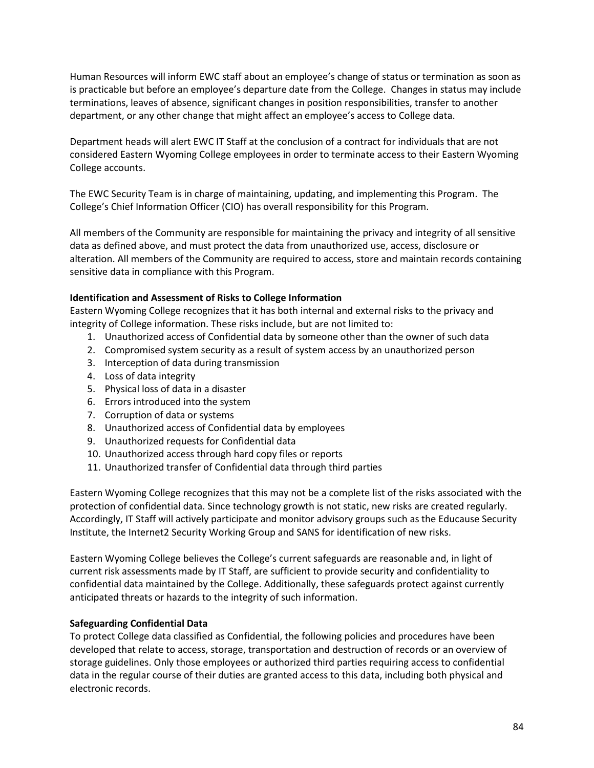Human Resources will inform EWC staff about an employee's change of status or termination as soon as is practicable but before an employee's departure date from the College. Changes in status may include terminations, leaves of absence, significant changes in position responsibilities, transfer to another department, or any other change that might affect an employee's access to College data.

Department heads will alert EWC IT Staff at the conclusion of a contract for individuals that are not considered Eastern Wyoming College employees in order to terminate access to their Eastern Wyoming College accounts.

The EWC Security Team is in charge of maintaining, updating, and implementing this Program. The College's Chief Information Officer (CIO) has overall responsibility for this Program.

All members of the Community are responsible for maintaining the privacy and integrity of all sensitive data as defined above, and must protect the data from unauthorized use, access, disclosure or alteration. All members of the Community are required to access, store and maintain records containing sensitive data in compliance with this Program.

### **Identification and Assessment of Risks to College Information**

Eastern Wyoming College recognizes that it has both internal and external risks to the privacy and integrity of College information. These risks include, but are not limited to:

- 1. Unauthorized access of Confidential data by someone other than the owner of such data
- 2. Compromised system security as a result of system access by an unauthorized person
- 3. Interception of data during transmission
- 4. Loss of data integrity
- 5. Physical loss of data in a disaster
- 6. Errors introduced into the system
- 7. Corruption of data or systems
- 8. Unauthorized access of Confidential data by employees
- 9. Unauthorized requests for Confidential data
- 10. Unauthorized access through hard copy files or reports
- 11. Unauthorized transfer of Confidential data through third parties

Eastern Wyoming College recognizes that this may not be a complete list of the risks associated with the protection of confidential data. Since technology growth is not static, new risks are created regularly. Accordingly, IT Staff will actively participate and monitor advisory groups such as the Educause Security Institute, the Internet2 Security Working Group and SANS for identification of new risks.

Eastern Wyoming College believes the College's current safeguards are reasonable and, in light of current risk assessments made by IT Staff, are sufficient to provide security and confidentiality to confidential data maintained by the College. Additionally, these safeguards protect against currently anticipated threats or hazards to the integrity of such information.

#### **Safeguarding Confidential Data**

To protect College data classified as Confidential, the following policies and procedures have been developed that relate to access, storage, transportation and destruction of records or an overview of storage guidelines. Only those employees or authorized third parties requiring access to confidential data in the regular course of their duties are granted access to this data, including both physical and electronic records.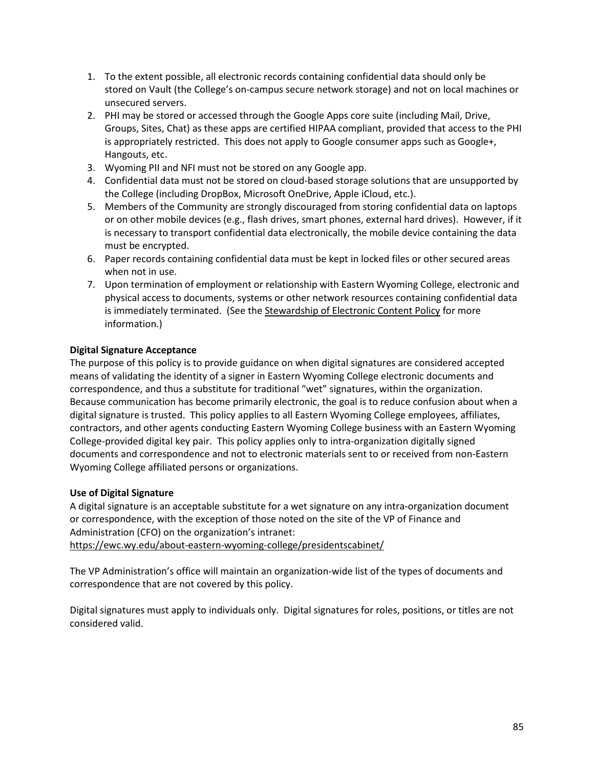- 1. To the extent possible, all electronic records containing confidential data should only be stored on Vault (the College's on-campus secure network storage) and not on local machines or unsecured servers.
- 2. PHI may be stored or accessed through the Google Apps core suite (including Mail, Drive, Groups, Sites, Chat) as these apps are certified HIPAA compliant, provided that access to the PHI is appropriately restricted. This does not apply to Google consumer apps such as Google+, Hangouts, etc.
- 3. Wyoming PII and NFI must not be stored on any Google app.
- 4. Confidential data must not be stored on cloud-based storage solutions that are unsupported by the College (including DropBox, Microsoft OneDrive, Apple iCloud, etc.).
- 5. Members of the Community are strongly discouraged from storing confidential data on laptops or on other mobile devices (e.g., flash drives, smart phones, external hard drives). However, if it is necessary to transport confidential data electronically, the mobile device containing the data must be encrypted.
- 6. Paper records containing confidential data must be kept in locked files or other secured areas when not in use.
- 7. Upon termination of employment or relationship with Eastern Wyoming College, electronic and physical access to documents, systems or other network resources containing confidential data is immediately terminated. (See the [Stewardship of Electronic Content Policy](https://www.wellesley.edu/lts/policies/electroniccontent) for more information.)

## **Digital Signature Acceptance**

The purpose of this policy is to provide guidance on when digital signatures are considered accepted means of validating the identity of a signer in Eastern Wyoming College electronic documents and correspondence, and thus a substitute for traditional "wet" signatures, within the organization. Because communication has become primarily electronic, the goal is to reduce confusion about when a digital signature is trusted. This policy applies to all Eastern Wyoming College employees, affiliates, contractors, and other agents conducting Eastern Wyoming College business with an Eastern Wyoming College-provided digital key pair. This policy applies only to intra-organization digitally signed documents and correspondence and not to electronic materials sent to or received from non-Eastern Wyoming College affiliated persons or organizations.

#### **Use of Digital Signature**

A digital signature is an acceptable substitute for a wet signature on any intra-organization document or correspondence, with the exception of those noted on the site of the VP of Finance and Administration (CFO) on the organization's intranet: <https://ewc.wy.edu/about-eastern-wyoming-college/presidentscabinet/>

The VP Administration's office will maintain an organization-wide list of the types of documents and correspondence that are not covered by this policy.

Digital signatures must apply to individuals only. Digital signatures for roles, positions, or titles are not considered valid.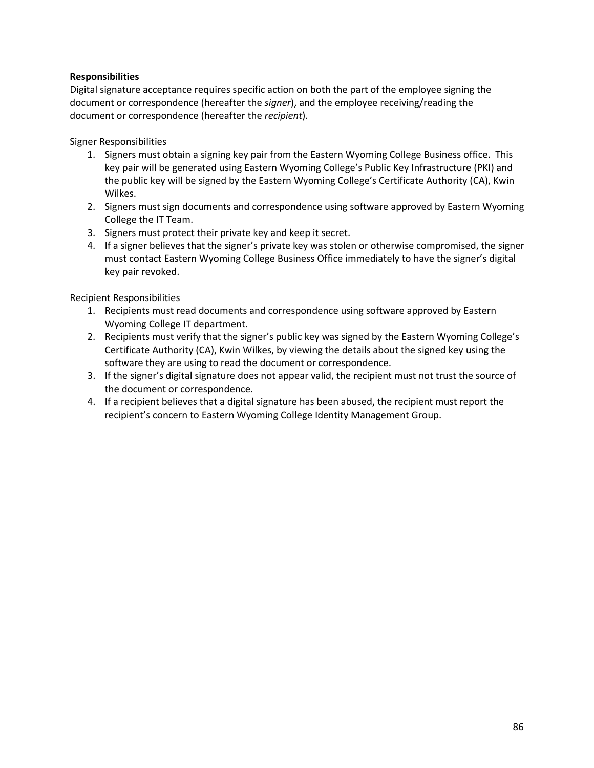## **Responsibilities**

Digital signature acceptance requires specific action on both the part of the employee signing the document or correspondence (hereafter the *signer*), and the employee receiving/reading the document or correspondence (hereafter the *recipient*).

Signer Responsibilities

- 1. Signers must obtain a signing key pair from the Eastern Wyoming College Business office. This key pair will be generated using Eastern Wyoming College's Public Key Infrastructure (PKI) and the public key will be signed by the Eastern Wyoming College's Certificate Authority (CA), Kwin Wilkes.
- 2. Signers must sign documents and correspondence using software approved by Eastern Wyoming College the IT Team.
- 3. Signers must protect their private key and keep it secret.
- 4. If a signer believes that the signer's private key was stolen or otherwise compromised, the signer must contact Eastern Wyoming College Business Office immediately to have the signer's digital key pair revoked.

Recipient Responsibilities

- 1. Recipients must read documents and correspondence using software approved by Eastern Wyoming College IT department.
- 2. Recipients must verify that the signer's public key was signed by the Eastern Wyoming College's Certificate Authority (CA), Kwin Wilkes, by viewing the details about the signed key using the software they are using to read the document or correspondence.
- 3. If the signer's digital signature does not appear valid, the recipient must not trust the source of the document or correspondence.
- 4. If a recipient believes that a digital signature has been abused, the recipient must report the recipient's concern to Eastern Wyoming College Identity Management Group.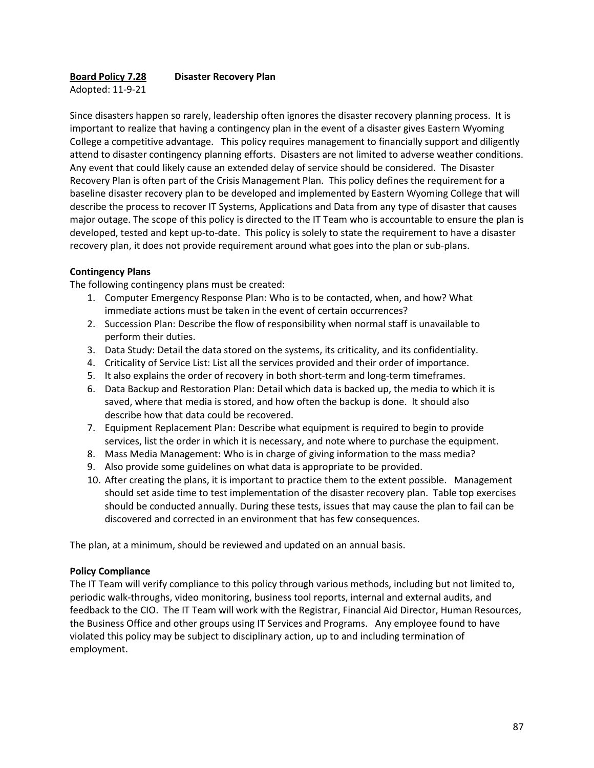## **Board Policy 7.28 Disaster Recovery Plan**

Adopted: 11-9-21

Since disasters happen so rarely, leadership often ignores the disaster recovery planning process. It is important to realize that having a contingency plan in the event of a disaster gives Eastern Wyoming College a competitive advantage. This policy requires management to financially support and diligently attend to disaster contingency planning efforts. Disasters are not limited to adverse weather conditions. Any event that could likely cause an extended delay of service should be considered. The Disaster Recovery Plan is often part of the Crisis Management Plan. This policy defines the requirement for a baseline disaster recovery plan to be developed and implemented by Eastern Wyoming College that will describe the process to recover IT Systems, Applications and Data from any type of disaster that causes major outage. The scope of this policy is directed to the IT Team who is accountable to ensure the plan is developed, tested and kept up-to-date. This policy is solely to state the requirement to have a disaster recovery plan, it does not provide requirement around what goes into the plan or sub-plans.

## **Contingency Plans**

The following contingency plans must be created:

- 1. Computer Emergency Response Plan: Who is to be contacted, when, and how? What immediate actions must be taken in the event of certain occurrences?
- 2. Succession Plan: Describe the flow of responsibility when normal staff is unavailable to perform their duties.
- 3. Data Study: Detail the data stored on the systems, its criticality, and its confidentiality.
- 4. Criticality of Service List: List all the services provided and their order of importance.
- 5. It also explains the order of recovery in both short-term and long-term timeframes.
- 6. Data Backup and Restoration Plan: Detail which data is backed up, the media to which it is saved, where that media is stored, and how often the backup is done. It should also describe how that data could be recovered.
- 7. Equipment Replacement Plan: Describe what equipment is required to begin to provide services, list the order in which it is necessary, and note where to purchase the equipment.
- 8. Mass Media Management: Who is in charge of giving information to the mass media?
- 9. Also provide some guidelines on what data is appropriate to be provided.
- 10. After creating the plans, it is important to practice them to the extent possible. Management should set aside time to test implementation of the disaster recovery plan. Table top exercises should be conducted annually. During these tests, issues that may cause the plan to fail can be discovered and corrected in an environment that has few consequences.

The plan, at a minimum, should be reviewed and updated on an annual basis.

## **Policy Compliance**

The IT Team will verify compliance to this policy through various methods, including but not limited to, periodic walk-throughs, video monitoring, business tool reports, internal and external audits, and feedback to the CIO. The IT Team will work with the Registrar, Financial Aid Director, Human Resources, the Business Office and other groups using IT Services and Programs. Any employee found to have violated this policy may be subject to disciplinary action, up to and including termination of employment.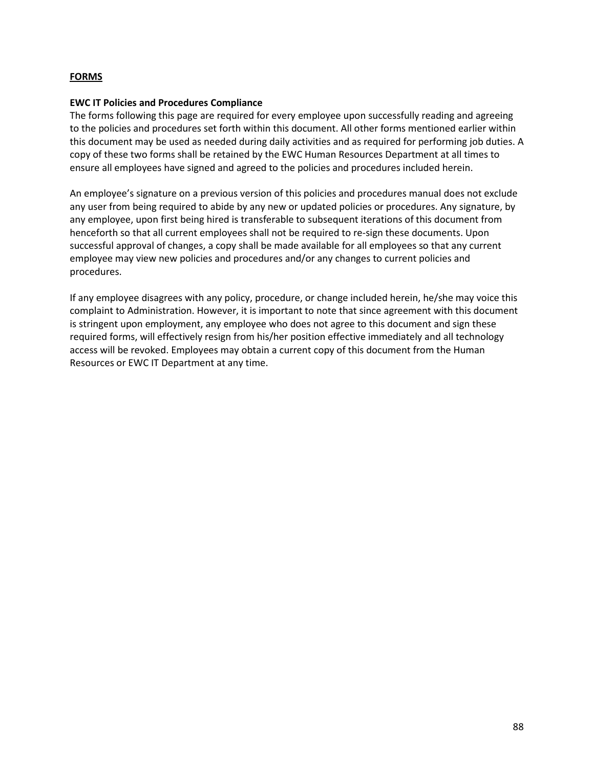#### **FORMS**

#### **EWC IT Policies and Procedures Compliance**

The forms following this page are required for every employee upon successfully reading and agreeing to the policies and procedures set forth within this document. All other forms mentioned earlier within this document may be used as needed during daily activities and as required for performing job duties. A copy of these two forms shall be retained by the EWC Human Resources Department at all times to ensure all employees have signed and agreed to the policies and procedures included herein.

An employee's signature on a previous version of this policies and procedures manual does not exclude any user from being required to abide by any new or updated policies or procedures. Any signature, by any employee, upon first being hired is transferable to subsequent iterations of this document from henceforth so that all current employees shall not be required to re-sign these documents. Upon successful approval of changes, a copy shall be made available for all employees so that any current employee may view new policies and procedures and/or any changes to current policies and procedures.

If any employee disagrees with any policy, procedure, or change included herein, he/she may voice this complaint to Administration. However, it is important to note that since agreement with this document is stringent upon employment, any employee who does not agree to this document and sign these required forms, will effectively resign from his/her position effective immediately and all technology access will be revoked. Employees may obtain a current copy of this document from the Human Resources or EWC IT Department at any time.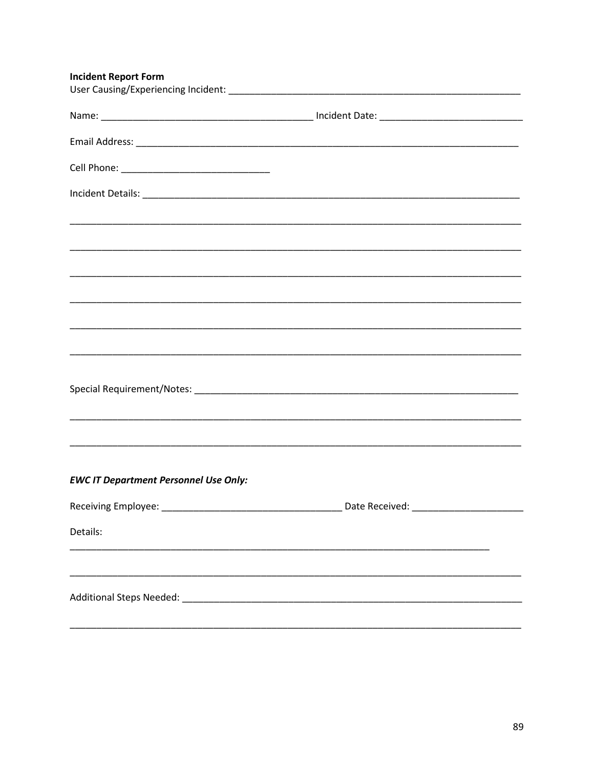| <b>Incident Report Form</b>        |  |
|------------------------------------|--|
| Lleer Causing (Evneriansing Inside |  |

|                                              | ,我们也不能会在这里,我们的人们就会不能会在这里,我们也不能会不能会不能会不能会不能会不能会不能会。""我们的人们就会不能会不能会不能会不能会不能会不能会不能会 |
|----------------------------------------------|----------------------------------------------------------------------------------|
|                                              |                                                                                  |
|                                              |                                                                                  |
| <b>EWC IT Department Personnel Use Only:</b> |                                                                                  |
|                                              |                                                                                  |
| Details:                                     |                                                                                  |
|                                              |                                                                                  |
|                                              |                                                                                  |
|                                              |                                                                                  |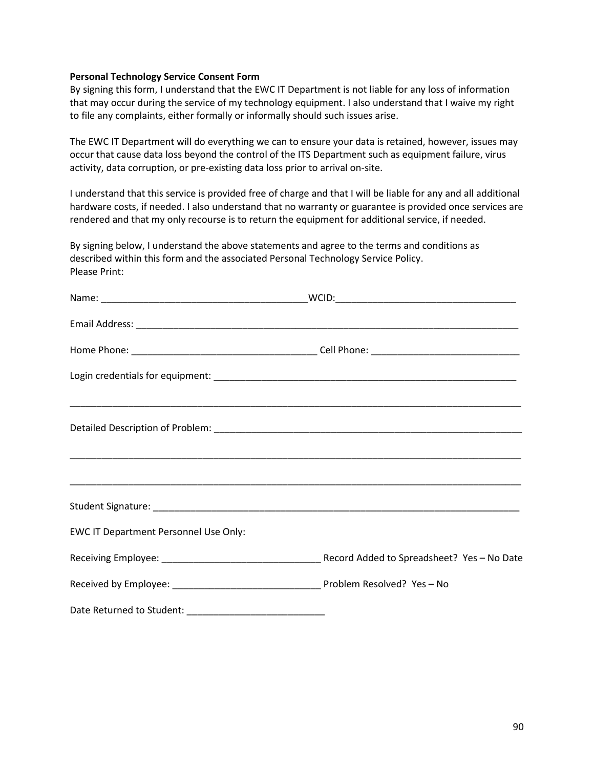#### **Personal Technology Service Consent Form**

By signing this form, I understand that the EWC IT Department is not liable for any loss of information that may occur during the service of my technology equipment. I also understand that I waive my right to file any complaints, either formally or informally should such issues arise.

The EWC IT Department will do everything we can to ensure your data is retained, however, issues may occur that cause data loss beyond the control of the ITS Department such as equipment failure, virus activity, data corruption, or pre-existing data loss prior to arrival on-site.

I understand that this service is provided free of charge and that I will be liable for any and all additional hardware costs, if needed. I also understand that no warranty or guarantee is provided once services are rendered and that my only recourse is to return the equipment for additional service, if needed.

By signing below, I understand the above statements and agree to the terms and conditions as described within this form and the associated Personal Technology Service Policy. Please Print:

| EWC IT Department Personnel Use Only: |  |
|---------------------------------------|--|
|                                       |  |
|                                       |  |
|                                       |  |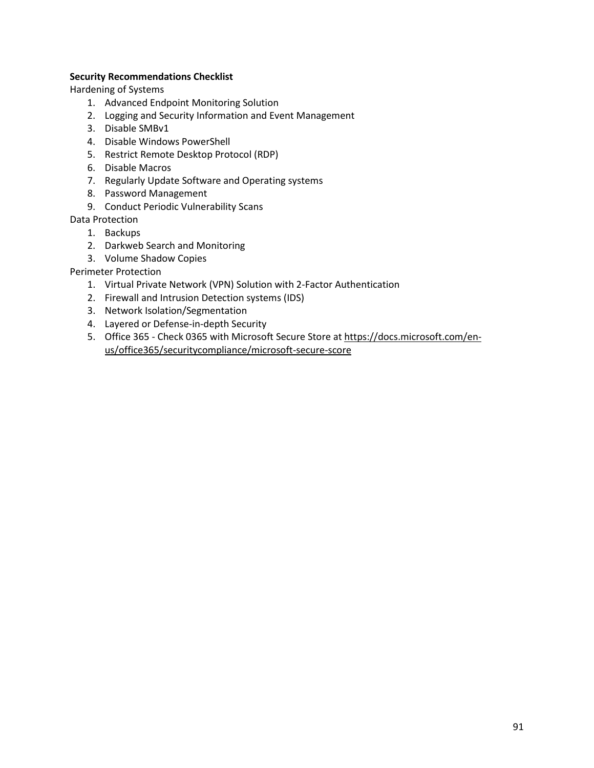#### **Security Recommendations Checklist**

Hardening of Systems

- 1. Advanced Endpoint Monitoring Solution
- 2. Logging and Security Information and Event Management
- 3. Disable SMBv1
- 4. Disable Windows PowerShell
- 5. Restrict Remote Desktop Protocol (RDP)
- 6. Disable Macros
- 7. Regularly Update Software and Operating systems
- 8. Password Management
- 9. Conduct Periodic Vulnerability Scans
- Data Protection
	- 1. Backups
	- 2. Darkweb Search and Monitoring
	- 3. Volume Shadow Copies

#### Perimeter Protection

- 1. Virtual Private Network (VPN) Solution with 2-Factor Authentication
- 2. Firewall and Intrusion Detection systems (IDS)
- 3. Network Isolation/Segmentation
- 4. Layered or Defense-in-depth Security
- 5. Office 365 Check 0365 with Microsoft Secure Store at [https://docs.microsoft.com/en](https://docs.microsoft.com/en-us/office365/securitycompliance/microsoft-secure-score)[us/office365/securitycompliance/microsoft-secure-score](https://docs.microsoft.com/en-us/office365/securitycompliance/microsoft-secure-score)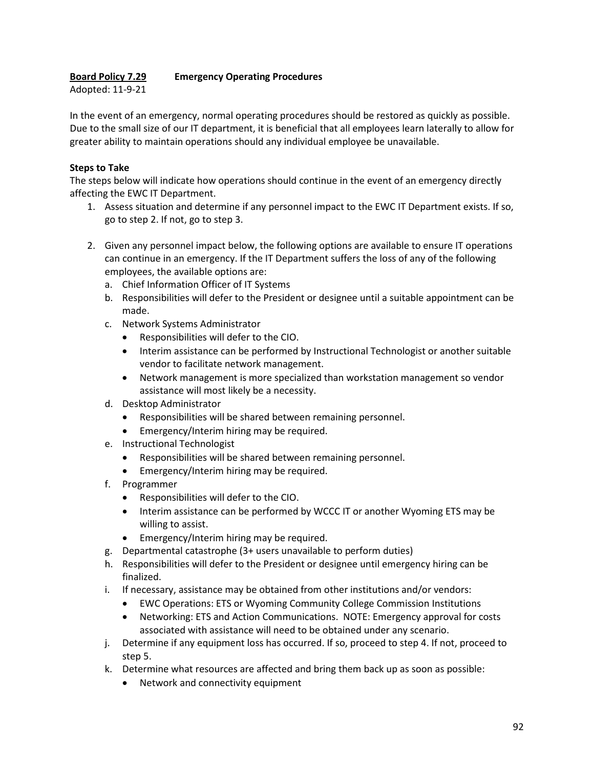## **Board Policy 7.29 Emergency Operating Procedures**

Adopted: 11-9-21

In the event of an emergency, normal operating procedures should be restored as quickly as possible. Due to the small size of our IT department, it is beneficial that all employees learn laterally to allow for greater ability to maintain operations should any individual employee be unavailable.

## **Steps to Take**

The steps below will indicate how operations should continue in the event of an emergency directly affecting the EWC IT Department.

- 1. Assess situation and determine if any personnel impact to the EWC IT Department exists. If so, go to step 2. If not, go to step 3.
- 2. Given any personnel impact below, the following options are available to ensure IT operations can continue in an emergency. If the IT Department suffers the loss of any of the following employees, the available options are:
	- a. Chief Information Officer of IT Systems
	- b. Responsibilities will defer to the President or designee until a suitable appointment can be made.
	- c. Network Systems Administrator
		- Responsibilities will defer to the CIO.
		- Interim assistance can be performed by Instructional Technologist or another suitable vendor to facilitate network management.
		- Network management is more specialized than workstation management so vendor assistance will most likely be a necessity.
	- d. Desktop Administrator
		- Responsibilities will be shared between remaining personnel.
		- Emergency/Interim hiring may be required.
	- e. Instructional Technologist
		- Responsibilities will be shared between remaining personnel.
		- Emergency/Interim hiring may be required.
	- f. Programmer
		- Responsibilities will defer to the CIO.
		- Interim assistance can be performed by WCCC IT or another Wyoming ETS may be willing to assist.
		- Emergency/Interim hiring may be required.
	- g. Departmental catastrophe (3+ users unavailable to perform duties)
	- h. Responsibilities will defer to the President or designee until emergency hiring can be finalized.
	- i. If necessary, assistance may be obtained from other institutions and/or vendors:
		- EWC Operations: ETS or Wyoming Community College Commission Institutions
		- Networking: ETS and Action Communications. NOTE: Emergency approval for costs associated with assistance will need to be obtained under any scenario.
	- j. Determine if any equipment loss has occurred. If so, proceed to step 4. If not, proceed to step 5.
	- k. Determine what resources are affected and bring them back up as soon as possible:
		- Network and connectivity equipment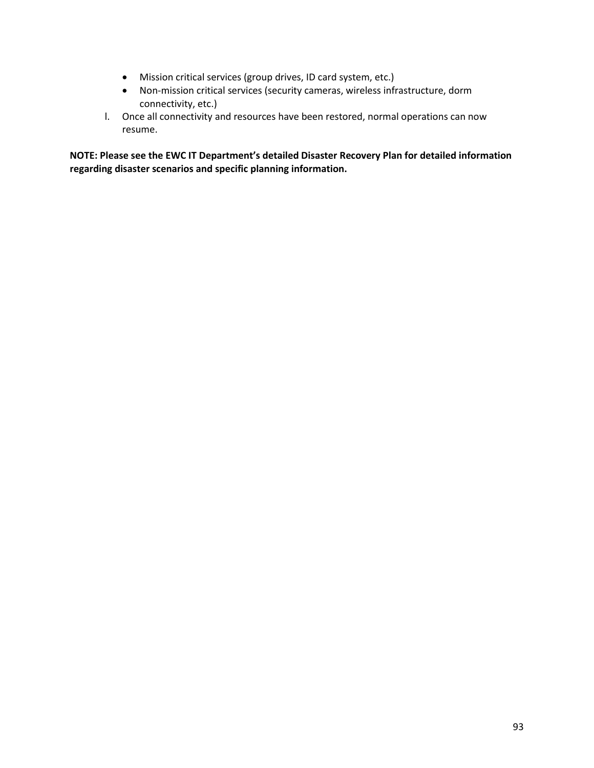- Mission critical services (group drives, ID card system, etc.)
- Non-mission critical services (security cameras, wireless infrastructure, dorm connectivity, etc.)
- l. Once all connectivity and resources have been restored, normal operations can now resume.

**NOTE: Please see the EWC IT Department's detailed Disaster Recovery Plan for detailed information regarding disaster scenarios and specific planning information.**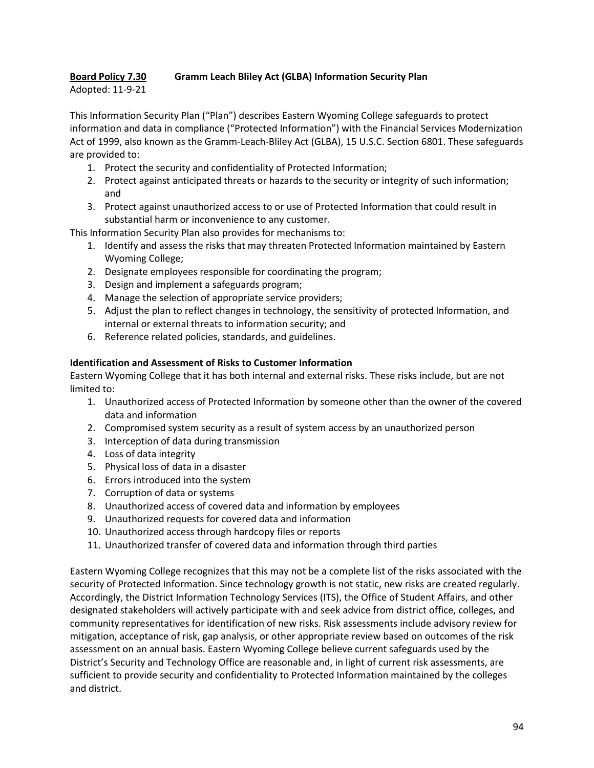## **Board Policy 7.30 Gramm Leach Bliley Act (GLBA) Information Security Plan**

## Adopted: 11-9-21

This Information Security Plan ("Plan") describes Eastern Wyoming College safeguards to protect information and data in compliance ("Protected Information") with the Financial Services Modernization Act of 1999, also known as the Gramm-Leach-Bliley Act (GLBA), 15 U.S.C. Section 6801. These safeguards are provided to:

- 1. Protect the security and confidentiality of Protected Information;
- 2. Protect against anticipated threats or hazards to the security or integrity of such information; and
- 3. Protect against unauthorized access to or use of Protected Information that could result in substantial harm or inconvenience to any customer.

This Information Security Plan also provides for mechanisms to:

- 1. Identify and assess the risks that may threaten Protected Information maintained by Eastern Wyoming College;
- 2. Designate employees responsible for coordinating the program;
- 3. Design and implement a safeguards program;
- 4. Manage the selection of appropriate service providers;
- 5. Adjust the plan to reflect changes in technology, the sensitivity of protected Information, and internal or external threats to information security; and
- 6. Reference related policies, standards, and guidelines.

### **Identification and Assessment of Risks to Customer Information**

Eastern Wyoming College that it has both internal and external risks. These risks include, but are not limited to:

- 1. Unauthorized access of Protected Information by someone other than the owner of the covered data and information
- 2. Compromised system security as a result of system access by an unauthorized person
- 3. Interception of data during transmission
- 4. Loss of data integrity
- 5. Physical loss of data in a disaster
- 6. Errors introduced into the system
- 7. Corruption of data or systems
- 8. Unauthorized access of covered data and information by employees
- 9. Unauthorized requests for covered data and information
- 10. Unauthorized access through hardcopy files or reports
- 11. Unauthorized transfer of covered data and information through third parties

Eastern Wyoming College recognizes that this may not be a complete list of the risks associated with the security of Protected Information. Since technology growth is not static, new risks are created regularly. Accordingly, the District Information Technology Services (ITS), the Office of Student Affairs, and other designated stakeholders will actively participate with and seek advice from district office, colleges, and community representatives for identification of new risks. Risk assessments include advisory review for mitigation, acceptance of risk, gap analysis, or other appropriate review based on outcomes of the risk assessment on an annual basis. Eastern Wyoming College believe current safeguards used by the District's Security and Technology Office are reasonable and, in light of current risk assessments, are sufficient to provide security and confidentiality to Protected Information maintained by the colleges and district.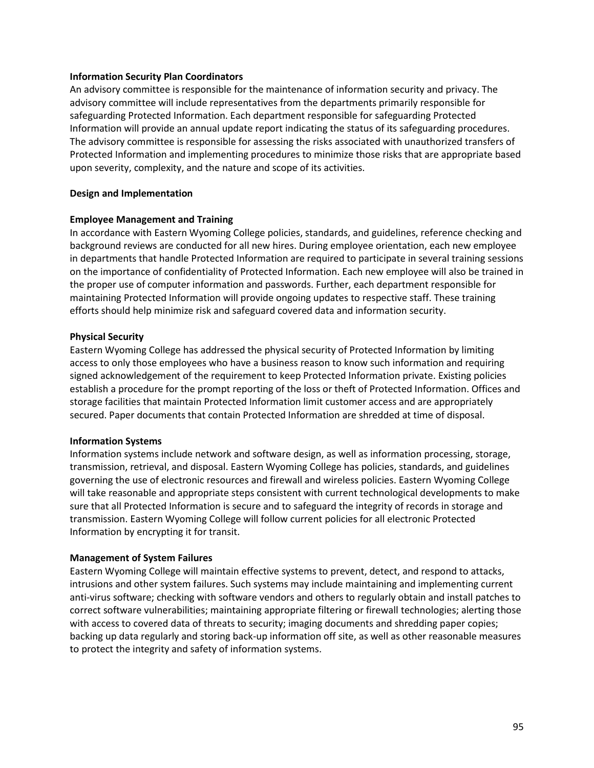#### **Information Security Plan Coordinators**

An advisory committee is responsible for the maintenance of information security and privacy. The advisory committee will include representatives from the departments primarily responsible for safeguarding Protected Information. Each department responsible for safeguarding Protected Information will provide an annual update report indicating the status of its safeguarding procedures. The advisory committee is responsible for assessing the risks associated with unauthorized transfers of Protected Information and implementing procedures to minimize those risks that are appropriate based upon severity, complexity, and the nature and scope of its activities.

#### **Design and Implementation**

#### **Employee Management and Training**

In accordance with Eastern Wyoming College policies, standards, and guidelines, reference checking and background reviews are conducted for all new hires. During employee orientation, each new employee in departments that handle Protected Information are required to participate in several training sessions on the importance of confidentiality of Protected Information. Each new employee will also be trained in the proper use of computer information and passwords. Further, each department responsible for maintaining Protected Information will provide ongoing updates to respective staff. These training efforts should help minimize risk and safeguard covered data and information security.

#### **Physical Security**

Eastern Wyoming College has addressed the physical security of Protected Information by limiting access to only those employees who have a business reason to know such information and requiring signed acknowledgement of the requirement to keep Protected Information private. Existing policies establish a procedure for the prompt reporting of the loss or theft of Protected Information. Offices and storage facilities that maintain Protected Information limit customer access and are appropriately secured. Paper documents that contain Protected Information are shredded at time of disposal.

#### **Information Systems**

Information systems include network and software design, as well as information processing, storage, transmission, retrieval, and disposal. Eastern Wyoming College has policies, standards, and guidelines governing the use of electronic resources and firewall and wireless policies. Eastern Wyoming College will take reasonable and appropriate steps consistent with current technological developments to make sure that all Protected Information is secure and to safeguard the integrity of records in storage and transmission. Eastern Wyoming College will follow current policies for all electronic Protected Information by encrypting it for transit.

#### **Management of System Failures**

Eastern Wyoming College will maintain effective systems to prevent, detect, and respond to attacks, intrusions and other system failures. Such systems may include maintaining and implementing current anti-virus software; checking with software vendors and others to regularly obtain and install patches to correct software vulnerabilities; maintaining appropriate filtering or firewall technologies; alerting those with access to covered data of threats to security; imaging documents and shredding paper copies; backing up data regularly and storing back-up information off site, as well as other reasonable measures to protect the integrity and safety of information systems.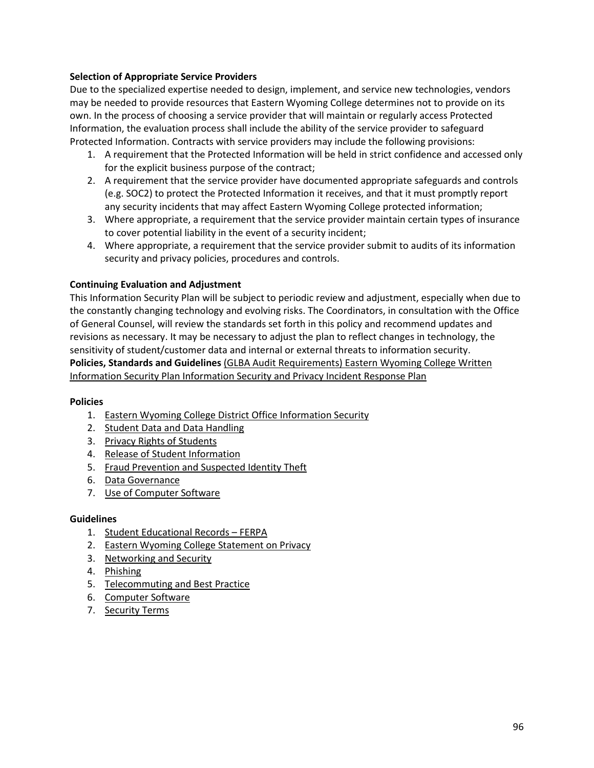#### **Selection of Appropriate Service Providers**

Due to the specialized expertise needed to design, implement, and service new technologies, vendors may be needed to provide resources that Eastern Wyoming College determines not to provide on its own. In the process of choosing a service provider that will maintain or regularly access Protected Information, the evaluation process shall include the ability of the service provider to safeguard Protected Information. Contracts with service providers may include the following provisions:

- 1. A requirement that the Protected Information will be held in strict confidence and accessed only for the explicit business purpose of the contract;
- 2. A requirement that the service provider have documented appropriate safeguards and controls (e.g. SOC2) to protect the Protected Information it receives, and that it must promptly report any security incidents that may affect Eastern Wyoming College protected information;
- 3. Where appropriate, a requirement that the service provider maintain certain types of insurance to cover potential liability in the event of a security incident;
- 4. Where appropriate, a requirement that the service provider submit to audits of its information security and privacy policies, procedures and controls.

### **Continuing Evaluation and Adjustment**

This Information Security Plan will be subject to periodic review and adjustment, especially when due to the constantly changing technology and evolving risks. The Coordinators, in consultation with the Office of General Counsel, will review the standards set forth in this policy and recommend updates and revisions as necessary. It may be necessary to adjust the plan to reflect changes in technology, the sensitivity of student/customer data and internal or external threats to information security. **Policies, Standards and Guidelines** [\(GLBA Audit Requirements\)](https://fsapartners.ed.gov/knowledge-center/library/electronic-announcements/2020-02-28/enforcement-cybersecurity-requirements-under-gramm-leach-bliley-act) Eastern [Wyoming College Written](https://district.maricopa.edu/regulations/admin-regs/section-4/4-23)  [Information Security Plan](https://district.maricopa.edu/regulations/admin-regs/section-4/4-23) [Information Security and Privacy Incident Response Plan](https://district.maricopa.edu/regulations/admin-regs/section-4/4-24)

#### **Policies**

- 1. [Eastern Wyoming College District Office Information Security](https://district.maricopa.edu/information-technology/information-security)
- 2. [Student Data and Data Handling](https://district.maricopa.edu/information-technology/information-security/your-data)
- 3. [Privacy Rights of Students](https://district.maricopa.edu/regulations/admin-regs/section-4/4-22)
- 4. [Release of Student Information](https://district.maricopa.edu/consumer-information/family-educational-rights-privacy-act-ferpa)
- 5. [Fraud Prevention and Suspected Identity Theft](https://district.maricopa.edu/regulations/admin-regs/section-6/6-11)
- 6. [Data Governance](https://district.maricopa.edu/information-technology/information-security/governance)
- 7. [Use of Computer Software](https://district.maricopa.edu/legal/student-faculty-resources/it/appendix-d)

#### **Guidelines**

- 1. [Student Educational Records –](https://district.maricopa.edu/consumer-information/family-educational-rights-privacy-act-ferpa) FERPA
- 2. [Eastern Wyoming College Statement on Privacy](https://district.maricopa.edu/regulations/admin-regs/section-4/4-22)
- 3. [Networking and Security](https://www.maricopa.edu/degrees-certificates/networking-security)
- 4. [Phishing](https://district.maricopa.edu/information-technology/information-security/best-practices/phishing)
- 5. [Telecommuting and Best Practice](https://district.maricopa.edu/information-technology/anywhere-computing/security-concerns)
- 6. [Computer Software](https://district.maricopa.edu/legal/student-faculty-resources/ip/guidelines/computer-software)
- 7. [Security Terms](https://district.maricopa.edu/information-technology/information-security/security-terms)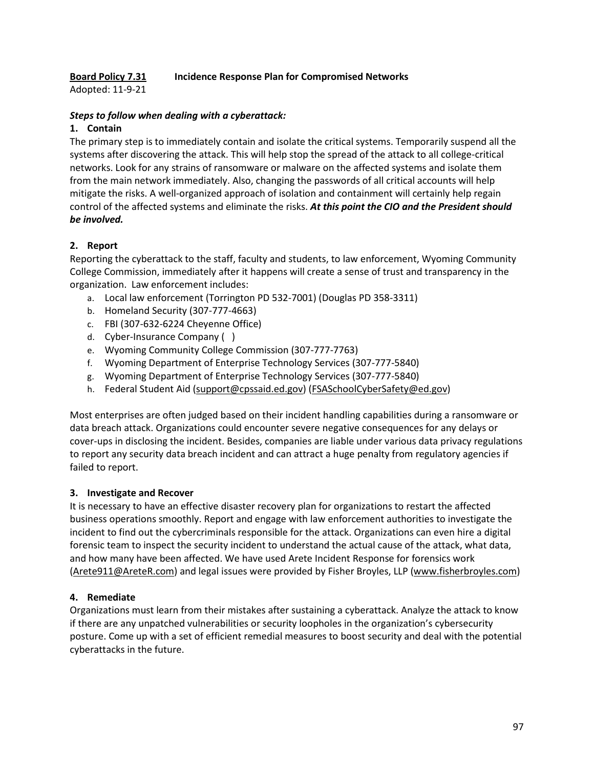## **Board Policy 7.31 Incidence Response Plan for Compromised Networks**

Adopted: 11-9-21

## *Steps to follow when dealing with a cyberattack:*

## **1. Contain**

The primary step is to immediately contain and isolate the critical systems. Temporarily suspend all the systems after discovering the attack. This will help stop the spread of the attack to all college-critical networks. Look for any strains of [ransomware](https://cisomag.eccouncil.org/cyberthreats-still-loom-over-e-learning-platforms/) or malware on the affected systems and isolate them from the main network immediately. Also, changing the passwords of all critical accounts will help mitigate the risks. A well-organized approach of isolation and containment will certainly help regain control of the affected systems and eliminate the risks. *At this point the CIO and the President should be involved.* 

## **2. Report**

Reporting the cyberattack to the staff, faculty and students, to law enforcement, Wyoming Community College Commission, immediately after it happens will create a sense of trust and transparency in the organization. Law enforcement includes:

- a. Local law enforcement (Torrington PD 532-7001) (Douglas PD 358-3311)
- b. Homeland Security (307-777-4663)
- c. FBI (307-632-6224 Cheyenne Office)
- d. Cyber-Insurance Company ( )
- e. Wyoming Community College Commission (307-777-7763)
- f. Wyoming Department of Enterprise Technology Services (307-777-5840)
- g. Wyoming Department of Enterprise Technology Services (307-777-5840)
- h. Federal Student Aid [\(support@cpssaid.ed.gov\)](mailto:support@cpssaid.ed.gov) [\(FSASchoolCyberSafety@ed.gov\)](mailto:FSASchoolCyberSafety@ed.gov)

Most enterprises are often judged based on their incident handling capabilities during a ransomware or data breach attack. Organizations could encounter severe negative consequences for any delays or cover-ups in disclosing the incident. Besides, companies are liable under various data privacy regulations to report any security data breach incident and can attract a huge [penalty from regulatory agencies](https://cisomag.eccouncil.org/4-times-data-regulators-slapped-high-penalties-in-2020/) if failed to report.

#### **3. Investigate and Recover**

It is necessary to have an effective disaster recovery plan for organizations to restart the affected business operations smoothly. [Report](https://cisomag.eccouncil.org/how-to-report-and-regain-access-to-your-hacked-twitter-account/) and engage with law enforcement authorities to investigate the incident to find out the cybercriminals responsible for the attack. Organizations can even hire a [digital](https://www.eccouncil.org/programs/ec-council-certified-incident-handler-ecih/?utm_source=cisomag&utm_medium=partners&utm_campaign=cisomag-ecih)  [forensic](https://www.eccouncil.org/programs/ec-council-certified-incident-handler-ecih/?utm_source=cisomag&utm_medium=partners&utm_campaign=cisomag-ecih) team to inspect the security incident to understand the actual cause of the attack, what data, and how many have been affected. We have used Arete Incident Response for forensics work [\(Arete911@AreteR.com\)](mailto:Arete911@AreteR.com) and legal issues were provided by Fisher Broyles, LLP [\(www.fisherbroyles.com\)](http://www.fisherbroyles.com/)

#### **4. Remediate**

Organizations must learn from their mistakes after sustaining a cyberattack. Analyze the attack to know if there are any unpatched vulnerabilities or security loopholes in the organization's cybersecurity posture. Come up with a set of efficient remedial measures to boost security and deal with the potential cyberattacks in the future.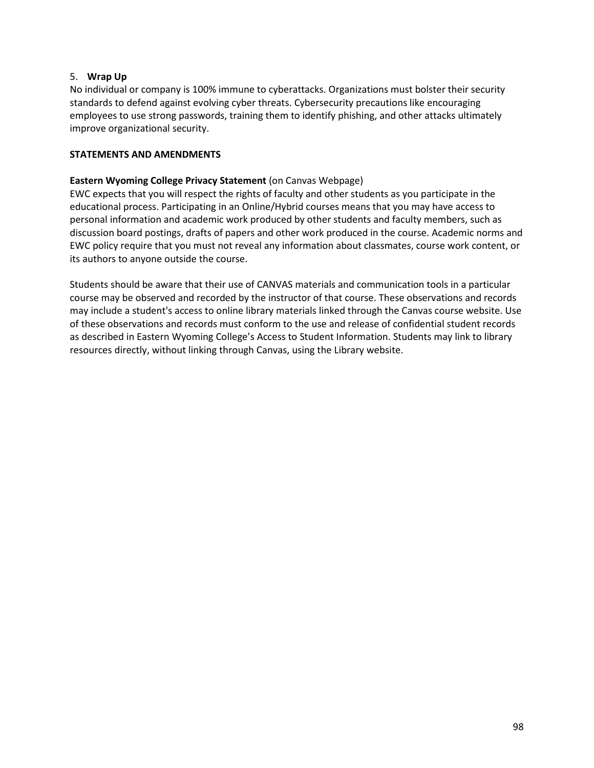## 5. **Wrap Up**

No individual or company is 100% immune to cyberattacks. Organizations must bolster their security standards to defend against evolving cyber threats. Cybersecurity precautions like encouraging employees to use strong passwords, training them to identify phishing, and other attacks ultimately improve organizational security.

#### **STATEMENTS AND AMENDMENTS**

#### **Eastern Wyoming College Privacy Statement** (on Canvas Webpage)

EWC expects that you will respect the rights of faculty and other students as you participate in the educational process. Participating in an Online/Hybrid courses means that you may have access to personal information and academic work produced by other students and faculty members, such as discussion board postings, drafts of papers and other work produced in the course. Academic norms and EWC policy require that you must not reveal any information about classmates, course work content, or its authors to anyone outside the course.

Students should be aware that their use of CANVAS materials and communication tools in a particular course may be observed and recorded by the instructor of that course. These observations and records may include a student's access to online library materials linked through the Canvas course website. Use of these observations and records must conform to the use and release of confidential student records as described in Eastern Wyoming College's Access to Student Information. Students may link to library resources directly, without linking through Canvas, using the Library website.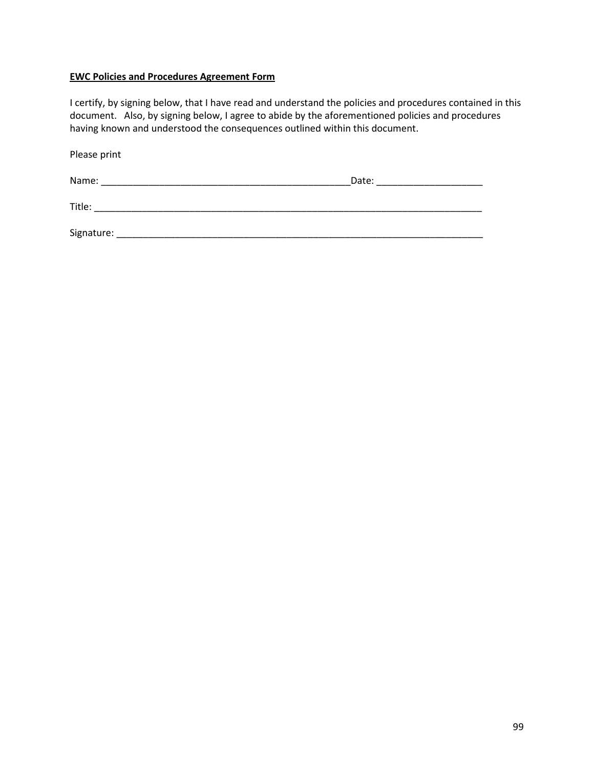#### **EWC Policies and Procedures Agreement Form**

I certify, by signing below, that I have read and understand the policies and procedures contained in this document. Also, by signing below, I agree to abide by the aforementioned policies and procedures having known and understood the consequences outlined within this document.

| Please print |       |
|--------------|-------|
| Name:        | Date: |
| Title:       |       |
| Signature:   |       |